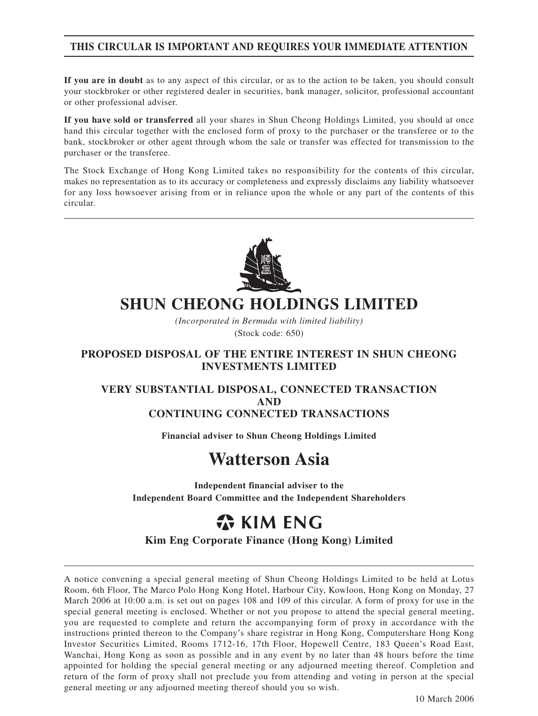# **THIS CIRCULAR IS IMPORTANT AND REQUIRES YOUR IMMEDIATE ATTENTION**

**If you are in doubt** as to any aspect of this circular, or as to the action to be taken, you should consult your stockbroker or other registered dealer in securities, bank manager, solicitor, professional accountant or other professional adviser.

**If you have sold or transferred** all your shares in Shun Cheong Holdings Limited, you should at once hand this circular together with the enclosed form of proxy to the purchaser or the transferee or to the bank, stockbroker or other agent through whom the sale or transfer was effected for transmission to the purchaser or the transferee.

The Stock Exchange of Hong Kong Limited takes no responsibility for the contents of this circular, makes no representation as to its accuracy or completeness and expressly disclaims any liability whatsoever for any loss howsoever arising from or in reliance upon the whole or any part of the contents of this circular.



# **SHUN CHEONG HOLDINGS LIMITED**

*(Incorporated in Bermuda with limited liability)* (Stock code: 650)

# **PROPOSED DISPOSAL OF THE ENTIRE INTEREST IN SHUN CHEONG INVESTMENTS LIMITED**

# **VERY SUBSTANTIAL DISPOSAL, CONNECTED TRANSACTION AND CONTINUING CONNECTED TRANSACTIONS**

**Financial adviser to Shun Cheong Holdings Limited**

# **Watterson Asia**

**Independent financial adviser to the Independent Board Committee and the Independent Shareholders**

# **WKIM ENG**

**Kim Eng Corporate Finance (Hong Kong) Limited**

A notice convening a special general meeting of Shun Cheong Holdings Limited to be held at Lotus Room, 6th Floor, The Marco Polo Hong Kong Hotel, Harbour City, Kowloon, Hong Kong on Monday, 27 March 2006 at 10:00 a.m. is set out on pages 108 and 109 of this circular. A form of proxy for use in the special general meeting is enclosed. Whether or not you propose to attend the special general meeting, you are requested to complete and return the accompanying form of proxy in accordance with the instructions printed thereon to the Company's share registrar in Hong Kong, Computershare Hong Kong Investor Securities Limited, Rooms 1712-16, 17th Floor, Hopewell Centre, 183 Queen's Road East, Wanchai, Hong Kong as soon as possible and in any event by no later than 48 hours before the time appointed for holding the special general meeting or any adjourned meeting thereof. Completion and return of the form of proxy shall not preclude you from attending and voting in person at the special general meeting or any adjourned meeting thereof should you so wish.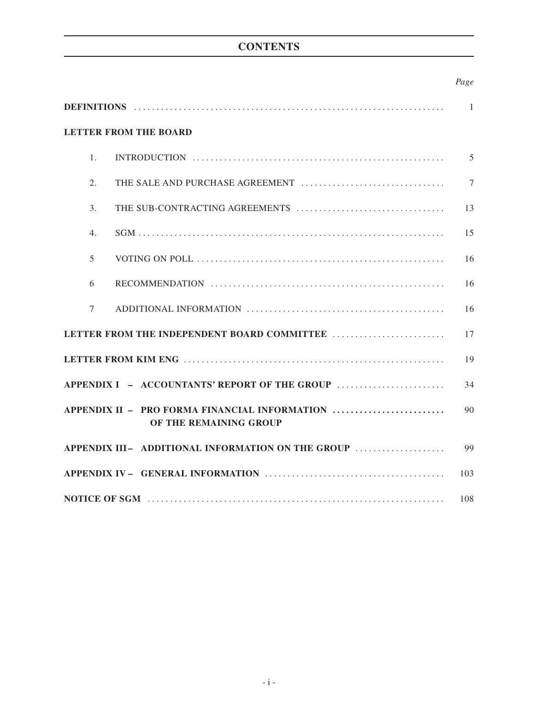| <b>CONTENTS</b> |  |
|-----------------|--|
|-----------------|--|

|                                                                         | Page            |
|-------------------------------------------------------------------------|-----------------|
|                                                                         | $\overline{1}$  |
| <b>LETTER FROM THE BOARD</b>                                            |                 |
| $\mathbf{1}$ .                                                          | 5               |
| 2.                                                                      | $7\phantom{.0}$ |
| 3.                                                                      | 13              |
| 4.                                                                      | 15              |
| 5                                                                       | 16              |
| 6                                                                       | 16              |
| $\tau$                                                                  | 16              |
|                                                                         | 17              |
|                                                                         | 19              |
| APPENDIX I - ACCOUNTANTS' REPORT OF THE GROUP                           | 34              |
| APPENDIX II - PRO FORMA FINANCIAL INFORMATION<br>OF THE REMAINING GROUP | 90              |
| APPENDIX III- ADDITIONAL INFORMATION ON THE GROUP                       | 99              |
|                                                                         | 103             |
|                                                                         | 108             |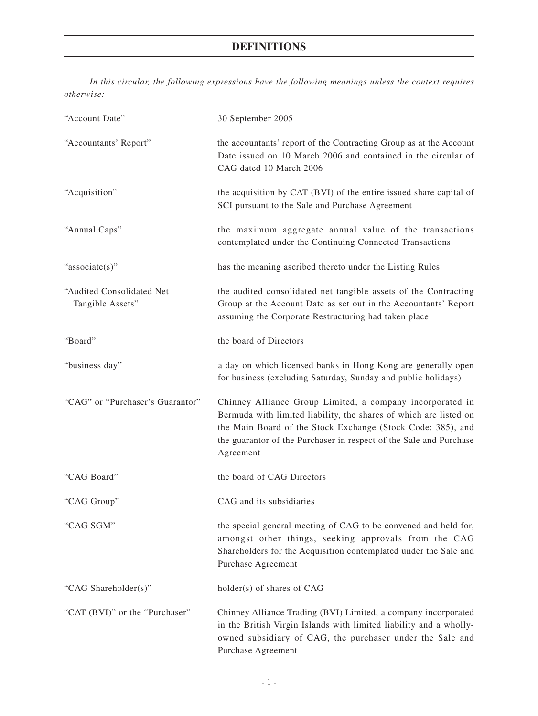*In this circular, the following expressions have the following meanings unless the context requires otherwise:*

| "Account Date"                                | 30 September 2005                                                                                                                                                                                                                                                                |
|-----------------------------------------------|----------------------------------------------------------------------------------------------------------------------------------------------------------------------------------------------------------------------------------------------------------------------------------|
| "Accountants' Report"                         | the accountants' report of the Contracting Group as at the Account<br>Date issued on 10 March 2006 and contained in the circular of<br>CAG dated 10 March 2006                                                                                                                   |
| "Acquisition"                                 | the acquisition by CAT (BVI) of the entire issued share capital of<br>SCI pursuant to the Sale and Purchase Agreement                                                                                                                                                            |
| "Annual Caps"                                 | the maximum aggregate annual value of the transactions<br>contemplated under the Continuing Connected Transactions                                                                                                                                                               |
| "associate(s)"                                | has the meaning ascribed thereto under the Listing Rules                                                                                                                                                                                                                         |
| "Audited Consolidated Net<br>Tangible Assets" | the audited consolidated net tangible assets of the Contracting<br>Group at the Account Date as set out in the Accountants' Report<br>assuming the Corporate Restructuring had taken place                                                                                       |
| "Board"                                       | the board of Directors                                                                                                                                                                                                                                                           |
| "business day"                                | a day on which licensed banks in Hong Kong are generally open<br>for business (excluding Saturday, Sunday and public holidays)                                                                                                                                                   |
| "CAG" or "Purchaser's Guarantor"              | Chinney Alliance Group Limited, a company incorporated in<br>Bermuda with limited liability, the shares of which are listed on<br>the Main Board of the Stock Exchange (Stock Code: 385), and<br>the guarantor of the Purchaser in respect of the Sale and Purchase<br>Agreement |
| "CAG Board"                                   | the board of CAG Directors                                                                                                                                                                                                                                                       |
| "CAG Group"                                   | CAG and its subsidiaries                                                                                                                                                                                                                                                         |
| "CAG SGM"                                     | the special general meeting of CAG to be convened and held for,<br>amongst other things, seeking approvals from the CAG<br>Shareholders for the Acquisition contemplated under the Sale and<br>Purchase Agreement                                                                |
| "CAG Shareholder(s)"                          | holder(s) of shares of CAG                                                                                                                                                                                                                                                       |
| "CAT (BVI)" or the "Purchaser"                | Chinney Alliance Trading (BVI) Limited, a company incorporated<br>in the British Virgin Islands with limited liability and a wholly-<br>owned subsidiary of CAG, the purchaser under the Sale and<br>Purchase Agreement                                                          |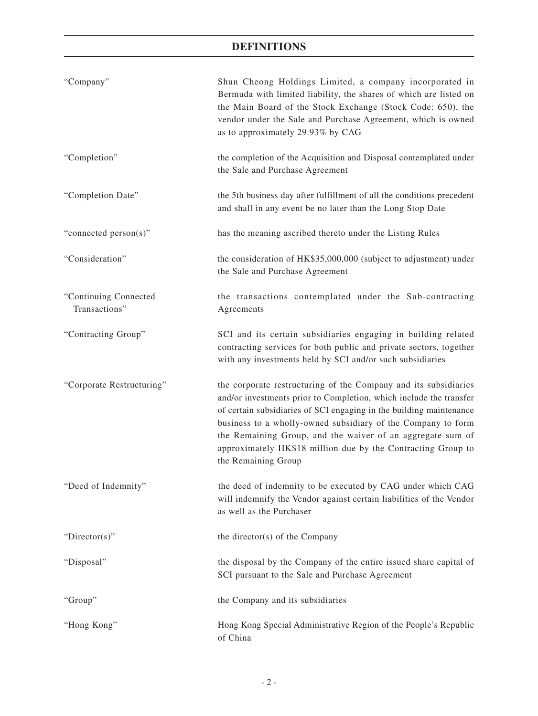| "Company"                              | Shun Cheong Holdings Limited, a company incorporated in<br>Bermuda with limited liability, the shares of which are listed on<br>the Main Board of the Stock Exchange (Stock Code: 650), the<br>vendor under the Sale and Purchase Agreement, which is owned<br>as to approximately 29.93% by CAG                                                                                                                                  |
|----------------------------------------|-----------------------------------------------------------------------------------------------------------------------------------------------------------------------------------------------------------------------------------------------------------------------------------------------------------------------------------------------------------------------------------------------------------------------------------|
| "Completion"                           | the completion of the Acquisition and Disposal contemplated under<br>the Sale and Purchase Agreement                                                                                                                                                                                                                                                                                                                              |
| "Completion Date"                      | the 5th business day after fulfillment of all the conditions precedent<br>and shall in any event be no later than the Long Stop Date                                                                                                                                                                                                                                                                                              |
| "connected person(s)"                  | has the meaning ascribed thereto under the Listing Rules                                                                                                                                                                                                                                                                                                                                                                          |
| "Consideration"                        | the consideration of HK\$35,000,000 (subject to adjustment) under<br>the Sale and Purchase Agreement                                                                                                                                                                                                                                                                                                                              |
| "Continuing Connected<br>Transactions" | the transactions contemplated under the Sub-contracting<br>Agreements                                                                                                                                                                                                                                                                                                                                                             |
| "Contracting Group"                    | SCI and its certain subsidiaries engaging in building related<br>contracting services for both public and private sectors, together<br>with any investments held by SCI and/or such subsidiaries                                                                                                                                                                                                                                  |
| "Corporate Restructuring"              | the corporate restructuring of the Company and its subsidiaries<br>and/or investments prior to Completion, which include the transfer<br>of certain subsidiaries of SCI engaging in the building maintenance<br>business to a wholly-owned subsidiary of the Company to form<br>the Remaining Group, and the waiver of an aggregate sum of<br>approximately HK\$18 million due by the Contracting Group to<br>the Remaining Group |
| "Deed of Indemnity"                    | the deed of indemnity to be executed by CAG under which CAG<br>will indemnify the Vendor against certain liabilities of the Vendor<br>as well as the Purchaser                                                                                                                                                                                                                                                                    |
| " $Directory$ "                        | the director(s) of the Company                                                                                                                                                                                                                                                                                                                                                                                                    |
| "Disposal"                             | the disposal by the Company of the entire issued share capital of<br>SCI pursuant to the Sale and Purchase Agreement                                                                                                                                                                                                                                                                                                              |
| "Group"                                | the Company and its subsidiaries                                                                                                                                                                                                                                                                                                                                                                                                  |
| "Hong Kong"                            | Hong Kong Special Administrative Region of the People's Republic<br>of China                                                                                                                                                                                                                                                                                                                                                      |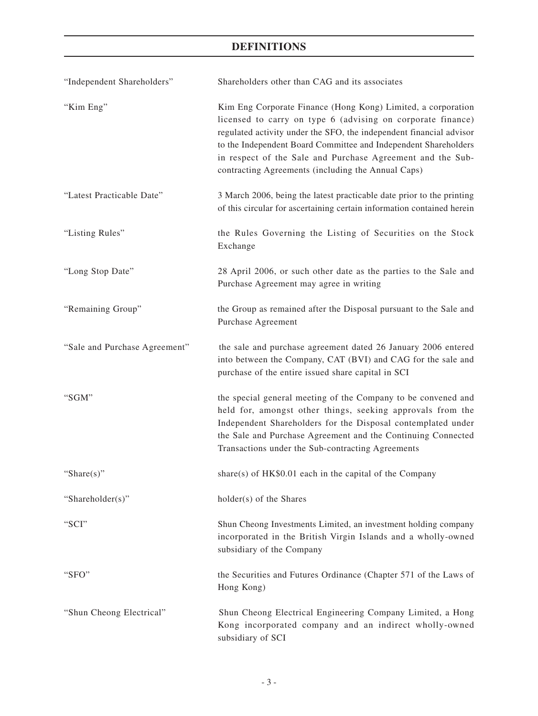| "Independent Shareholders"    | Shareholders other than CAG and its associates                                                                                                                                                                                                                                                                                                                                            |
|-------------------------------|-------------------------------------------------------------------------------------------------------------------------------------------------------------------------------------------------------------------------------------------------------------------------------------------------------------------------------------------------------------------------------------------|
| "Kim Eng"                     | Kim Eng Corporate Finance (Hong Kong) Limited, a corporation<br>licensed to carry on type 6 (advising on corporate finance)<br>regulated activity under the SFO, the independent financial advisor<br>to the Independent Board Committee and Independent Shareholders<br>in respect of the Sale and Purchase Agreement and the Sub-<br>contracting Agreements (including the Annual Caps) |
| "Latest Practicable Date"     | 3 March 2006, being the latest practicable date prior to the printing<br>of this circular for ascertaining certain information contained herein                                                                                                                                                                                                                                           |
| "Listing Rules"               | the Rules Governing the Listing of Securities on the Stock<br>Exchange                                                                                                                                                                                                                                                                                                                    |
| "Long Stop Date"              | 28 April 2006, or such other date as the parties to the Sale and<br>Purchase Agreement may agree in writing                                                                                                                                                                                                                                                                               |
| "Remaining Group"             | the Group as remained after the Disposal pursuant to the Sale and<br>Purchase Agreement                                                                                                                                                                                                                                                                                                   |
| "Sale and Purchase Agreement" | the sale and purchase agreement dated 26 January 2006 entered<br>into between the Company, CAT (BVI) and CAG for the sale and<br>purchase of the entire issued share capital in SCI                                                                                                                                                                                                       |
| "SGM"                         | the special general meeting of the Company to be convened and<br>held for, amongst other things, seeking approvals from the<br>Independent Shareholders for the Disposal contemplated under<br>the Sale and Purchase Agreement and the Continuing Connected<br>Transactions under the Sub-contracting Agreements                                                                          |
| "Share $(s)$ "                | share(s) of $HK$0.01$ each in the capital of the Company                                                                                                                                                                                                                                                                                                                                  |
| "Shareholder(s)"              | holder(s) of the Shares                                                                                                                                                                                                                                                                                                                                                                   |
| "SCI"                         | Shun Cheong Investments Limited, an investment holding company<br>incorporated in the British Virgin Islands and a wholly-owned<br>subsidiary of the Company                                                                                                                                                                                                                              |
| "SFO"                         | the Securities and Futures Ordinance (Chapter 571 of the Laws of<br>Hong Kong)                                                                                                                                                                                                                                                                                                            |
| "Shun Cheong Electrical"      | Shun Cheong Electrical Engineering Company Limited, a Hong<br>Kong incorporated company and an indirect wholly-owned<br>subsidiary of SCI                                                                                                                                                                                                                                                 |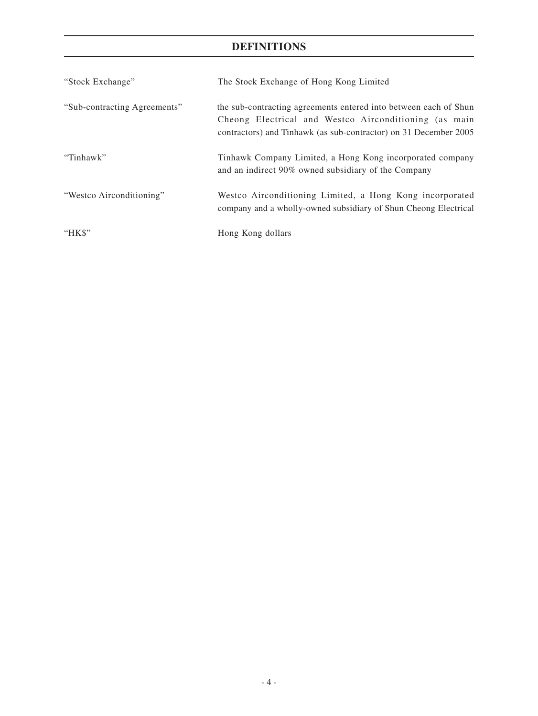| "Stock Exchange"             | The Stock Exchange of Hong Kong Limited                                                                                                                                                       |
|------------------------------|-----------------------------------------------------------------------------------------------------------------------------------------------------------------------------------------------|
| "Sub-contracting Agreements" | the sub-contracting agreements entered into between each of Shun<br>Cheong Electrical and Westco Airconditioning (as main<br>contractors) and Tinhawk (as sub-contractor) on 31 December 2005 |
| "Tinhawk"                    | Tinhawk Company Limited, a Hong Kong incorporated company<br>and an indirect 90% owned subsidiary of the Company                                                                              |
| "Westco Airconditioning"     | Westco Airconditioning Limited, a Hong Kong incorporated<br>company and a wholly-owned subsidiary of Shun Cheong Electrical                                                                   |
| "HK\$"                       | Hong Kong dollars                                                                                                                                                                             |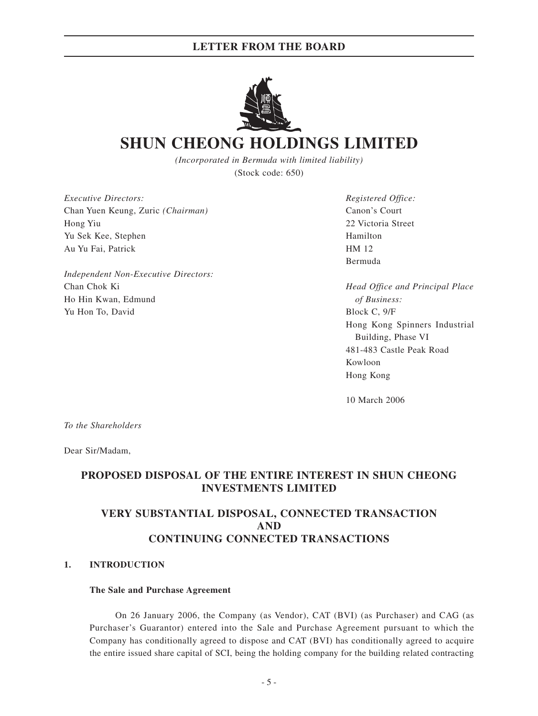

# **SHUN CHEONG HOLDINGS LIMITED**

*(Incorporated in Bermuda with limited liability)* (Stock code: 650)

*Executive Directors: Registered Office:* Chan Yuen Keung, Zuric *(Chairman)* Canon's Court Hong Yiu 22 Victoria Street Yu Sek Kee, Stephen Hamilton Hamilton Hamilton Hamilton Hamilton Hamilton Hamilton Hamilton Hamilton Hamilton Au Yu Fai, Patrick HM 12

*Independent Non-Executive Directors:* Chan Chok Ki *Head Office and Principal Place* Ho Hin Kwan, Edmund *of Business:* Yu Hon To, David Block C, 9/F

Bermuda

Hong Kong Spinners Industrial Building, Phase VI 481-483 Castle Peak Road Kowloon Hong Kong

10 March 2006

*To the Shareholders*

Dear Sir/Madam,

# **PROPOSED DISPOSAL OF THE ENTIRE INTEREST IN SHUN CHEONG INVESTMENTS LIMITED**

# **VERY SUBSTANTIAL DISPOSAL, CONNECTED TRANSACTION AND CONTINUING CONNECTED TRANSACTIONS**

### **1. INTRODUCTION**

### **The Sale and Purchase Agreement**

On 26 January 2006, the Company (as Vendor), CAT (BVI) (as Purchaser) and CAG (as Purchaser's Guarantor) entered into the Sale and Purchase Agreement pursuant to which the Company has conditionally agreed to dispose and CAT (BVI) has conditionally agreed to acquire the entire issued share capital of SCI, being the holding company for the building related contracting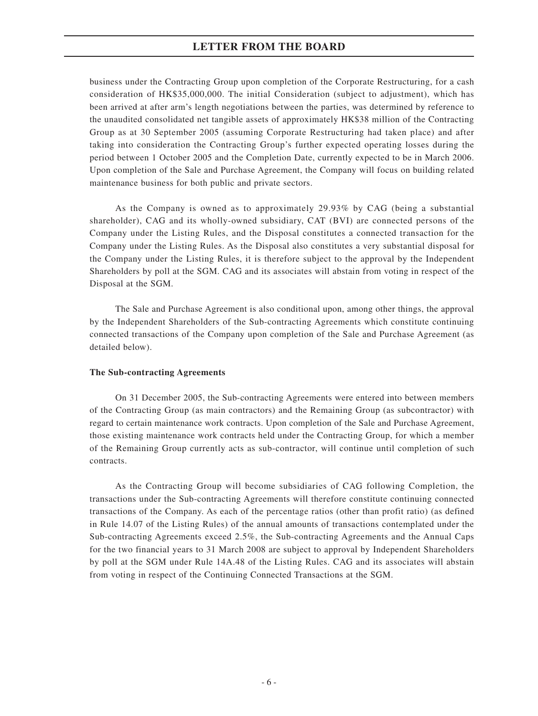business under the Contracting Group upon completion of the Corporate Restructuring, for a cash consideration of HK\$35,000,000. The initial Consideration (subject to adjustment), which has been arrived at after arm's length negotiations between the parties, was determined by reference to the unaudited consolidated net tangible assets of approximately HK\$38 million of the Contracting Group as at 30 September 2005 (assuming Corporate Restructuring had taken place) and after taking into consideration the Contracting Group's further expected operating losses during the period between 1 October 2005 and the Completion Date, currently expected to be in March 2006. Upon completion of the Sale and Purchase Agreement, the Company will focus on building related maintenance business for both public and private sectors.

As the Company is owned as to approximately 29.93% by CAG (being a substantial shareholder), CAG and its wholly-owned subsidiary, CAT (BVI) are connected persons of the Company under the Listing Rules, and the Disposal constitutes a connected transaction for the Company under the Listing Rules. As the Disposal also constitutes a very substantial disposal for the Company under the Listing Rules, it is therefore subject to the approval by the Independent Shareholders by poll at the SGM. CAG and its associates will abstain from voting in respect of the Disposal at the SGM.

The Sale and Purchase Agreement is also conditional upon, among other things, the approval by the Independent Shareholders of the Sub-contracting Agreements which constitute continuing connected transactions of the Company upon completion of the Sale and Purchase Agreement (as detailed below).

#### **The Sub-contracting Agreements**

On 31 December 2005, the Sub-contracting Agreements were entered into between members of the Contracting Group (as main contractors) and the Remaining Group (as subcontractor) with regard to certain maintenance work contracts. Upon completion of the Sale and Purchase Agreement, those existing maintenance work contracts held under the Contracting Group, for which a member of the Remaining Group currently acts as sub-contractor, will continue until completion of such contracts.

As the Contracting Group will become subsidiaries of CAG following Completion, the transactions under the Sub-contracting Agreements will therefore constitute continuing connected transactions of the Company. As each of the percentage ratios (other than profit ratio) (as defined in Rule 14.07 of the Listing Rules) of the annual amounts of transactions contemplated under the Sub-contracting Agreements exceed 2.5%, the Sub-contracting Agreements and the Annual Caps for the two financial years to 31 March 2008 are subject to approval by Independent Shareholders by poll at the SGM under Rule 14A.48 of the Listing Rules. CAG and its associates will abstain from voting in respect of the Continuing Connected Transactions at the SGM.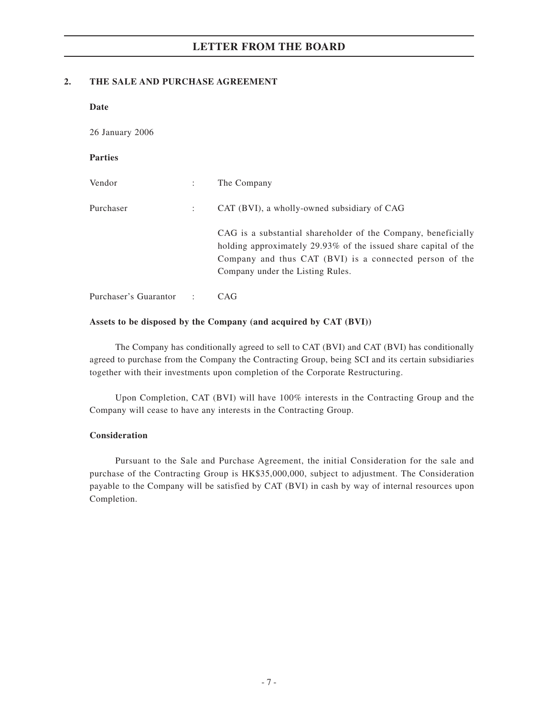# **2. THE SALE AND PURCHASE AGREEMENT**

| ٠<br>v<br>. .<br>۰.<br>×<br>× |
|-------------------------------|
|-------------------------------|

26 January 2006

# **Parties**

| Vendor                |                      | The Company                                                                                                                                                                                                                     |
|-----------------------|----------------------|---------------------------------------------------------------------------------------------------------------------------------------------------------------------------------------------------------------------------------|
| Purchaser             |                      | CAT (BVI), a wholly-owned subsidiary of CAG                                                                                                                                                                                     |
|                       |                      | CAG is a substantial shareholder of the Company, beneficially<br>holding approximately 29.93% of the issued share capital of the<br>Company and thus CAT (BVI) is a connected person of the<br>Company under the Listing Rules. |
| Purchaser's Guarantor | $\ddot{\phantom{a}}$ | CAG                                                                                                                                                                                                                             |

# **Assets to be disposed by the Company (and acquired by CAT (BVI))**

The Company has conditionally agreed to sell to CAT (BVI) and CAT (BVI) has conditionally agreed to purchase from the Company the Contracting Group, being SCI and its certain subsidiaries together with their investments upon completion of the Corporate Restructuring.

Upon Completion, CAT (BVI) will have 100% interests in the Contracting Group and the Company will cease to have any interests in the Contracting Group.

# **Consideration**

Pursuant to the Sale and Purchase Agreement, the initial Consideration for the sale and purchase of the Contracting Group is HK\$35,000,000, subject to adjustment. The Consideration payable to the Company will be satisfied by CAT (BVI) in cash by way of internal resources upon Completion.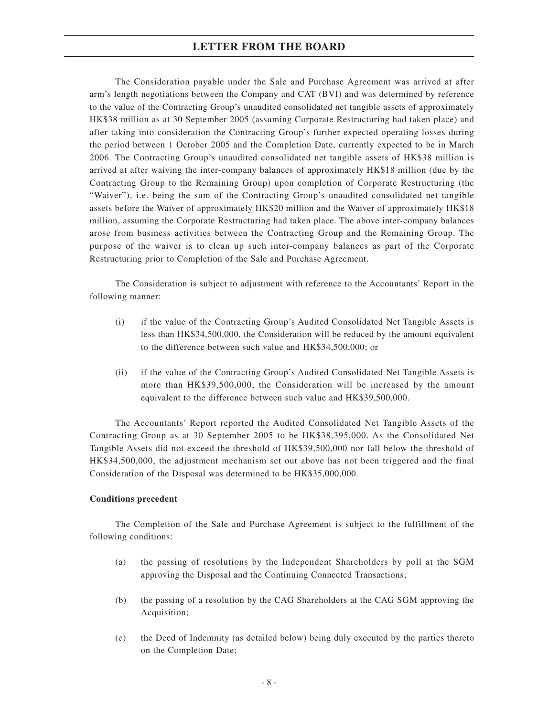The Consideration payable under the Sale and Purchase Agreement was arrived at after arm's length negotiations between the Company and CAT (BVI) and was determined by reference to the value of the Contracting Group's unaudited consolidated net tangible assets of approximately HK\$38 million as at 30 September 2005 (assuming Corporate Restructuring had taken place) and after taking into consideration the Contracting Group's further expected operating losses during the period between 1 October 2005 and the Completion Date, currently expected to be in March 2006. The Contracting Group's unaudited consolidated net tangible assets of HK\$38 million is arrived at after waiving the inter-company balances of approximately HK\$18 million (due by the Contracting Group to the Remaining Group) upon completion of Corporate Restructuring (the "Waiver"), i.e. being the sum of the Contracting Group's unaudited consolidated net tangible assets before the Waiver of approximately HK\$20 million and the Waiver of approximately HK\$18 million, assuming the Corporate Restructuring had taken place. The above inter-company balances arose from business activities between the Contracting Group and the Remaining Group. The purpose of the waiver is to clean up such inter-company balances as part of the Corporate Restructuring prior to Completion of the Sale and Purchase Agreement.

The Consideration is subject to adjustment with reference to the Accountants' Report in the following manner:

- (i) if the value of the Contracting Group's Audited Consolidated Net Tangible Assets is less than HK\$34,500,000, the Consideration will be reduced by the amount equivalent to the difference between such value and HK\$34,500,000; or
- (ii) if the value of the Contracting Group's Audited Consolidated Net Tangible Assets is more than HK\$39,500,000, the Consideration will be increased by the amount equivalent to the difference between such value and HK\$39,500,000.

The Accountants' Report reported the Audited Consolidated Net Tangible Assets of the Contracting Group as at 30 September 2005 to be HK\$38,395,000. As the Consolidated Net Tangible Assets did not exceed the threshold of HK\$39,500,000 nor fall below the threshold of HK\$34,500,000, the adjustment mechanism set out above has not been triggered and the final Consideration of the Disposal was determined to be HK\$35,000,000.

#### **Conditions precedent**

The Completion of the Sale and Purchase Agreement is subject to the fulfillment of the following conditions:

- (a) the passing of resolutions by the Independent Shareholders by poll at the SGM approving the Disposal and the Continuing Connected Transactions;
- (b) the passing of a resolution by the CAG Shareholders at the CAG SGM approving the Acquisition;
- (c) the Deed of Indemnity (as detailed below) being duly executed by the parties thereto on the Completion Date;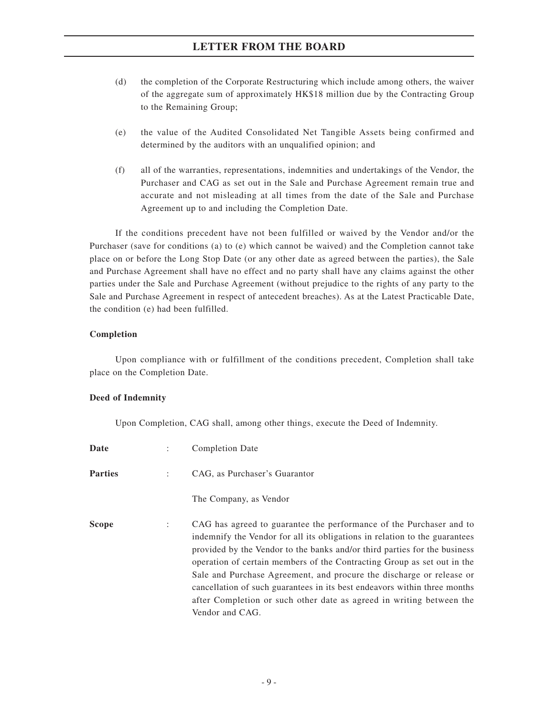- (d) the completion of the Corporate Restructuring which include among others, the waiver of the aggregate sum of approximately HK\$18 million due by the Contracting Group to the Remaining Group;
- (e) the value of the Audited Consolidated Net Tangible Assets being confirmed and determined by the auditors with an unqualified opinion; and
- (f) all of the warranties, representations, indemnities and undertakings of the Vendor, the Purchaser and CAG as set out in the Sale and Purchase Agreement remain true and accurate and not misleading at all times from the date of the Sale and Purchase Agreement up to and including the Completion Date.

If the conditions precedent have not been fulfilled or waived by the Vendor and/or the Purchaser (save for conditions (a) to (e) which cannot be waived) and the Completion cannot take place on or before the Long Stop Date (or any other date as agreed between the parties), the Sale and Purchase Agreement shall have no effect and no party shall have any claims against the other parties under the Sale and Purchase Agreement (without prejudice to the rights of any party to the Sale and Purchase Agreement in respect of antecedent breaches). As at the Latest Practicable Date, the condition (e) had been fulfilled.

### **Completion**

Upon compliance with or fulfillment of the conditions precedent, Completion shall take place on the Completion Date.

### **Deed of Indemnity**

Upon Completion, CAG shall, among other things, execute the Deed of Indemnity.

| Date           |   | <b>Completion Date</b>                                                                                                                                                                                                                                                                                                                                                                                                                                                                                                                                    |
|----------------|---|-----------------------------------------------------------------------------------------------------------------------------------------------------------------------------------------------------------------------------------------------------------------------------------------------------------------------------------------------------------------------------------------------------------------------------------------------------------------------------------------------------------------------------------------------------------|
| <b>Parties</b> | ÷ | CAG, as Purchaser's Guarantor                                                                                                                                                                                                                                                                                                                                                                                                                                                                                                                             |
|                |   | The Company, as Vendor                                                                                                                                                                                                                                                                                                                                                                                                                                                                                                                                    |
| <b>Scope</b>   | ÷ | CAG has agreed to guarantee the performance of the Purchaser and to<br>indemnify the Vendor for all its obligations in relation to the guarantees<br>provided by the Vendor to the banks and/or third parties for the business<br>operation of certain members of the Contracting Group as set out in the<br>Sale and Purchase Agreement, and procure the discharge or release or<br>cancellation of such guarantees in its best endeavors within three months<br>after Completion or such other date as agreed in writing between the<br>Vendor and CAG. |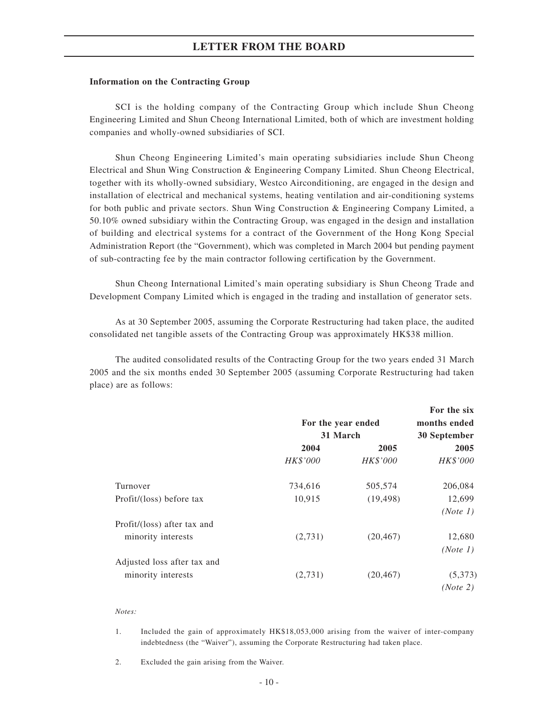#### **Information on the Contracting Group**

SCI is the holding company of the Contracting Group which include Shun Cheong Engineering Limited and Shun Cheong International Limited, both of which are investment holding companies and wholly-owned subsidiaries of SCI.

Shun Cheong Engineering Limited's main operating subsidiaries include Shun Cheong Electrical and Shun Wing Construction & Engineering Company Limited. Shun Cheong Electrical, together with its wholly-owned subsidiary, Westco Airconditioning, are engaged in the design and installation of electrical and mechanical systems, heating ventilation and air-conditioning systems for both public and private sectors. Shun Wing Construction & Engineering Company Limited, a 50.10% owned subsidiary within the Contracting Group, was engaged in the design and installation of building and electrical systems for a contract of the Government of the Hong Kong Special Administration Report (the "Government), which was completed in March 2004 but pending payment of sub-contracting fee by the main contractor following certification by the Government.

Shun Cheong International Limited's main operating subsidiary is Shun Cheong Trade and Development Company Limited which is engaged in the trading and installation of generator sets.

As at 30 September 2005, assuming the Corporate Restructuring had taken place, the audited consolidated net tangible assets of the Contracting Group was approximately HK\$38 million.

The audited consolidated results of the Contracting Group for the two years ended 31 March 2005 and the six months ended 30 September 2005 (assuming Corporate Restructuring had taken place) are as follows:

|                             |          |           | For the six  |
|-----------------------------|----------|-----------|--------------|
| For the year ended          |          |           | months ended |
|                             | 31 March |           | 30 September |
|                             | 2004     | 2005      | 2005         |
|                             | HK\$'000 | HK\$'000  | HK\$'000     |
| Turnover                    | 734,616  | 505,574   | 206,084      |
| Profit/(loss) before tax    | 10,915   | (19, 498) | 12,699       |
|                             |          |           | (Note 1)     |
| Profit/(loss) after tax and |          |           |              |
| minority interests          | (2,731)  | (20, 467) | 12,680       |
|                             |          |           | (Note 1)     |
| Adjusted loss after tax and |          |           |              |
| minority interests          | (2,731)  | (20, 467) | (5,373)      |
|                             |          |           | (Note 2)     |

#### *Notes:*

- 1. Included the gain of approximately HK\$18,053,000 arising from the waiver of inter-company indebtedness (the "Waiver"), assuming the Corporate Restructuring had taken place.
- 2. Excluded the gain arising from the Waiver.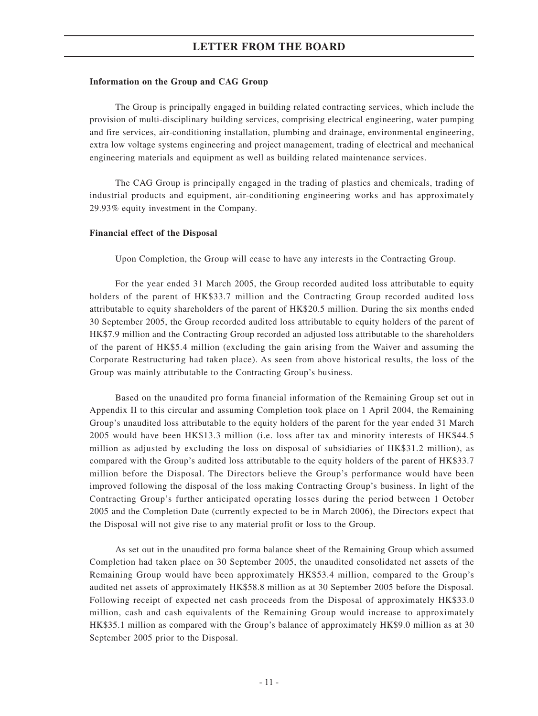#### **Information on the Group and CAG Group**

The Group is principally engaged in building related contracting services, which include the provision of multi-disciplinary building services, comprising electrical engineering, water pumping and fire services, air-conditioning installation, plumbing and drainage, environmental engineering, extra low voltage systems engineering and project management, trading of electrical and mechanical engineering materials and equipment as well as building related maintenance services.

The CAG Group is principally engaged in the trading of plastics and chemicals, trading of industrial products and equipment, air-conditioning engineering works and has approximately 29.93% equity investment in the Company.

#### **Financial effect of the Disposal**

Upon Completion, the Group will cease to have any interests in the Contracting Group.

For the year ended 31 March 2005, the Group recorded audited loss attributable to equity holders of the parent of HK\$33.7 million and the Contracting Group recorded audited loss attributable to equity shareholders of the parent of HK\$20.5 million. During the six months ended 30 September 2005, the Group recorded audited loss attributable to equity holders of the parent of HK\$7.9 million and the Contracting Group recorded an adjusted loss attributable to the shareholders of the parent of HK\$5.4 million (excluding the gain arising from the Waiver and assuming the Corporate Restructuring had taken place). As seen from above historical results, the loss of the Group was mainly attributable to the Contracting Group's business.

Based on the unaudited pro forma financial information of the Remaining Group set out in Appendix II to this circular and assuming Completion took place on 1 April 2004, the Remaining Group's unaudited loss attributable to the equity holders of the parent for the year ended 31 March 2005 would have been HK\$13.3 million (i.e. loss after tax and minority interests of HK\$44.5 million as adjusted by excluding the loss on disposal of subsidiaries of HK\$31.2 million), as compared with the Group's audited loss attributable to the equity holders of the parent of HK\$33.7 million before the Disposal. The Directors believe the Group's performance would have been improved following the disposal of the loss making Contracting Group's business. In light of the Contracting Group's further anticipated operating losses during the period between 1 October 2005 and the Completion Date (currently expected to be in March 2006), the Directors expect that the Disposal will not give rise to any material profit or loss to the Group.

As set out in the unaudited pro forma balance sheet of the Remaining Group which assumed Completion had taken place on 30 September 2005, the unaudited consolidated net assets of the Remaining Group would have been approximately HK\$53.4 million, compared to the Group's audited net assets of approximately HK\$58.8 million as at 30 September 2005 before the Disposal. Following receipt of expected net cash proceeds from the Disposal of approximately HK\$33.0 million, cash and cash equivalents of the Remaining Group would increase to approximately HK\$35.1 million as compared with the Group's balance of approximately HK\$9.0 million as at 30 September 2005 prior to the Disposal.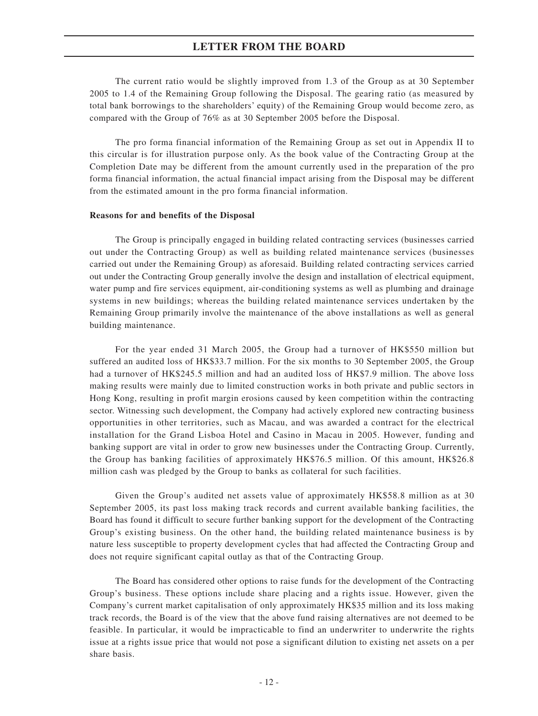The current ratio would be slightly improved from 1.3 of the Group as at 30 September 2005 to 1.4 of the Remaining Group following the Disposal. The gearing ratio (as measured by total bank borrowings to the shareholders' equity) of the Remaining Group would become zero, as compared with the Group of 76% as at 30 September 2005 before the Disposal.

The pro forma financial information of the Remaining Group as set out in Appendix II to this circular is for illustration purpose only. As the book value of the Contracting Group at the Completion Date may be different from the amount currently used in the preparation of the pro forma financial information, the actual financial impact arising from the Disposal may be different from the estimated amount in the pro forma financial information.

#### **Reasons for and benefits of the Disposal**

The Group is principally engaged in building related contracting services (businesses carried out under the Contracting Group) as well as building related maintenance services (businesses carried out under the Remaining Group) as aforesaid. Building related contracting services carried out under the Contracting Group generally involve the design and installation of electrical equipment, water pump and fire services equipment, air-conditioning systems as well as plumbing and drainage systems in new buildings; whereas the building related maintenance services undertaken by the Remaining Group primarily involve the maintenance of the above installations as well as general building maintenance.

For the year ended 31 March 2005, the Group had a turnover of HK\$550 million but suffered an audited loss of HK\$33.7 million. For the six months to 30 September 2005, the Group had a turnover of HK\$245.5 million and had an audited loss of HK\$7.9 million. The above loss making results were mainly due to limited construction works in both private and public sectors in Hong Kong, resulting in profit margin erosions caused by keen competition within the contracting sector. Witnessing such development, the Company had actively explored new contracting business opportunities in other territories, such as Macau, and was awarded a contract for the electrical installation for the Grand Lisboa Hotel and Casino in Macau in 2005. However, funding and banking support are vital in order to grow new businesses under the Contracting Group. Currently, the Group has banking facilities of approximately HK\$76.5 million. Of this amount, HK\$26.8 million cash was pledged by the Group to banks as collateral for such facilities.

Given the Group's audited net assets value of approximately HK\$58.8 million as at 30 September 2005, its past loss making track records and current available banking facilities, the Board has found it difficult to secure further banking support for the development of the Contracting Group's existing business. On the other hand, the building related maintenance business is by nature less susceptible to property development cycles that had affected the Contracting Group and does not require significant capital outlay as that of the Contracting Group.

The Board has considered other options to raise funds for the development of the Contracting Group's business. These options include share placing and a rights issue. However, given the Company's current market capitalisation of only approximately HK\$35 million and its loss making track records, the Board is of the view that the above fund raising alternatives are not deemed to be feasible. In particular, it would be impracticable to find an underwriter to underwrite the rights issue at a rights issue price that would not pose a significant dilution to existing net assets on a per share basis.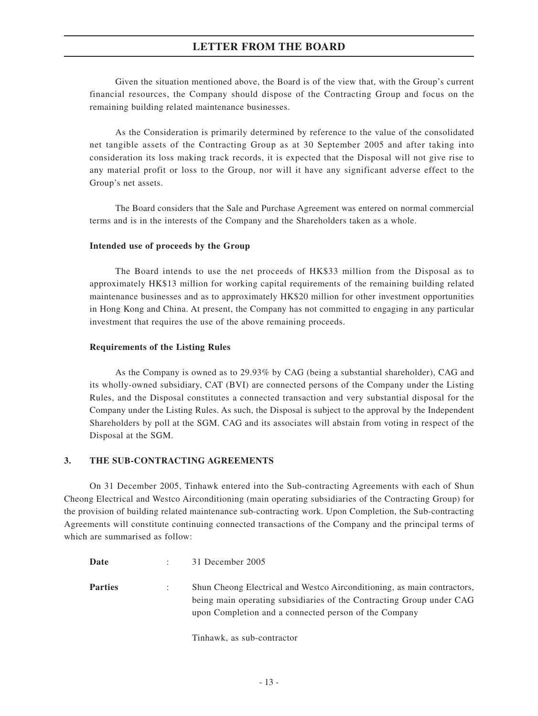Given the situation mentioned above, the Board is of the view that, with the Group's current financial resources, the Company should dispose of the Contracting Group and focus on the remaining building related maintenance businesses.

As the Consideration is primarily determined by reference to the value of the consolidated net tangible assets of the Contracting Group as at 30 September 2005 and after taking into consideration its loss making track records, it is expected that the Disposal will not give rise to any material profit or loss to the Group, nor will it have any significant adverse effect to the Group's net assets.

The Board considers that the Sale and Purchase Agreement was entered on normal commercial terms and is in the interests of the Company and the Shareholders taken as a whole.

#### **Intended use of proceeds by the Group**

The Board intends to use the net proceeds of HK\$33 million from the Disposal as to approximately HK\$13 million for working capital requirements of the remaining building related maintenance businesses and as to approximately HK\$20 million for other investment opportunities in Hong Kong and China. At present, the Company has not committed to engaging in any particular investment that requires the use of the above remaining proceeds.

#### **Requirements of the Listing Rules**

As the Company is owned as to 29.93% by CAG (being a substantial shareholder), CAG and its wholly-owned subsidiary, CAT (BVI) are connected persons of the Company under the Listing Rules, and the Disposal constitutes a connected transaction and very substantial disposal for the Company under the Listing Rules. As such, the Disposal is subject to the approval by the Independent Shareholders by poll at the SGM. CAG and its associates will abstain from voting in respect of the Disposal at the SGM.

### **3. THE SUB-CONTRACTING AGREEMENTS**

On 31 December 2005, Tinhawk entered into the Sub-contracting Agreements with each of Shun Cheong Electrical and Westco Airconditioning (main operating subsidiaries of the Contracting Group) for the provision of building related maintenance sub-contracting work. Upon Completion, the Sub-contracting Agreements will constitute continuing connected transactions of the Company and the principal terms of which are summarised as follow:

| Date           | 31 December 2005                                                                                                                                                                                         |
|----------------|----------------------------------------------------------------------------------------------------------------------------------------------------------------------------------------------------------|
| <b>Parties</b> | Shun Cheong Electrical and Westco Airconditioning, as main contractors,<br>being main operating subsidiaries of the Contracting Group under CAG<br>upon Completion and a connected person of the Company |

Tinhawk, as sub-contractor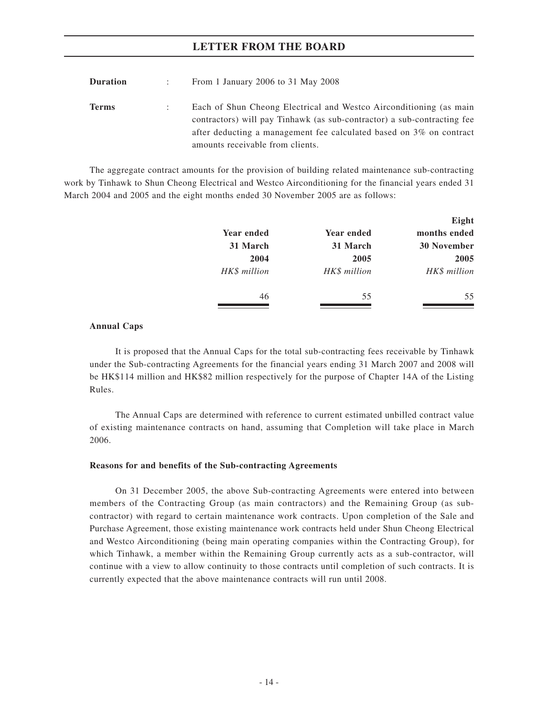| <b>Duration</b> | From 1 January 2006 to 31 May 2008                                                                                                                                                                                                                          |
|-----------------|-------------------------------------------------------------------------------------------------------------------------------------------------------------------------------------------------------------------------------------------------------------|
| <b>Terms</b>    | Each of Shun Cheong Electrical and Westco Airconditioning (as main<br>contractors) will pay Tinhawk (as sub-contractor) a sub-contracting fee<br>after deducting a management fee calculated based on $3\%$ on contract<br>amounts receivable from clients. |

The aggregate contract amounts for the provision of building related maintenance sub-contracting work by Tinhawk to Shun Cheong Electrical and Westco Airconditioning for the financial years ended 31 March 2004 and 2005 and the eight months ended 30 November 2005 are as follows:

|              |              | Eight              |
|--------------|--------------|--------------------|
| Year ended   | Year ended   | months ended       |
| 31 March     | 31 March     | <b>30 November</b> |
| 2004         | 2005         | 2005               |
| HK\$ million | HK\$ million | HK\$ million       |
| 46           | 55           | 55                 |
|              |              |                    |

#### **Annual Caps**

It is proposed that the Annual Caps for the total sub-contracting fees receivable by Tinhawk under the Sub-contracting Agreements for the financial years ending 31 March 2007 and 2008 will be HK\$114 million and HK\$82 million respectively for the purpose of Chapter 14A of the Listing Rules.

The Annual Caps are determined with reference to current estimated unbilled contract value of existing maintenance contracts on hand, assuming that Completion will take place in March 2006.

#### **Reasons for and benefits of the Sub-contracting Agreements**

On 31 December 2005, the above Sub-contracting Agreements were entered into between members of the Contracting Group (as main contractors) and the Remaining Group (as subcontractor) with regard to certain maintenance work contracts. Upon completion of the Sale and Purchase Agreement, those existing maintenance work contracts held under Shun Cheong Electrical and Westco Airconditioning (being main operating companies within the Contracting Group), for which Tinhawk, a member within the Remaining Group currently acts as a sub-contractor, will continue with a view to allow continuity to those contracts until completion of such contracts. It is currently expected that the above maintenance contracts will run until 2008.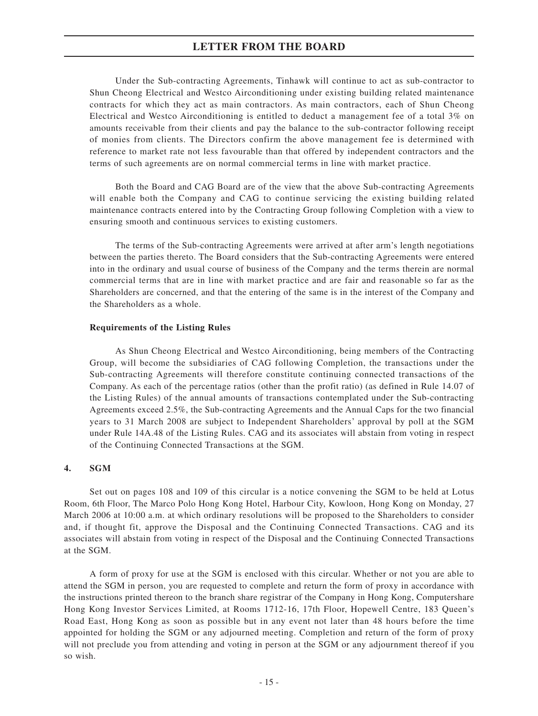Under the Sub-contracting Agreements, Tinhawk will continue to act as sub-contractor to Shun Cheong Electrical and Westco Airconditioning under existing building related maintenance contracts for which they act as main contractors. As main contractors, each of Shun Cheong Electrical and Westco Airconditioning is entitled to deduct a management fee of a total 3% on amounts receivable from their clients and pay the balance to the sub-contractor following receipt of monies from clients. The Directors confirm the above management fee is determined with reference to market rate not less favourable than that offered by independent contractors and the terms of such agreements are on normal commercial terms in line with market practice.

Both the Board and CAG Board are of the view that the above Sub-contracting Agreements will enable both the Company and CAG to continue servicing the existing building related maintenance contracts entered into by the Contracting Group following Completion with a view to ensuring smooth and continuous services to existing customers.

The terms of the Sub-contracting Agreements were arrived at after arm's length negotiations between the parties thereto. The Board considers that the Sub-contracting Agreements were entered into in the ordinary and usual course of business of the Company and the terms therein are normal commercial terms that are in line with market practice and are fair and reasonable so far as the Shareholders are concerned, and that the entering of the same is in the interest of the Company and the Shareholders as a whole.

#### **Requirements of the Listing Rules**

As Shun Cheong Electrical and Westco Airconditioning, being members of the Contracting Group, will become the subsidiaries of CAG following Completion, the transactions under the Sub-contracting Agreements will therefore constitute continuing connected transactions of the Company. As each of the percentage ratios (other than the profit ratio) (as defined in Rule 14.07 of the Listing Rules) of the annual amounts of transactions contemplated under the Sub-contracting Agreements exceed 2.5%, the Sub-contracting Agreements and the Annual Caps for the two financial years to 31 March 2008 are subject to Independent Shareholders' approval by poll at the SGM under Rule 14A.48 of the Listing Rules. CAG and its associates will abstain from voting in respect of the Continuing Connected Transactions at the SGM.

### **4. SGM**

Set out on pages 108 and 109 of this circular is a notice convening the SGM to be held at Lotus Room, 6th Floor, The Marco Polo Hong Kong Hotel, Harbour City, Kowloon, Hong Kong on Monday, 27 March 2006 at 10:00 a.m. at which ordinary resolutions will be proposed to the Shareholders to consider and, if thought fit, approve the Disposal and the Continuing Connected Transactions. CAG and its associates will abstain from voting in respect of the Disposal and the Continuing Connected Transactions at the SGM.

A form of proxy for use at the SGM is enclosed with this circular. Whether or not you are able to attend the SGM in person, you are requested to complete and return the form of proxy in accordance with the instructions printed thereon to the branch share registrar of the Company in Hong Kong, Computershare Hong Kong Investor Services Limited, at Rooms 1712-16, 17th Floor, Hopewell Centre, 183 Queen's Road East, Hong Kong as soon as possible but in any event not later than 48 hours before the time appointed for holding the SGM or any adjourned meeting. Completion and return of the form of proxy will not preclude you from attending and voting in person at the SGM or any adjournment thereof if you so wish.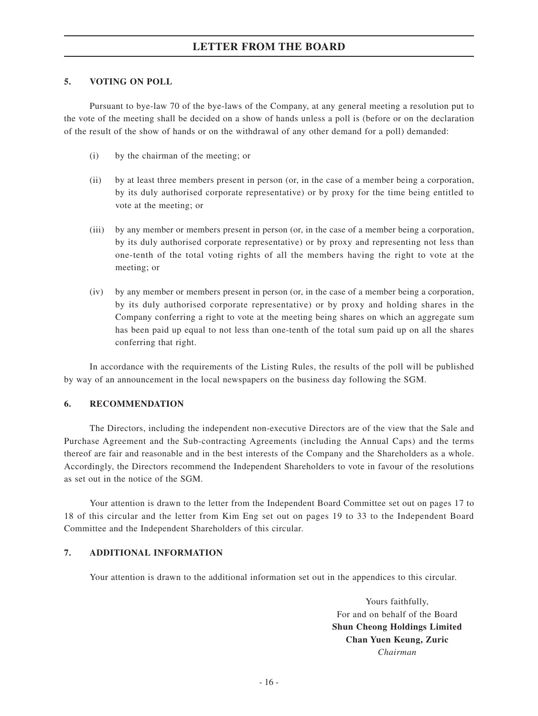#### **5. VOTING ON POLL**

Pursuant to bye-law 70 of the bye-laws of the Company, at any general meeting a resolution put to the vote of the meeting shall be decided on a show of hands unless a poll is (before or on the declaration of the result of the show of hands or on the withdrawal of any other demand for a poll) demanded:

- (i) by the chairman of the meeting; or
- (ii) by at least three members present in person (or, in the case of a member being a corporation, by its duly authorised corporate representative) or by proxy for the time being entitled to vote at the meeting; or
- (iii) by any member or members present in person (or, in the case of a member being a corporation, by its duly authorised corporate representative) or by proxy and representing not less than one-tenth of the total voting rights of all the members having the right to vote at the meeting; or
- (iv) by any member or members present in person (or, in the case of a member being a corporation, by its duly authorised corporate representative) or by proxy and holding shares in the Company conferring a right to vote at the meeting being shares on which an aggregate sum has been paid up equal to not less than one-tenth of the total sum paid up on all the shares conferring that right.

In accordance with the requirements of the Listing Rules, the results of the poll will be published by way of an announcement in the local newspapers on the business day following the SGM.

#### **6. RECOMMENDATION**

The Directors, including the independent non-executive Directors are of the view that the Sale and Purchase Agreement and the Sub-contracting Agreements (including the Annual Caps) and the terms thereof are fair and reasonable and in the best interests of the Company and the Shareholders as a whole. Accordingly, the Directors recommend the Independent Shareholders to vote in favour of the resolutions as set out in the notice of the SGM.

Your attention is drawn to the letter from the Independent Board Committee set out on pages 17 to 18 of this circular and the letter from Kim Eng set out on pages 19 to 33 to the Independent Board Committee and the Independent Shareholders of this circular.

#### **7. ADDITIONAL INFORMATION**

Your attention is drawn to the additional information set out in the appendices to this circular.

Yours faithfully, For and on behalf of the Board **Shun Cheong Holdings Limited Chan Yuen Keung, Zuric** *Chairman*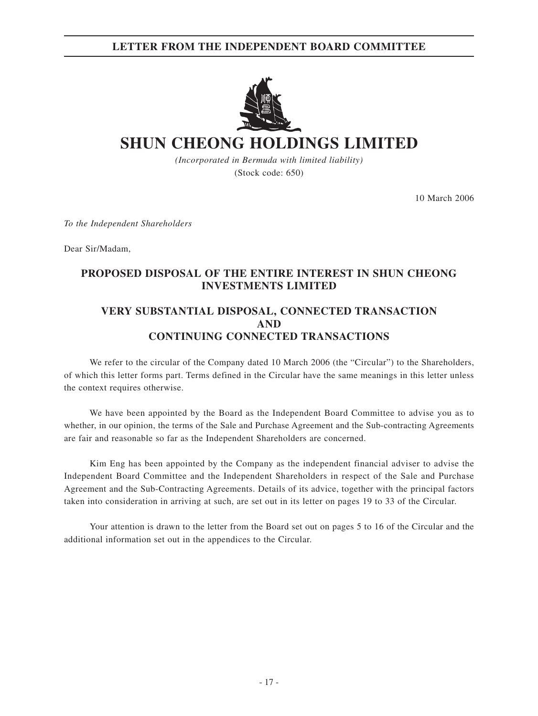# **LETTER FROM THE INDEPENDENT BOARD COMMITTEE**



# **SHUN CHEONG HOLDINGS LIMITED**

*(Incorporated in Bermuda with limited liability)* (Stock code: 650)

10 March 2006

*To the Independent Shareholders*

Dear Sir/Madam,

# **PROPOSED DISPOSAL OF THE ENTIRE INTEREST IN SHUN CHEONG INVESTMENTS LIMITED**

# **VERY SUBSTANTIAL DISPOSAL, CONNECTED TRANSACTION AND CONTINUING CONNECTED TRANSACTIONS**

We refer to the circular of the Company dated 10 March 2006 (the "Circular") to the Shareholders, of which this letter forms part. Terms defined in the Circular have the same meanings in this letter unless the context requires otherwise.

We have been appointed by the Board as the Independent Board Committee to advise you as to whether, in our opinion, the terms of the Sale and Purchase Agreement and the Sub-contracting Agreements are fair and reasonable so far as the Independent Shareholders are concerned.

Kim Eng has been appointed by the Company as the independent financial adviser to advise the Independent Board Committee and the Independent Shareholders in respect of the Sale and Purchase Agreement and the Sub-Contracting Agreements. Details of its advice, together with the principal factors taken into consideration in arriving at such, are set out in its letter on pages 19 to 33 of the Circular.

Your attention is drawn to the letter from the Board set out on pages 5 to 16 of the Circular and the additional information set out in the appendices to the Circular.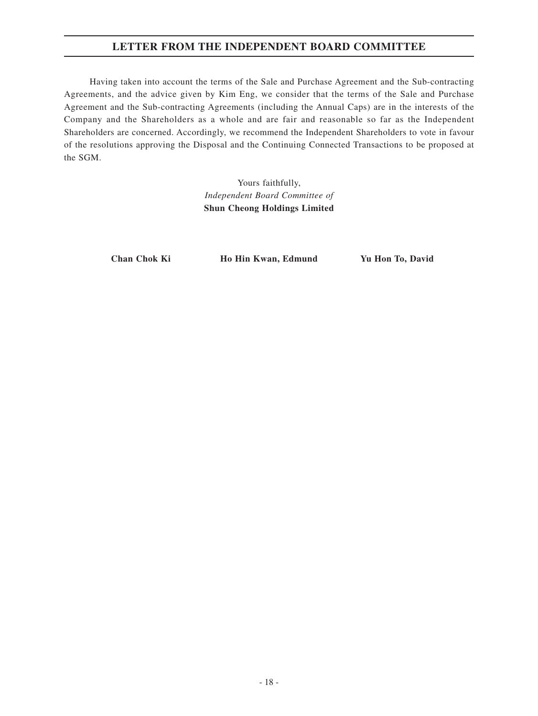# **LETTER FROM THE INDEPENDENT BOARD COMMITTEE**

Having taken into account the terms of the Sale and Purchase Agreement and the Sub-contracting Agreements, and the advice given by Kim Eng, we consider that the terms of the Sale and Purchase Agreement and the Sub-contracting Agreements (including the Annual Caps) are in the interests of the Company and the Shareholders as a whole and are fair and reasonable so far as the Independent Shareholders are concerned. Accordingly, we recommend the Independent Shareholders to vote in favour of the resolutions approving the Disposal and the Continuing Connected Transactions to be proposed at the SGM.

> Yours faithfully, *Independent Board Committee of* **Shun Cheong Holdings Limited**

**Chan Chok Ki Ho Hin Kwan, Edmund Yu Hon To, David**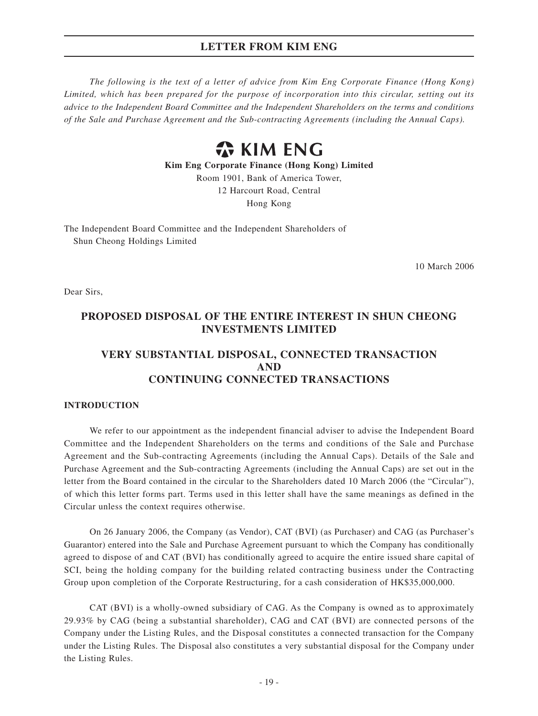*The following is the text of a letter of advice from Kim Eng Corporate Finance (Hong Kong) Limited, which has been prepared for the purpose of incorporation into this circular, setting out its advice to the Independent Board Committee and the Independent Shareholders on the terms and conditions of the Sale and Purchase Agreement and the Sub-contracting Agreements (including the Annual Caps).*



**Kim Eng Corporate Finance (Hong Kong) Limited**

Room 1901, Bank of America Tower, 12 Harcourt Road, Central Hong Kong

The Independent Board Committee and the Independent Shareholders of Shun Cheong Holdings Limited

10 March 2006

Dear Sirs,

# **PROPOSED DISPOSAL OF THE ENTIRE INTEREST IN SHUN CHEONG INVESTMENTS LIMITED**

# **VERY SUBSTANTIAL DISPOSAL, CONNECTED TRANSACTION AND CONTINUING CONNECTED TRANSACTIONS**

#### **INTRODUCTION**

We refer to our appointment as the independent financial adviser to advise the Independent Board Committee and the Independent Shareholders on the terms and conditions of the Sale and Purchase Agreement and the Sub-contracting Agreements (including the Annual Caps). Details of the Sale and Purchase Agreement and the Sub-contracting Agreements (including the Annual Caps) are set out in the letter from the Board contained in the circular to the Shareholders dated 10 March 2006 (the "Circular"), of which this letter forms part. Terms used in this letter shall have the same meanings as defined in the Circular unless the context requires otherwise.

On 26 January 2006, the Company (as Vendor), CAT (BVI) (as Purchaser) and CAG (as Purchaser's Guarantor) entered into the Sale and Purchase Agreement pursuant to which the Company has conditionally agreed to dispose of and CAT (BVI) has conditionally agreed to acquire the entire issued share capital of SCI, being the holding company for the building related contracting business under the Contracting Group upon completion of the Corporate Restructuring, for a cash consideration of HK\$35,000,000.

CAT (BVI) is a wholly-owned subsidiary of CAG. As the Company is owned as to approximately 29.93% by CAG (being a substantial shareholder), CAG and CAT (BVI) are connected persons of the Company under the Listing Rules, and the Disposal constitutes a connected transaction for the Company under the Listing Rules. The Disposal also constitutes a very substantial disposal for the Company under the Listing Rules.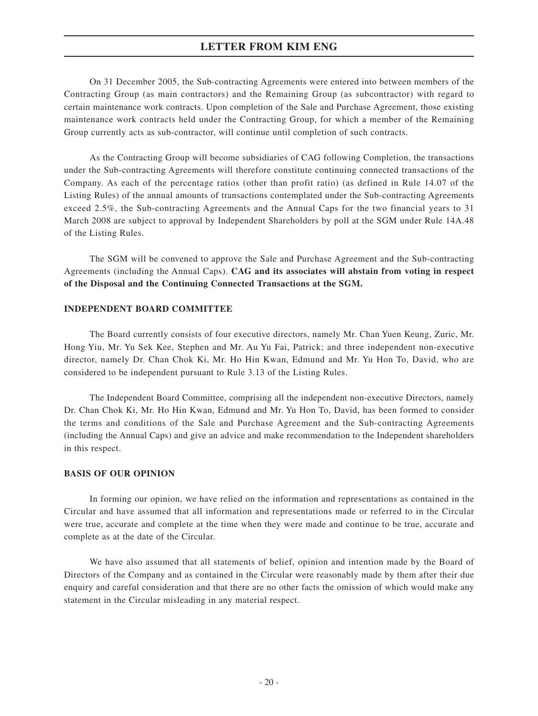On 31 December 2005, the Sub-contracting Agreements were entered into between members of the Contracting Group (as main contractors) and the Remaining Group (as subcontractor) with regard to certain maintenance work contracts. Upon completion of the Sale and Purchase Agreement, those existing maintenance work contracts held under the Contracting Group, for which a member of the Remaining Group currently acts as sub-contractor, will continue until completion of such contracts.

As the Contracting Group will become subsidiaries of CAG following Completion, the transactions under the Sub-contracting Agreements will therefore constitute continuing connected transactions of the Company. As each of the percentage ratios (other than profit ratio) (as defined in Rule 14.07 of the Listing Rules) of the annual amounts of transactions contemplated under the Sub-contracting Agreements exceed 2.5%, the Sub-contracting Agreements and the Annual Caps for the two financial years to 31 March 2008 are subject to approval by Independent Shareholders by poll at the SGM under Rule 14A.48 of the Listing Rules.

The SGM will be convened to approve the Sale and Purchase Agreement and the Sub-contracting Agreements (including the Annual Caps). **CAG and its associates will abstain from voting in respect of the Disposal and the Continuing Connected Transactions at the SGM.**

#### **INDEPENDENT BOARD COMMITTEE**

The Board currently consists of four executive directors, namely Mr. Chan Yuen Keung, Zuric, Mr. Hong Yiu, Mr. Yu Sek Kee, Stephen and Mr. Au Yu Fai, Patrick; and three independent non-executive director, namely Dr. Chan Chok Ki, Mr. Ho Hin Kwan, Edmund and Mr. Yu Hon To, David, who are considered to be independent pursuant to Rule 3.13 of the Listing Rules.

The Independent Board Committee, comprising all the independent non-executive Directors, namely Dr. Chan Chok Ki, Mr. Ho Hin Kwan, Edmund and Mr. Yu Hon To, David, has been formed to consider the terms and conditions of the Sale and Purchase Agreement and the Sub-contracting Agreements (including the Annual Caps) and give an advice and make recommendation to the Independent shareholders in this respect.

#### **BASIS OF OUR OPINION**

In forming our opinion, we have relied on the information and representations as contained in the Circular and have assumed that all information and representations made or referred to in the Circular were true, accurate and complete at the time when they were made and continue to be true, accurate and complete as at the date of the Circular.

We have also assumed that all statements of belief, opinion and intention made by the Board of Directors of the Company and as contained in the Circular were reasonably made by them after their due enquiry and careful consideration and that there are no other facts the omission of which would make any statement in the Circular misleading in any material respect.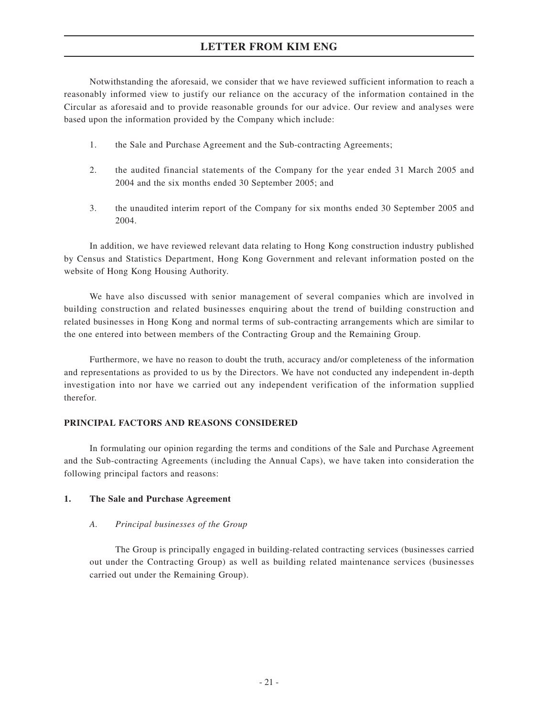Notwithstanding the aforesaid, we consider that we have reviewed sufficient information to reach a reasonably informed view to justify our reliance on the accuracy of the information contained in the Circular as aforesaid and to provide reasonable grounds for our advice. Our review and analyses were based upon the information provided by the Company which include:

- 1. the Sale and Purchase Agreement and the Sub-contracting Agreements;
- 2. the audited financial statements of the Company for the year ended 31 March 2005 and 2004 and the six months ended 30 September 2005; and
- 3. the unaudited interim report of the Company for six months ended 30 September 2005 and 2004.

In addition, we have reviewed relevant data relating to Hong Kong construction industry published by Census and Statistics Department, Hong Kong Government and relevant information posted on the website of Hong Kong Housing Authority.

We have also discussed with senior management of several companies which are involved in building construction and related businesses enquiring about the trend of building construction and related businesses in Hong Kong and normal terms of sub-contracting arrangements which are similar to the one entered into between members of the Contracting Group and the Remaining Group.

Furthermore, we have no reason to doubt the truth, accuracy and/or completeness of the information and representations as provided to us by the Directors. We have not conducted any independent in-depth investigation into nor have we carried out any independent verification of the information supplied therefor.

# **PRINCIPAL FACTORS AND REASONS CONSIDERED**

In formulating our opinion regarding the terms and conditions of the Sale and Purchase Agreement and the Sub-contracting Agreements (including the Annual Caps), we have taken into consideration the following principal factors and reasons:

### **1. The Sale and Purchase Agreement**

### *A. Principal businesses of the Group*

The Group is principally engaged in building-related contracting services (businesses carried out under the Contracting Group) as well as building related maintenance services (businesses carried out under the Remaining Group).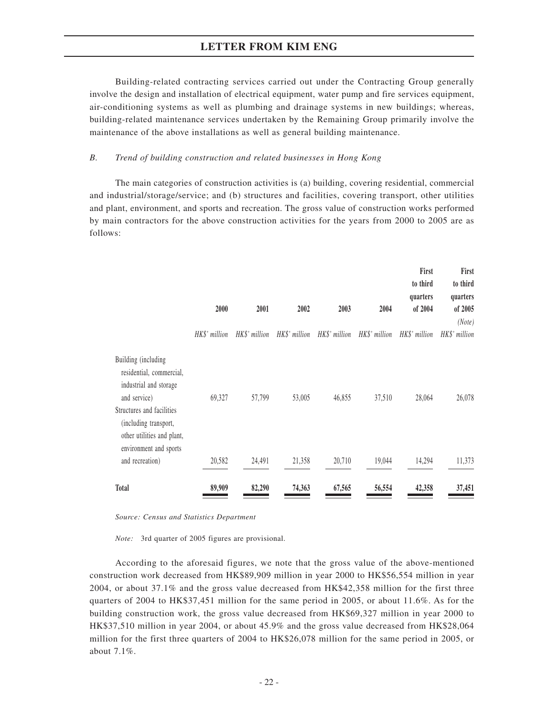Building-related contracting services carried out under the Contracting Group generally involve the design and installation of electrical equipment, water pump and fire services equipment, air-conditioning systems as well as plumbing and drainage systems in new buildings; whereas, building-related maintenance services undertaken by the Remaining Group primarily involve the maintenance of the above installations as well as general building maintenance.

#### *B. Trend of building construction and related businesses in Hong Kong*

The main categories of construction activities is (a) building, covering residential, commercial and industrial/storage/service; and (b) structures and facilities, covering transport, other utilities and plant, environment, and sports and recreation. The gross value of construction works performed by main contractors for the above construction activities for the years from 2000 to 2005 are as follows:

|                                                                                                                                                                                                         | 2000             | 2001<br>HK\$' million HK\$' million | 2002             | 2003             | 2004<br>HK\$' million HK\$' million HK\$' million HK\$' million | First<br>to third<br>quarters<br>of 2004 | First<br>to third<br>quarters<br>of 2005<br>(Note)<br>HK\$' million |
|---------------------------------------------------------------------------------------------------------------------------------------------------------------------------------------------------------|------------------|-------------------------------------|------------------|------------------|-----------------------------------------------------------------|------------------------------------------|---------------------------------------------------------------------|
| Building (including<br>residential, commercial,<br>industrial and storage<br>and service)<br>Structures and facilities<br>(including transport,<br>other utilities and plant,<br>environment and sports | 69,327<br>20,582 | 57,799<br>24,491                    | 53,005<br>21,358 | 46,855<br>20,710 | 37,510<br>19,044                                                | 28,064<br>14,294                         | 26,078<br>11,373                                                    |
| and recreation)<br><b>Total</b>                                                                                                                                                                         | 89,909           | 82,290                              | 74,363           | 67,565           | 56,554                                                          | 42,358                                   | 37,451                                                              |

*Source: Census and Statistics Department*

*Note:* 3rd quarter of 2005 figures are provisional.

According to the aforesaid figures, we note that the gross value of the above-mentioned construction work decreased from HK\$89,909 million in year 2000 to HK\$56,554 million in year 2004, or about 37.1% and the gross value decreased from HK\$42,358 million for the first three quarters of 2004 to HK\$37,451 million for the same period in 2005, or about 11.6%. As for the building construction work, the gross value decreased from HK\$69,327 million in year 2000 to HK\$37,510 million in year 2004, or about 45.9% and the gross value decreased from HK\$28,064 million for the first three quarters of 2004 to HK\$26,078 million for the same period in 2005, or about 7.1%.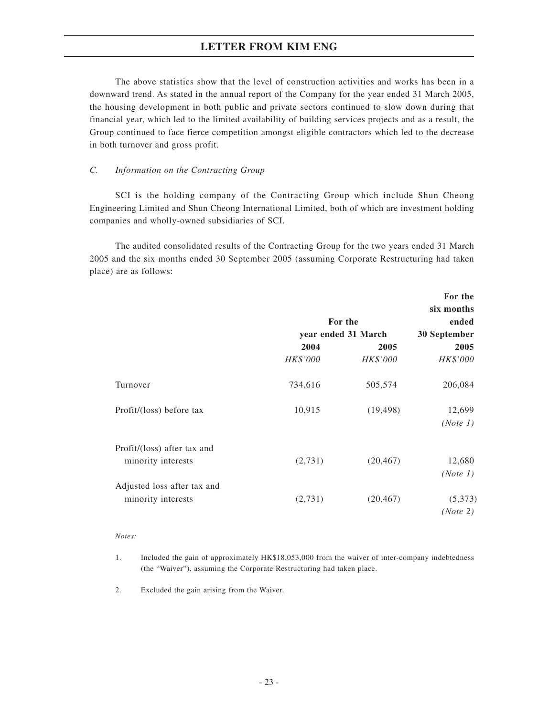The above statistics show that the level of construction activities and works has been in a downward trend. As stated in the annual report of the Company for the year ended 31 March 2005, the housing development in both public and private sectors continued to slow down during that financial year, which led to the limited availability of building services projects and as a result, the Group continued to face fierce competition amongst eligible contractors which led to the decrease in both turnover and gross profit.

### *C. Information on the Contracting Group*

SCI is the holding company of the Contracting Group which include Shun Cheong Engineering Limited and Shun Cheong International Limited, both of which are investment holding companies and wholly-owned subsidiaries of SCI.

The audited consolidated results of the Contracting Group for the two years ended 31 March 2005 and the six months ended 30 September 2005 (assuming Corporate Restructuring had taken place) are as follows:

|                             |          |                     | For the    |  |
|-----------------------------|----------|---------------------|------------|--|
|                             |          |                     | six months |  |
|                             |          | For the             | ended      |  |
|                             |          | year ended 31 March |            |  |
|                             | 2004     | 2005                | 2005       |  |
|                             | HK\$'000 | HK\$'000            | HK\$'000   |  |
| Turnover                    | 734,616  | 505,574             | 206,084    |  |
| Profit/(loss) before tax    | 10,915   | (19, 498)           | 12,699     |  |
|                             |          |                     | (Note 1)   |  |
| Profit/(loss) after tax and |          |                     |            |  |
| minority interests          | (2,731)  | (20, 467)           | 12,680     |  |
|                             |          |                     | (Note 1)   |  |
| Adjusted loss after tax and |          |                     |            |  |
| minority interests          | (2,731)  | (20, 467)           | (5,373)    |  |
|                             |          |                     | (Note 2)   |  |

#### *Notes:*

1. Included the gain of approximately HK\$18,053,000 from the waiver of inter-company indebtedness (the "Waiver"), assuming the Corporate Restructuring had taken place.

2. Excluded the gain arising from the Waiver.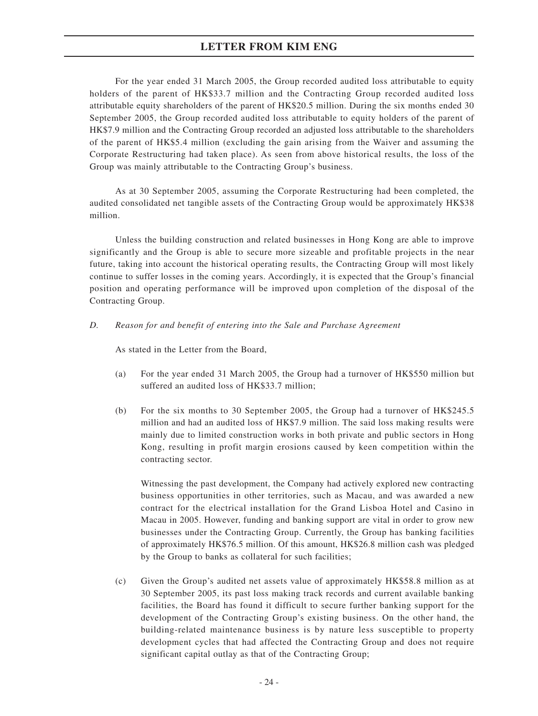For the year ended 31 March 2005, the Group recorded audited loss attributable to equity holders of the parent of HK\$33.7 million and the Contracting Group recorded audited loss attributable equity shareholders of the parent of HK\$20.5 million. During the six months ended 30 September 2005, the Group recorded audited loss attributable to equity holders of the parent of HK\$7.9 million and the Contracting Group recorded an adjusted loss attributable to the shareholders of the parent of HK\$5.4 million (excluding the gain arising from the Waiver and assuming the Corporate Restructuring had taken place). As seen from above historical results, the loss of the Group was mainly attributable to the Contracting Group's business.

As at 30 September 2005, assuming the Corporate Restructuring had been completed, the audited consolidated net tangible assets of the Contracting Group would be approximately HK\$38 million.

Unless the building construction and related businesses in Hong Kong are able to improve significantly and the Group is able to secure more sizeable and profitable projects in the near future, taking into account the historical operating results, the Contracting Group will most likely continue to suffer losses in the coming years. Accordingly, it is expected that the Group's financial position and operating performance will be improved upon completion of the disposal of the Contracting Group.

### *D. Reason for and benefit of entering into the Sale and Purchase Agreement*

As stated in the Letter from the Board,

- (a) For the year ended 31 March 2005, the Group had a turnover of HK\$550 million but suffered an audited loss of HK\$33.7 million;
- (b) For the six months to 30 September 2005, the Group had a turnover of HK\$245.5 million and had an audited loss of HK\$7.9 million. The said loss making results were mainly due to limited construction works in both private and public sectors in Hong Kong, resulting in profit margin erosions caused by keen competition within the contracting sector.

Witnessing the past development, the Company had actively explored new contracting business opportunities in other territories, such as Macau, and was awarded a new contract for the electrical installation for the Grand Lisboa Hotel and Casino in Macau in 2005. However, funding and banking support are vital in order to grow new businesses under the Contracting Group. Currently, the Group has banking facilities of approximately HK\$76.5 million. Of this amount, HK\$26.8 million cash was pledged by the Group to banks as collateral for such facilities;

(c) Given the Group's audited net assets value of approximately HK\$58.8 million as at 30 September 2005, its past loss making track records and current available banking facilities, the Board has found it difficult to secure further banking support for the development of the Contracting Group's existing business. On the other hand, the building-related maintenance business is by nature less susceptible to property development cycles that had affected the Contracting Group and does not require significant capital outlay as that of the Contracting Group;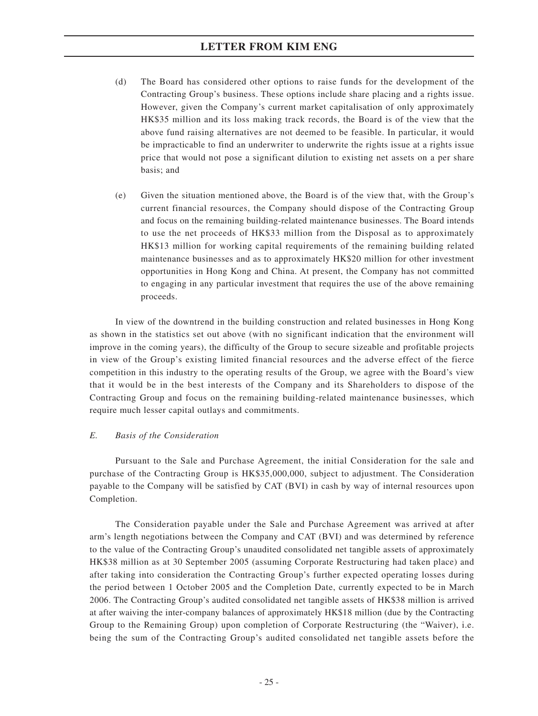- (d) The Board has considered other options to raise funds for the development of the Contracting Group's business. These options include share placing and a rights issue. However, given the Company's current market capitalisation of only approximately HK\$35 million and its loss making track records, the Board is of the view that the above fund raising alternatives are not deemed to be feasible. In particular, it would be impracticable to find an underwriter to underwrite the rights issue at a rights issue price that would not pose a significant dilution to existing net assets on a per share basis; and
- (e) Given the situation mentioned above, the Board is of the view that, with the Group's current financial resources, the Company should dispose of the Contracting Group and focus on the remaining building-related maintenance businesses. The Board intends to use the net proceeds of HK\$33 million from the Disposal as to approximately HK\$13 million for working capital requirements of the remaining building related maintenance businesses and as to approximately HK\$20 million for other investment opportunities in Hong Kong and China. At present, the Company has not committed to engaging in any particular investment that requires the use of the above remaining proceeds.

In view of the downtrend in the building construction and related businesses in Hong Kong as shown in the statistics set out above (with no significant indication that the environment will improve in the coming years), the difficulty of the Group to secure sizeable and profitable projects in view of the Group's existing limited financial resources and the adverse effect of the fierce competition in this industry to the operating results of the Group, we agree with the Board's view that it would be in the best interests of the Company and its Shareholders to dispose of the Contracting Group and focus on the remaining building-related maintenance businesses, which require much lesser capital outlays and commitments.

### *E. Basis of the Consideration*

Pursuant to the Sale and Purchase Agreement, the initial Consideration for the sale and purchase of the Contracting Group is HK\$35,000,000, subject to adjustment. The Consideration payable to the Company will be satisfied by CAT (BVI) in cash by way of internal resources upon Completion.

The Consideration payable under the Sale and Purchase Agreement was arrived at after arm's length negotiations between the Company and CAT (BVI) and was determined by reference to the value of the Contracting Group's unaudited consolidated net tangible assets of approximately HK\$38 million as at 30 September 2005 (assuming Corporate Restructuring had taken place) and after taking into consideration the Contracting Group's further expected operating losses during the period between 1 October 2005 and the Completion Date, currently expected to be in March 2006. The Contracting Group's audited consolidated net tangible assets of HK\$38 million is arrived at after waiving the inter-company balances of approximately HK\$18 million (due by the Contracting Group to the Remaining Group) upon completion of Corporate Restructuring (the "Waiver), i.e. being the sum of the Contracting Group's audited consolidated net tangible assets before the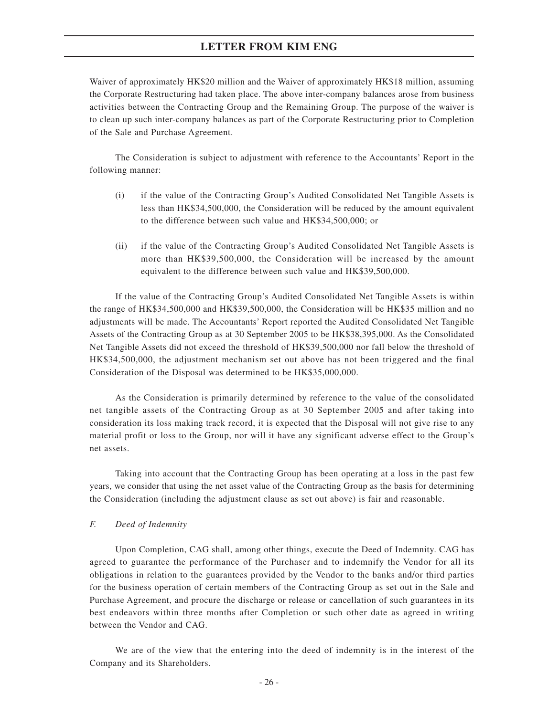Waiver of approximately HK\$20 million and the Waiver of approximately HK\$18 million, assuming the Corporate Restructuring had taken place. The above inter-company balances arose from business activities between the Contracting Group and the Remaining Group. The purpose of the waiver is to clean up such inter-company balances as part of the Corporate Restructuring prior to Completion of the Sale and Purchase Agreement.

The Consideration is subject to adjustment with reference to the Accountants' Report in the following manner:

- (i) if the value of the Contracting Group's Audited Consolidated Net Tangible Assets is less than HK\$34,500,000, the Consideration will be reduced by the amount equivalent to the difference between such value and HK\$34,500,000; or
- (ii) if the value of the Contracting Group's Audited Consolidated Net Tangible Assets is more than HK\$39,500,000, the Consideration will be increased by the amount equivalent to the difference between such value and HK\$39,500,000.

If the value of the Contracting Group's Audited Consolidated Net Tangible Assets is within the range of HK\$34,500,000 and HK\$39,500,000, the Consideration will be HK\$35 million and no adjustments will be made. The Accountants' Report reported the Audited Consolidated Net Tangible Assets of the Contracting Group as at 30 September 2005 to be HK\$38,395,000. As the Consolidated Net Tangible Assets did not exceed the threshold of HK\$39,500,000 nor fall below the threshold of HK\$34,500,000, the adjustment mechanism set out above has not been triggered and the final Consideration of the Disposal was determined to be HK\$35,000,000.

As the Consideration is primarily determined by reference to the value of the consolidated net tangible assets of the Contracting Group as at 30 September 2005 and after taking into consideration its loss making track record, it is expected that the Disposal will not give rise to any material profit or loss to the Group, nor will it have any significant adverse effect to the Group's net assets.

Taking into account that the Contracting Group has been operating at a loss in the past few years, we consider that using the net asset value of the Contracting Group as the basis for determining the Consideration (including the adjustment clause as set out above) is fair and reasonable.

#### *F. Deed of Indemnity*

Upon Completion, CAG shall, among other things, execute the Deed of Indemnity. CAG has agreed to guarantee the performance of the Purchaser and to indemnify the Vendor for all its obligations in relation to the guarantees provided by the Vendor to the banks and/or third parties for the business operation of certain members of the Contracting Group as set out in the Sale and Purchase Agreement, and procure the discharge or release or cancellation of such guarantees in its best endeavors within three months after Completion or such other date as agreed in writing between the Vendor and CAG.

We are of the view that the entering into the deed of indemnity is in the interest of the Company and its Shareholders.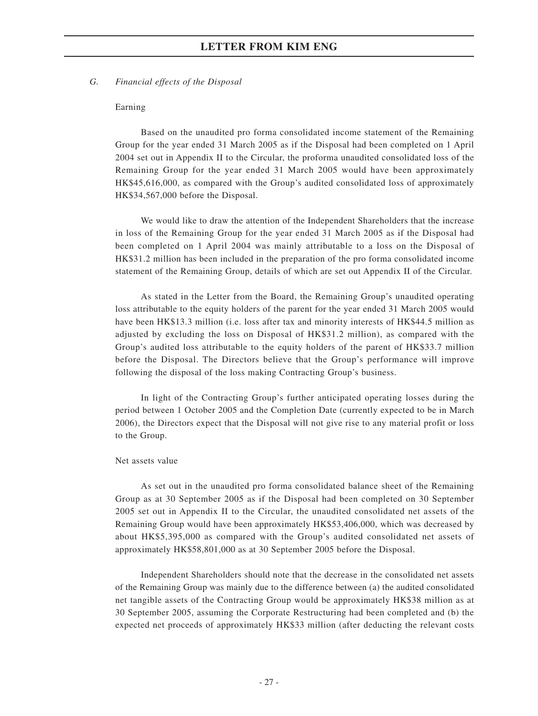#### *G. Financial effects of the Disposal*

#### Earning

Based on the unaudited pro forma consolidated income statement of the Remaining Group for the year ended 31 March 2005 as if the Disposal had been completed on 1 April 2004 set out in Appendix II to the Circular, the proforma unaudited consolidated loss of the Remaining Group for the year ended 31 March 2005 would have been approximately HK\$45,616,000, as compared with the Group's audited consolidated loss of approximately HK\$34,567,000 before the Disposal.

We would like to draw the attention of the Independent Shareholders that the increase in loss of the Remaining Group for the year ended 31 March 2005 as if the Disposal had been completed on 1 April 2004 was mainly attributable to a loss on the Disposal of HK\$31.2 million has been included in the preparation of the pro forma consolidated income statement of the Remaining Group, details of which are set out Appendix II of the Circular.

As stated in the Letter from the Board, the Remaining Group's unaudited operating loss attributable to the equity holders of the parent for the year ended 31 March 2005 would have been HK\$13.3 million (i.e. loss after tax and minority interests of HK\$44.5 million as adjusted by excluding the loss on Disposal of HK\$31.2 million), as compared with the Group's audited loss attributable to the equity holders of the parent of HK\$33.7 million before the Disposal. The Directors believe that the Group's performance will improve following the disposal of the loss making Contracting Group's business.

In light of the Contracting Group's further anticipated operating losses during the period between 1 October 2005 and the Completion Date (currently expected to be in March 2006), the Directors expect that the Disposal will not give rise to any material profit or loss to the Group.

#### Net assets value

As set out in the unaudited pro forma consolidated balance sheet of the Remaining Group as at 30 September 2005 as if the Disposal had been completed on 30 September 2005 set out in Appendix II to the Circular, the unaudited consolidated net assets of the Remaining Group would have been approximately HK\$53,406,000, which was decreased by about HK\$5,395,000 as compared with the Group's audited consolidated net assets of approximately HK\$58,801,000 as at 30 September 2005 before the Disposal.

Independent Shareholders should note that the decrease in the consolidated net assets of the Remaining Group was mainly due to the difference between (a) the audited consolidated net tangible assets of the Contracting Group would be approximately HK\$38 million as at 30 September 2005, assuming the Corporate Restructuring had been completed and (b) the expected net proceeds of approximately HK\$33 million (after deducting the relevant costs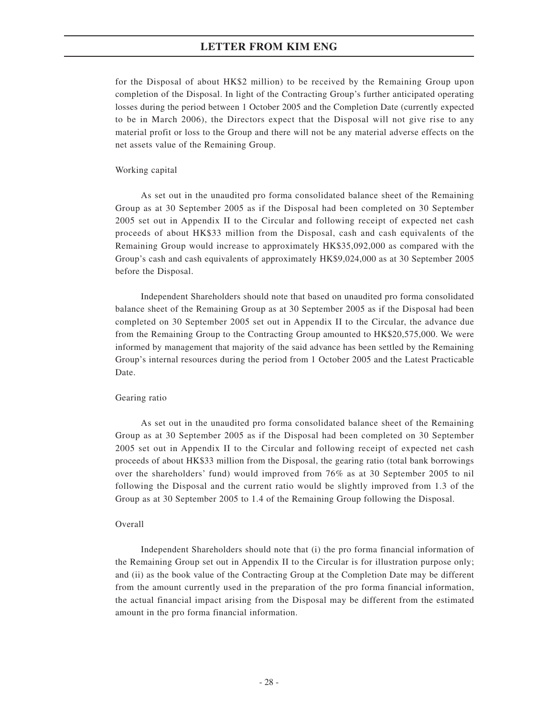for the Disposal of about HK\$2 million) to be received by the Remaining Group upon completion of the Disposal. In light of the Contracting Group's further anticipated operating losses during the period between 1 October 2005 and the Completion Date (currently expected to be in March 2006), the Directors expect that the Disposal will not give rise to any material profit or loss to the Group and there will not be any material adverse effects on the net assets value of the Remaining Group.

#### Working capital

As set out in the unaudited pro forma consolidated balance sheet of the Remaining Group as at 30 September 2005 as if the Disposal had been completed on 30 September 2005 set out in Appendix II to the Circular and following receipt of expected net cash proceeds of about HK\$33 million from the Disposal, cash and cash equivalents of the Remaining Group would increase to approximately HK\$35,092,000 as compared with the Group's cash and cash equivalents of approximately HK\$9,024,000 as at 30 September 2005 before the Disposal.

Independent Shareholders should note that based on unaudited pro forma consolidated balance sheet of the Remaining Group as at 30 September 2005 as if the Disposal had been completed on 30 September 2005 set out in Appendix II to the Circular, the advance due from the Remaining Group to the Contracting Group amounted to HK\$20,575,000. We were informed by management that majority of the said advance has been settled by the Remaining Group's internal resources during the period from 1 October 2005 and the Latest Practicable Date.

#### Gearing ratio

As set out in the unaudited pro forma consolidated balance sheet of the Remaining Group as at 30 September 2005 as if the Disposal had been completed on 30 September 2005 set out in Appendix II to the Circular and following receipt of expected net cash proceeds of about HK\$33 million from the Disposal, the gearing ratio (total bank borrowings over the shareholders' fund) would improved from 76% as at 30 September 2005 to nil following the Disposal and the current ratio would be slightly improved from 1.3 of the Group as at 30 September 2005 to 1.4 of the Remaining Group following the Disposal.

#### Overall

Independent Shareholders should note that (i) the pro forma financial information of the Remaining Group set out in Appendix II to the Circular is for illustration purpose only; and (ii) as the book value of the Contracting Group at the Completion Date may be different from the amount currently used in the preparation of the pro forma financial information, the actual financial impact arising from the Disposal may be different from the estimated amount in the pro forma financial information.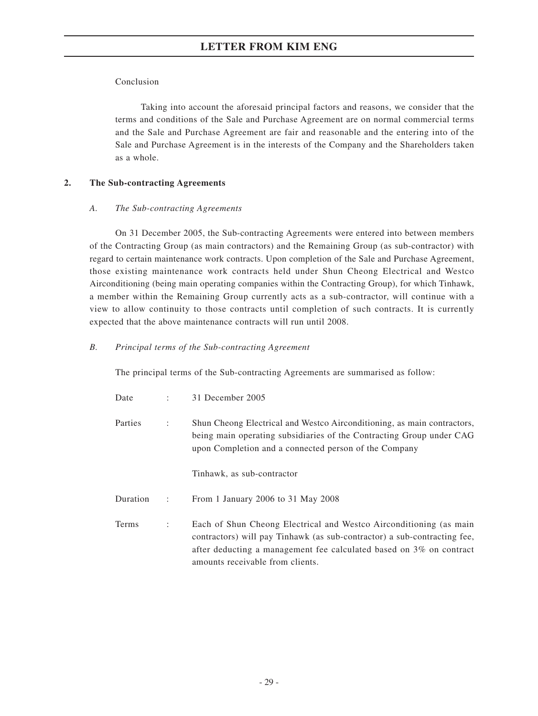# Conclusion

Taking into account the aforesaid principal factors and reasons, we consider that the terms and conditions of the Sale and Purchase Agreement are on normal commercial terms and the Sale and Purchase Agreement are fair and reasonable and the entering into of the Sale and Purchase Agreement is in the interests of the Company and the Shareholders taken as a whole.

# **2. The Sub-contracting Agreements**

# *A. The Sub-contracting Agreements*

On 31 December 2005, the Sub-contracting Agreements were entered into between members of the Contracting Group (as main contractors) and the Remaining Group (as sub-contractor) with regard to certain maintenance work contracts. Upon completion of the Sale and Purchase Agreement, those existing maintenance work contracts held under Shun Cheong Electrical and Westco Airconditioning (being main operating companies within the Contracting Group), for which Tinhawk, a member within the Remaining Group currently acts as a sub-contractor, will continue with a view to allow continuity to those contracts until completion of such contracts. It is currently expected that the above maintenance contracts will run until 2008.

# *B. Principal terms of the Sub-contracting Agreement*

The principal terms of the Sub-contracting Agreements are summarised as follow:

| Date         | $\mathcal{L}$        | 31 December 2005                                                                                                                                                                                                                                             |
|--------------|----------------------|--------------------------------------------------------------------------------------------------------------------------------------------------------------------------------------------------------------------------------------------------------------|
| Parties      | $\ddot{\phantom{a}}$ | Shun Cheong Electrical and Westco Airconditioning, as main contractors,<br>being main operating subsidiaries of the Contracting Group under CAG<br>upon Completion and a connected person of the Company                                                     |
|              |                      | Tinhawk, as sub-contractor                                                                                                                                                                                                                                   |
| Duration     | $\mathbb{R}^2$       | From 1 January 2006 to 31 May 2008                                                                                                                                                                                                                           |
| <b>Terms</b> | $\ddot{\phantom{a}}$ | Each of Shun Cheong Electrical and Westco Airconditioning (as main<br>contractors) will pay Tinhawk (as sub-contractor) a sub-contracting fee,<br>after deducting a management fee calculated based on $3\%$ on contract<br>amounts receivable from clients. |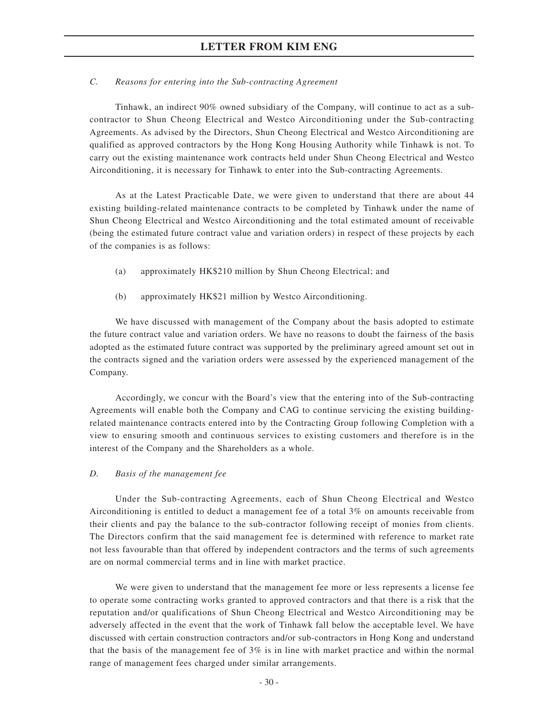#### *C. Reasons for entering into the Sub-contracting Agreement*

Tinhawk, an indirect 90% owned subsidiary of the Company, will continue to act as a subcontractor to Shun Cheong Electrical and Westco Airconditioning under the Sub-contracting Agreements. As advised by the Directors, Shun Cheong Electrical and Westco Airconditioning are qualified as approved contractors by the Hong Kong Housing Authority while Tinhawk is not. To carry out the existing maintenance work contracts held under Shun Cheong Electrical and Westco Airconditioning, it is necessary for Tinhawk to enter into the Sub-contracting Agreements.

As at the Latest Practicable Date, we were given to understand that there are about 44 existing building-related maintenance contracts to be completed by Tinhawk under the name of Shun Cheong Electrical and Westco Airconditioning and the total estimated amount of receivable (being the estimated future contract value and variation orders) in respect of these projects by each of the companies is as follows:

- (a) approximately HK\$210 million by Shun Cheong Electrical; and
- (b) approximately HK\$21 million by Westco Airconditioning.

We have discussed with management of the Company about the basis adopted to estimate the future contract value and variation orders. We have no reasons to doubt the fairness of the basis adopted as the estimated future contract was supported by the preliminary agreed amount set out in the contracts signed and the variation orders were assessed by the experienced management of the Company.

Accordingly, we concur with the Board's view that the entering into of the Sub-contracting Agreements will enable both the Company and CAG to continue servicing the existing buildingrelated maintenance contracts entered into by the Contracting Group following Completion with a view to ensuring smooth and continuous services to existing customers and therefore is in the interest of the Company and the Shareholders as a whole.

#### *D. Basis of the management fee*

Under the Sub-contracting Agreements, each of Shun Cheong Electrical and Westco Airconditioning is entitled to deduct a management fee of a total 3% on amounts receivable from their clients and pay the balance to the sub-contractor following receipt of monies from clients. The Directors confirm that the said management fee is determined with reference to market rate not less favourable than that offered by independent contractors and the terms of such agreements are on normal commercial terms and in line with market practice.

We were given to understand that the management fee more or less represents a license fee to operate some contracting works granted to approved contractors and that there is a risk that the reputation and/or qualifications of Shun Cheong Electrical and Westco Airconditioning may be adversely affected in the event that the work of Tinhawk fall below the acceptable level. We have discussed with certain construction contractors and/or sub-contractors in Hong Kong and understand that the basis of the management fee of 3% is in line with market practice and within the normal range of management fees charged under similar arrangements.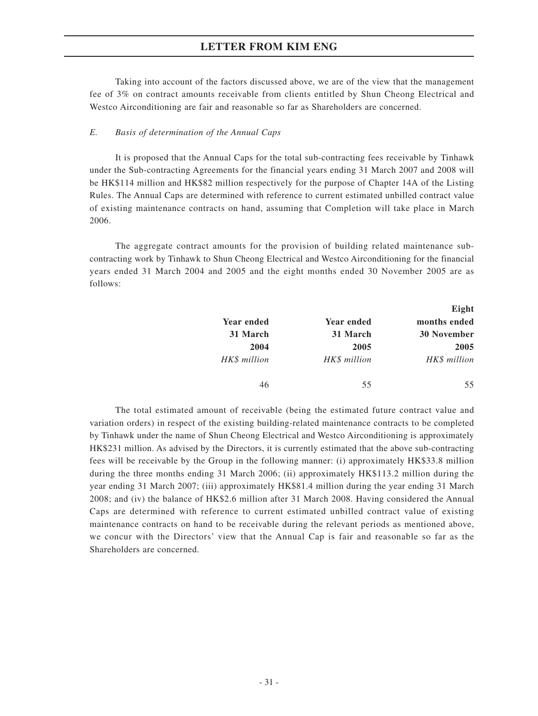Taking into account of the factors discussed above, we are of the view that the management fee of 3% on contract amounts receivable from clients entitled by Shun Cheong Electrical and Westco Airconditioning are fair and reasonable so far as Shareholders are concerned.

#### *E. Basis of determination of the Annual Caps*

It is proposed that the Annual Caps for the total sub-contracting fees receivable by Tinhawk under the Sub-contracting Agreements for the financial years ending 31 March 2007 and 2008 will be HK\$114 million and HK\$82 million respectively for the purpose of Chapter 14A of the Listing Rules. The Annual Caps are determined with reference to current estimated unbilled contract value of existing maintenance contracts on hand, assuming that Completion will take place in March 2006.

The aggregate contract amounts for the provision of building related maintenance subcontracting work by Tinhawk to Shun Cheong Electrical and Westco Airconditioning for the financial years ended 31 March 2004 and 2005 and the eight months ended 30 November 2005 are as follows:

| <b>Elgnt</b>       |              |              |  |
|--------------------|--------------|--------------|--|
| months ended       | Year ended   | Year ended   |  |
| <b>30 November</b> | 31 March     | 31 March     |  |
| 2005               | 2005         | 2004         |  |
| HK\$ million       | HK\$ million | HK\$ million |  |
| 55                 | 55           | 46           |  |

**Eight**

The total estimated amount of receivable (being the estimated future contract value and variation orders) in respect of the existing building-related maintenance contracts to be completed by Tinhawk under the name of Shun Cheong Electrical and Westco Airconditioning is approximately HK\$231 million. As advised by the Directors, it is currently estimated that the above sub-contracting fees will be receivable by the Group in the following manner: (i) approximately HK\$33.8 million during the three months ending 31 March 2006; (ii) approximately HK\$113.2 million during the year ending 31 March 2007; (iii) approximately HK\$81.4 million during the year ending 31 March 2008; and (iv) the balance of HK\$2.6 million after 31 March 2008. Having considered the Annual Caps are determined with reference to current estimated unbilled contract value of existing maintenance contracts on hand to be receivable during the relevant periods as mentioned above, we concur with the Directors' view that the Annual Cap is fair and reasonable so far as the Shareholders are concerned.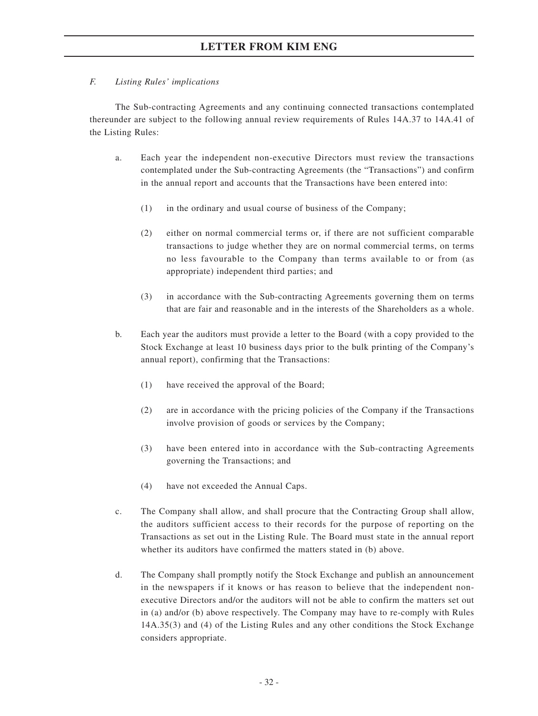# *F. Listing Rules' implications*

The Sub-contracting Agreements and any continuing connected transactions contemplated thereunder are subject to the following annual review requirements of Rules 14A.37 to 14A.41 of the Listing Rules:

- a. Each year the independent non-executive Directors must review the transactions contemplated under the Sub-contracting Agreements (the "Transactions") and confirm in the annual report and accounts that the Transactions have been entered into:
	- (1) in the ordinary and usual course of business of the Company;
	- (2) either on normal commercial terms or, if there are not sufficient comparable transactions to judge whether they are on normal commercial terms, on terms no less favourable to the Company than terms available to or from (as appropriate) independent third parties; and
	- (3) in accordance with the Sub-contracting Agreements governing them on terms that are fair and reasonable and in the interests of the Shareholders as a whole.
- b. Each year the auditors must provide a letter to the Board (with a copy provided to the Stock Exchange at least 10 business days prior to the bulk printing of the Company's annual report), confirming that the Transactions:
	- (1) have received the approval of the Board;
	- (2) are in accordance with the pricing policies of the Company if the Transactions involve provision of goods or services by the Company;
	- (3) have been entered into in accordance with the Sub-contracting Agreements governing the Transactions; and
	- (4) have not exceeded the Annual Caps.
- c. The Company shall allow, and shall procure that the Contracting Group shall allow, the auditors sufficient access to their records for the purpose of reporting on the Transactions as set out in the Listing Rule. The Board must state in the annual report whether its auditors have confirmed the matters stated in (b) above.
- d. The Company shall promptly notify the Stock Exchange and publish an announcement in the newspapers if it knows or has reason to believe that the independent nonexecutive Directors and/or the auditors will not be able to confirm the matters set out in (a) and/or (b) above respectively. The Company may have to re-comply with Rules 14A.35(3) and (4) of the Listing Rules and any other conditions the Stock Exchange considers appropriate.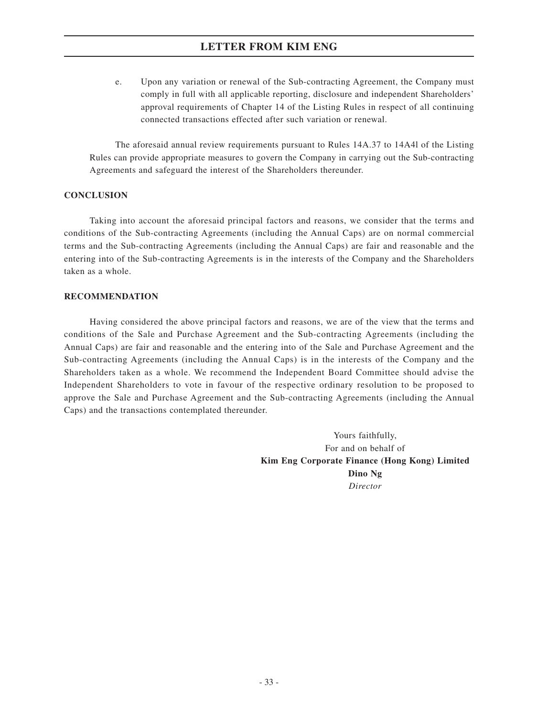e. Upon any variation or renewal of the Sub-contracting Agreement, the Company must comply in full with all applicable reporting, disclosure and independent Shareholders' approval requirements of Chapter 14 of the Listing Rules in respect of all continuing connected transactions effected after such variation or renewal.

The aforesaid annual review requirements pursuant to Rules 14A.37 to 14A4l of the Listing Rules can provide appropriate measures to govern the Company in carrying out the Sub-contracting Agreements and safeguard the interest of the Shareholders thereunder.

# **CONCLUSION**

Taking into account the aforesaid principal factors and reasons, we consider that the terms and conditions of the Sub-contracting Agreements (including the Annual Caps) are on normal commercial terms and the Sub-contracting Agreements (including the Annual Caps) are fair and reasonable and the entering into of the Sub-contracting Agreements is in the interests of the Company and the Shareholders taken as a whole.

### **RECOMMENDATION**

Having considered the above principal factors and reasons, we are of the view that the terms and conditions of the Sale and Purchase Agreement and the Sub-contracting Agreements (including the Annual Caps) are fair and reasonable and the entering into of the Sale and Purchase Agreement and the Sub-contracting Agreements (including the Annual Caps) is in the interests of the Company and the Shareholders taken as a whole. We recommend the Independent Board Committee should advise the Independent Shareholders to vote in favour of the respective ordinary resolution to be proposed to approve the Sale and Purchase Agreement and the Sub-contracting Agreements (including the Annual Caps) and the transactions contemplated thereunder.

> Yours faithfully, For and on behalf of **Kim Eng Corporate Finance (Hong Kong) Limited Dino Ng** *Director*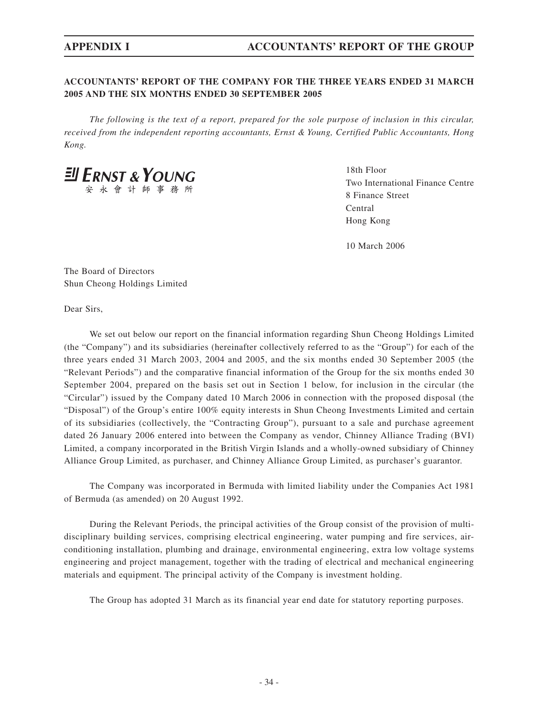### **APPENDIX I ACCOUNTANTS' REPORT OF THE GROUP**

# **ACCOUNTANTS' REPORT OF THE COMPANY FOR THE THREE YEARS ENDED 31 MARCH 2005 AND THE SIX MONTHS ENDED 30 SEPTEMBER 2005**

*The following is the text of a report, prepared for the sole purpose of inclusion in this circular, received from the independent reporting accountants, Ernst & Young, Certified Public Accountants, Hong Kong.*



18th Floor Two International Finance Centre 8 Finance Street Central Hong Kong

10 March 2006

The Board of Directors Shun Cheong Holdings Limited

Dear Sirs,

We set out below our report on the financial information regarding Shun Cheong Holdings Limited (the "Company") and its subsidiaries (hereinafter collectively referred to as the "Group") for each of the three years ended 31 March 2003, 2004 and 2005, and the six months ended 30 September 2005 (the "Relevant Periods") and the comparative financial information of the Group for the six months ended 30 September 2004, prepared on the basis set out in Section 1 below, for inclusion in the circular (the "Circular") issued by the Company dated 10 March 2006 in connection with the proposed disposal (the "Disposal") of the Group's entire 100% equity interests in Shun Cheong Investments Limited and certain of its subsidiaries (collectively, the "Contracting Group"), pursuant to a sale and purchase agreement dated 26 January 2006 entered into between the Company as vendor, Chinney Alliance Trading (BVI) Limited, a company incorporated in the British Virgin Islands and a wholly-owned subsidiary of Chinney Alliance Group Limited, as purchaser, and Chinney Alliance Group Limited, as purchaser's guarantor.

The Company was incorporated in Bermuda with limited liability under the Companies Act 1981 of Bermuda (as amended) on 20 August 1992.

During the Relevant Periods, the principal activities of the Group consist of the provision of multidisciplinary building services, comprising electrical engineering, water pumping and fire services, airconditioning installation, plumbing and drainage, environmental engineering, extra low voltage systems engineering and project management, together with the trading of electrical and mechanical engineering materials and equipment. The principal activity of the Company is investment holding.

The Group has adopted 31 March as its financial year end date for statutory reporting purposes.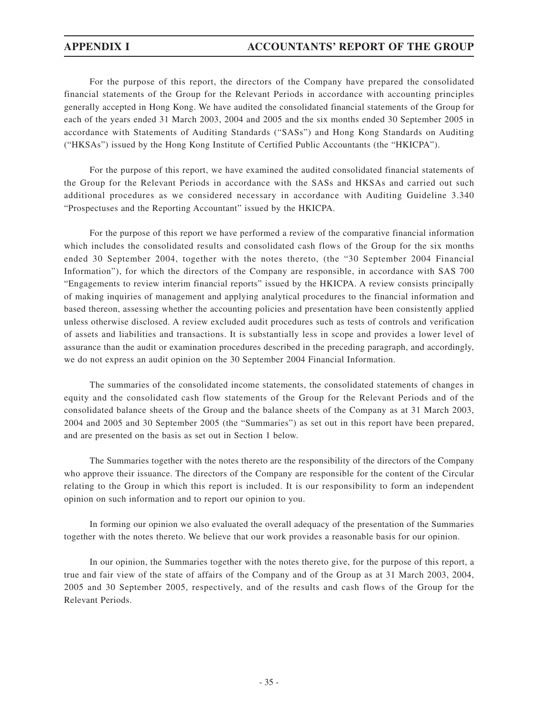For the purpose of this report, the directors of the Company have prepared the consolidated financial statements of the Group for the Relevant Periods in accordance with accounting principles generally accepted in Hong Kong. We have audited the consolidated financial statements of the Group for each of the years ended 31 March 2003, 2004 and 2005 and the six months ended 30 September 2005 in accordance with Statements of Auditing Standards ("SASs") and Hong Kong Standards on Auditing ("HKSAs") issued by the Hong Kong Institute of Certified Public Accountants (the "HKICPA").

For the purpose of this report, we have examined the audited consolidated financial statements of the Group for the Relevant Periods in accordance with the SASs and HKSAs and carried out such additional procedures as we considered necessary in accordance with Auditing Guideline 3.340 "Prospectuses and the Reporting Accountant" issued by the HKICPA.

For the purpose of this report we have performed a review of the comparative financial information which includes the consolidated results and consolidated cash flows of the Group for the six months ended 30 September 2004, together with the notes thereto, (the "30 September 2004 Financial Information"), for which the directors of the Company are responsible, in accordance with SAS 700 "Engagements to review interim financial reports" issued by the HKICPA. A review consists principally of making inquiries of management and applying analytical procedures to the financial information and based thereon, assessing whether the accounting policies and presentation have been consistently applied unless otherwise disclosed. A review excluded audit procedures such as tests of controls and verification of assets and liabilities and transactions. It is substantially less in scope and provides a lower level of assurance than the audit or examination procedures described in the preceding paragraph, and accordingly, we do not express an audit opinion on the 30 September 2004 Financial Information.

The summaries of the consolidated income statements, the consolidated statements of changes in equity and the consolidated cash flow statements of the Group for the Relevant Periods and of the consolidated balance sheets of the Group and the balance sheets of the Company as at 31 March 2003, 2004 and 2005 and 30 September 2005 (the "Summaries") as set out in this report have been prepared, and are presented on the basis as set out in Section 1 below.

The Summaries together with the notes thereto are the responsibility of the directors of the Company who approve their issuance. The directors of the Company are responsible for the content of the Circular relating to the Group in which this report is included. It is our responsibility to form an independent opinion on such information and to report our opinion to you.

In forming our opinion we also evaluated the overall adequacy of the presentation of the Summaries together with the notes thereto. We believe that our work provides a reasonable basis for our opinion.

In our opinion, the Summaries together with the notes thereto give, for the purpose of this report, a true and fair view of the state of affairs of the Company and of the Group as at 31 March 2003, 2004, 2005 and 30 September 2005, respectively, and of the results and cash flows of the Group for the Relevant Periods.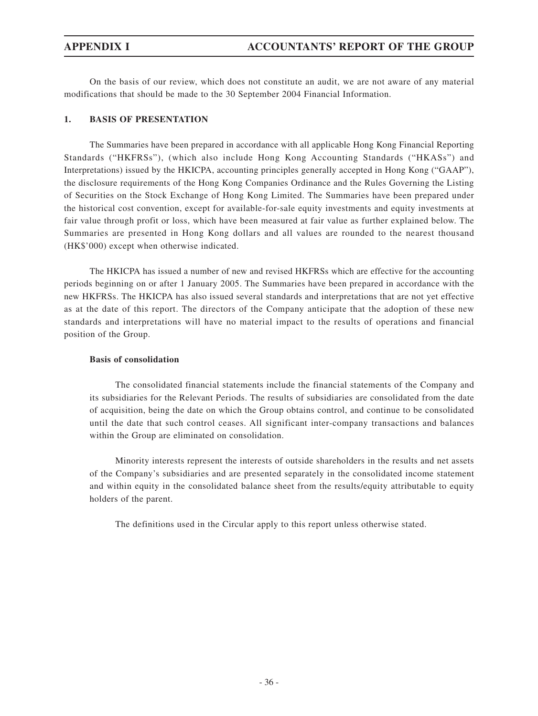On the basis of our review, which does not constitute an audit, we are not aware of any material modifications that should be made to the 30 September 2004 Financial Information.

## **1. BASIS OF PRESENTATION**

The Summaries have been prepared in accordance with all applicable Hong Kong Financial Reporting Standards ("HKFRSs"), (which also include Hong Kong Accounting Standards ("HKASs") and Interpretations) issued by the HKICPA, accounting principles generally accepted in Hong Kong ("GAAP"), the disclosure requirements of the Hong Kong Companies Ordinance and the Rules Governing the Listing of Securities on the Stock Exchange of Hong Kong Limited. The Summaries have been prepared under the historical cost convention, except for available-for-sale equity investments and equity investments at fair value through profit or loss, which have been measured at fair value as further explained below. The Summaries are presented in Hong Kong dollars and all values are rounded to the nearest thousand (HK\$'000) except when otherwise indicated.

The HKICPA has issued a number of new and revised HKFRSs which are effective for the accounting periods beginning on or after 1 January 2005. The Summaries have been prepared in accordance with the new HKFRSs. The HKICPA has also issued several standards and interpretations that are not yet effective as at the date of this report. The directors of the Company anticipate that the adoption of these new standards and interpretations will have no material impact to the results of operations and financial position of the Group.

## **Basis of consolidation**

The consolidated financial statements include the financial statements of the Company and its subsidiaries for the Relevant Periods. The results of subsidiaries are consolidated from the date of acquisition, being the date on which the Group obtains control, and continue to be consolidated until the date that such control ceases. All significant inter-company transactions and balances within the Group are eliminated on consolidation.

Minority interests represent the interests of outside shareholders in the results and net assets of the Company's subsidiaries and are presented separately in the consolidated income statement and within equity in the consolidated balance sheet from the results/equity attributable to equity holders of the parent.

The definitions used in the Circular apply to this report unless otherwise stated.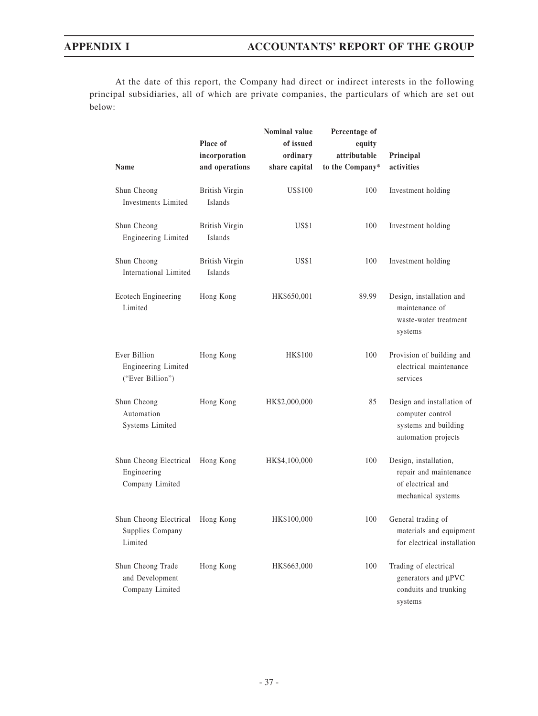At the date of this report, the Company had direct or indirect interests in the following principal subsidiaries, all of which are private companies, the particulars of which are set out below:

| Name                                                               | Place of<br>incorporation<br>and operations | Nominal value<br>of issued<br>ordinary<br>share capital | Percentage of<br>equity<br>attributable<br>to the Company* | Principal<br>activities                                                                       |
|--------------------------------------------------------------------|---------------------------------------------|---------------------------------------------------------|------------------------------------------------------------|-----------------------------------------------------------------------------------------------|
| Shun Cheong<br>Investments Limited                                 | British Virgin<br>Islands                   | US\$100                                                 | 100                                                        | Investment holding                                                                            |
| Shun Cheong<br><b>Engineering Limited</b>                          | British Virgin<br>Islands                   | <b>US\$1</b>                                            | 100                                                        | Investment holding                                                                            |
| Shun Cheong<br><b>International Limited</b>                        | British Virgin<br>Islands                   | US\$1                                                   | 100                                                        | Investment holding                                                                            |
| Ecotech Engineering<br>Limited                                     | Hong Kong                                   | HK\$650,001                                             | 89.99                                                      | Design, installation and<br>maintenance of<br>waste-water treatment<br>systems                |
| Ever Billion<br><b>Engineering Limited</b><br>("Ever Billion")     | Hong Kong                                   | <b>HK\$100</b>                                          | 100                                                        | Provision of building and<br>electrical maintenance<br>services                               |
| Shun Cheong<br>Automation<br>Systems Limited                       | Hong Kong                                   | HK\$2,000,000                                           | 85                                                         | Design and installation of<br>computer control<br>systems and building<br>automation projects |
| Shun Cheong Electrical Hong Kong<br>Engineering<br>Company Limited |                                             | HK\$4,100,000                                           | 100                                                        | Design, installation,<br>repair and maintenance<br>of electrical and<br>mechanical systems    |
| Shun Cheong Electrical<br>Supplies Company<br>Limited              | Hong Kong                                   | HK\$100,000                                             | 100                                                        | General trading of<br>materials and equipment<br>for electrical installation                  |
| Shun Cheong Trade<br>and Development<br>Company Limited            | Hong Kong                                   | HK\$663,000                                             | 100                                                        | Trading of electrical<br>generators and µPVC<br>conduits and trunking<br>systems              |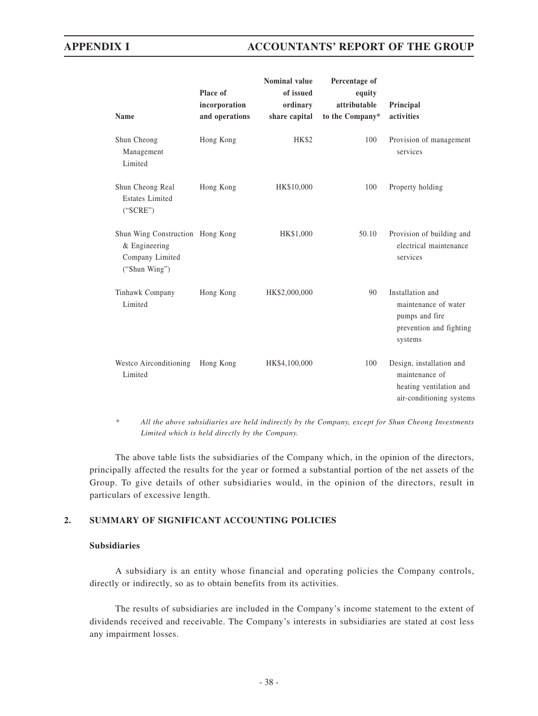| <b>Name</b>                                                                           | Place of<br>incorporation<br>and operations | Nominal value<br>of issued<br>ordinary<br>share capital | Percentage of<br>equity<br>attributable<br>to the Company* | Principal<br>activities                                                                           |
|---------------------------------------------------------------------------------------|---------------------------------------------|---------------------------------------------------------|------------------------------------------------------------|---------------------------------------------------------------------------------------------------|
| Shun Cheong<br>Management<br>Limited                                                  | Hong Kong                                   | <b>HK\$2</b>                                            | 100                                                        | Provision of management<br>services                                                               |
| Shun Cheong Real<br><b>Estates Limited</b><br>("SCRE")                                | Hong Kong                                   | HK\$10,000                                              | 100                                                        | Property holding                                                                                  |
| Shun Wing Construction Hong Kong<br>& Engineering<br>Company Limited<br>("Shun Wing") |                                             | HK\$1,000                                               | 50.10                                                      | Provision of building and<br>electrical maintenance<br>services                                   |
| Tinhawk Company<br>Limited                                                            | Hong Kong                                   | HK\$2,000,000                                           | 90                                                         | Installation and<br>maintenance of water<br>pumps and fire<br>prevention and fighting<br>systems  |
| Westco Airconditioning<br>Limited                                                     | Hong Kong                                   | HK\$4,100,000                                           | 100                                                        | Design, installation and<br>maintenance of<br>heating ventilation and<br>air-conditioning systems |

*\* All the above subsidiaries are held indirectly by the Company, except for Shun Cheong Investments Limited which is held directly by the Company.*

The above table lists the subsidiaries of the Company which, in the opinion of the directors, principally affected the results for the year or formed a substantial portion of the net assets of the Group. To give details of other subsidiaries would, in the opinion of the directors, result in particulars of excessive length.

## **2. SUMMARY OF SIGNIFICANT ACCOUNTING POLICIES**

## **Subsidiaries**

A subsidiary is an entity whose financial and operating policies the Company controls, directly or indirectly, so as to obtain benefits from its activities.

The results of subsidiaries are included in the Company's income statement to the extent of dividends received and receivable. The Company's interests in subsidiaries are stated at cost less any impairment losses.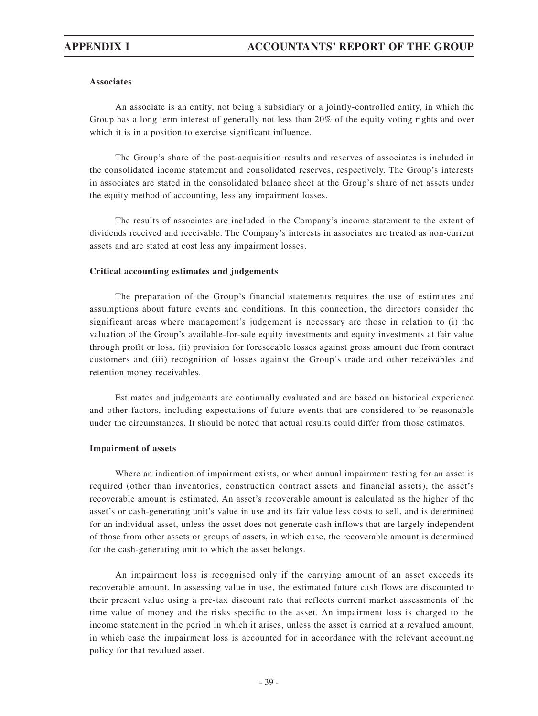## **Associates**

An associate is an entity, not being a subsidiary or a jointly-controlled entity, in which the Group has a long term interest of generally not less than 20% of the equity voting rights and over which it is in a position to exercise significant influence.

The Group's share of the post-acquisition results and reserves of associates is included in the consolidated income statement and consolidated reserves, respectively. The Group's interests in associates are stated in the consolidated balance sheet at the Group's share of net assets under the equity method of accounting, less any impairment losses.

The results of associates are included in the Company's income statement to the extent of dividends received and receivable. The Company's interests in associates are treated as non-current assets and are stated at cost less any impairment losses.

### **Critical accounting estimates and judgements**

The preparation of the Group's financial statements requires the use of estimates and assumptions about future events and conditions. In this connection, the directors consider the significant areas where management's judgement is necessary are those in relation to (i) the valuation of the Group's available-for-sale equity investments and equity investments at fair value through profit or loss, (ii) provision for foreseeable losses against gross amount due from contract customers and (iii) recognition of losses against the Group's trade and other receivables and retention money receivables.

Estimates and judgements are continually evaluated and are based on historical experience and other factors, including expectations of future events that are considered to be reasonable under the circumstances. It should be noted that actual results could differ from those estimates.

### **Impairment of assets**

Where an indication of impairment exists, or when annual impairment testing for an asset is required (other than inventories, construction contract assets and financial assets), the asset's recoverable amount is estimated. An asset's recoverable amount is calculated as the higher of the asset's or cash-generating unit's value in use and its fair value less costs to sell, and is determined for an individual asset, unless the asset does not generate cash inflows that are largely independent of those from other assets or groups of assets, in which case, the recoverable amount is determined for the cash-generating unit to which the asset belongs.

An impairment loss is recognised only if the carrying amount of an asset exceeds its recoverable amount. In assessing value in use, the estimated future cash flows are discounted to their present value using a pre-tax discount rate that reflects current market assessments of the time value of money and the risks specific to the asset. An impairment loss is charged to the income statement in the period in which it arises, unless the asset is carried at a revalued amount, in which case the impairment loss is accounted for in accordance with the relevant accounting policy for that revalued asset.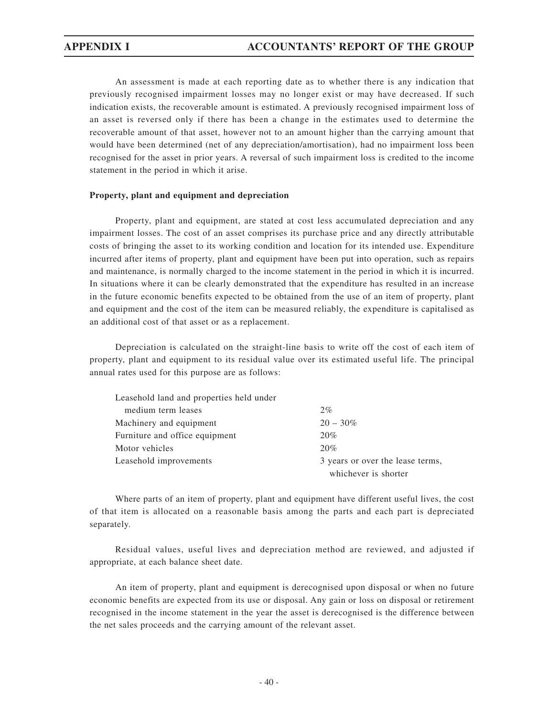An assessment is made at each reporting date as to whether there is any indication that previously recognised impairment losses may no longer exist or may have decreased. If such indication exists, the recoverable amount is estimated. A previously recognised impairment loss of an asset is reversed only if there has been a change in the estimates used to determine the recoverable amount of that asset, however not to an amount higher than the carrying amount that would have been determined (net of any depreciation/amortisation), had no impairment loss been recognised for the asset in prior years. A reversal of such impairment loss is credited to the income statement in the period in which it arise.

## **Property, plant and equipment and depreciation**

Property, plant and equipment, are stated at cost less accumulated depreciation and any impairment losses. The cost of an asset comprises its purchase price and any directly attributable costs of bringing the asset to its working condition and location for its intended use. Expenditure incurred after items of property, plant and equipment have been put into operation, such as repairs and maintenance, is normally charged to the income statement in the period in which it is incurred. In situations where it can be clearly demonstrated that the expenditure has resulted in an increase in the future economic benefits expected to be obtained from the use of an item of property, plant and equipment and the cost of the item can be measured reliably, the expenditure is capitalised as an additional cost of that asset or as a replacement.

Depreciation is calculated on the straight-line basis to write off the cost of each item of property, plant and equipment to its residual value over its estimated useful life. The principal annual rates used for this purpose are as follows:

| Leasehold land and properties held under |                                  |
|------------------------------------------|----------------------------------|
| medium term leases                       | 2%                               |
| Machinery and equipment                  | $20 - 30\%$                      |
| Furniture and office equipment           | 20%                              |
| Motor vehicles                           | 20%                              |
| Leasehold improvements                   | 3 years or over the lease terms, |
|                                          | whichever is shorter             |

Where parts of an item of property, plant and equipment have different useful lives, the cost of that item is allocated on a reasonable basis among the parts and each part is depreciated separately.

Residual values, useful lives and depreciation method are reviewed, and adjusted if appropriate, at each balance sheet date.

An item of property, plant and equipment is derecognised upon disposal or when no future economic benefits are expected from its use or disposal. Any gain or loss on disposal or retirement recognised in the income statement in the year the asset is derecognised is the difference between the net sales proceeds and the carrying amount of the relevant asset.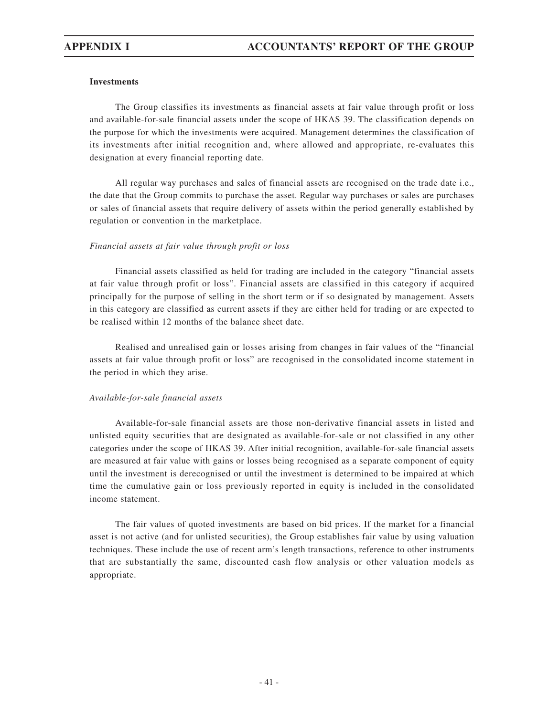## **Investments**

The Group classifies its investments as financial assets at fair value through profit or loss and available-for-sale financial assets under the scope of HKAS 39. The classification depends on the purpose for which the investments were acquired. Management determines the classification of its investments after initial recognition and, where allowed and appropriate, re-evaluates this designation at every financial reporting date.

All regular way purchases and sales of financial assets are recognised on the trade date i.e., the date that the Group commits to purchase the asset. Regular way purchases or sales are purchases or sales of financial assets that require delivery of assets within the period generally established by regulation or convention in the marketplace.

## *Financial assets at fair value through profit or loss*

Financial assets classified as held for trading are included in the category "financial assets at fair value through profit or loss". Financial assets are classified in this category if acquired principally for the purpose of selling in the short term or if so designated by management. Assets in this category are classified as current assets if they are either held for trading or are expected to be realised within 12 months of the balance sheet date.

Realised and unrealised gain or losses arising from changes in fair values of the "financial assets at fair value through profit or loss" are recognised in the consolidated income statement in the period in which they arise.

## *Available-for-sale financial assets*

Available-for-sale financial assets are those non-derivative financial assets in listed and unlisted equity securities that are designated as available-for-sale or not classified in any other categories under the scope of HKAS 39. After initial recognition, available-for-sale financial assets are measured at fair value with gains or losses being recognised as a separate component of equity until the investment is derecognised or until the investment is determined to be impaired at which time the cumulative gain or loss previously reported in equity is included in the consolidated income statement.

The fair values of quoted investments are based on bid prices. If the market for a financial asset is not active (and for unlisted securities), the Group establishes fair value by using valuation techniques. These include the use of recent arm's length transactions, reference to other instruments that are substantially the same, discounted cash flow analysis or other valuation models as appropriate.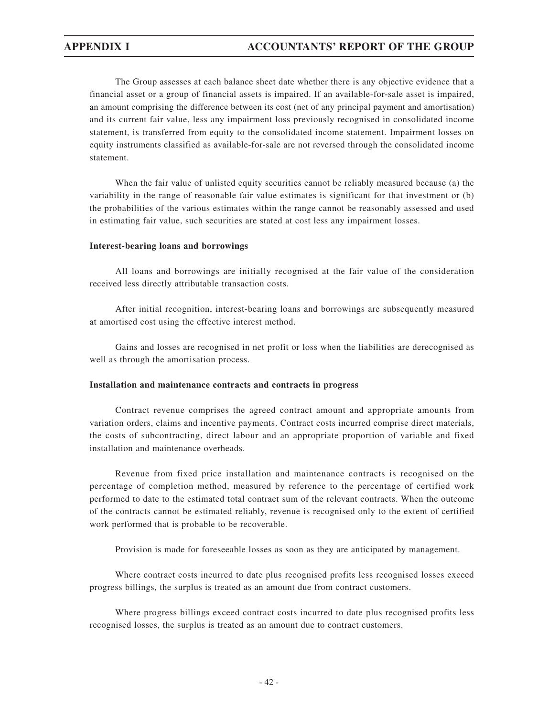The Group assesses at each balance sheet date whether there is any objective evidence that a financial asset or a group of financial assets is impaired. If an available-for-sale asset is impaired, an amount comprising the difference between its cost (net of any principal payment and amortisation) and its current fair value, less any impairment loss previously recognised in consolidated income statement, is transferred from equity to the consolidated income statement. Impairment losses on equity instruments classified as available-for-sale are not reversed through the consolidated income statement.

When the fair value of unlisted equity securities cannot be reliably measured because (a) the variability in the range of reasonable fair value estimates is significant for that investment or (b) the probabilities of the various estimates within the range cannot be reasonably assessed and used in estimating fair value, such securities are stated at cost less any impairment losses.

### **Interest-bearing loans and borrowings**

All loans and borrowings are initially recognised at the fair value of the consideration received less directly attributable transaction costs.

After initial recognition, interest-bearing loans and borrowings are subsequently measured at amortised cost using the effective interest method.

Gains and losses are recognised in net profit or loss when the liabilities are derecognised as well as through the amortisation process.

### **Installation and maintenance contracts and contracts in progress**

Contract revenue comprises the agreed contract amount and appropriate amounts from variation orders, claims and incentive payments. Contract costs incurred comprise direct materials, the costs of subcontracting, direct labour and an appropriate proportion of variable and fixed installation and maintenance overheads.

Revenue from fixed price installation and maintenance contracts is recognised on the percentage of completion method, measured by reference to the percentage of certified work performed to date to the estimated total contract sum of the relevant contracts. When the outcome of the contracts cannot be estimated reliably, revenue is recognised only to the extent of certified work performed that is probable to be recoverable.

Provision is made for foreseeable losses as soon as they are anticipated by management.

Where contract costs incurred to date plus recognised profits less recognised losses exceed progress billings, the surplus is treated as an amount due from contract customers.

Where progress billings exceed contract costs incurred to date plus recognised profits less recognised losses, the surplus is treated as an amount due to contract customers.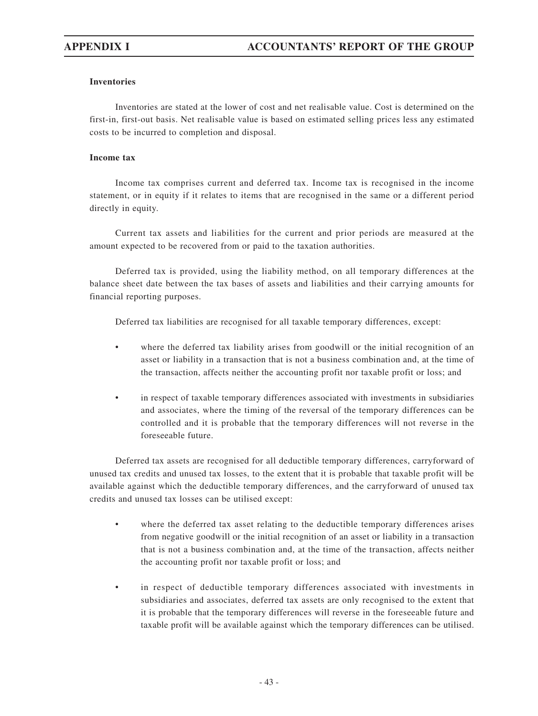## **Inventories**

Inventories are stated at the lower of cost and net realisable value. Cost is determined on the first-in, first-out basis. Net realisable value is based on estimated selling prices less any estimated costs to be incurred to completion and disposal.

### **Income tax**

Income tax comprises current and deferred tax. Income tax is recognised in the income statement, or in equity if it relates to items that are recognised in the same or a different period directly in equity.

Current tax assets and liabilities for the current and prior periods are measured at the amount expected to be recovered from or paid to the taxation authorities.

Deferred tax is provided, using the liability method, on all temporary differences at the balance sheet date between the tax bases of assets and liabilities and their carrying amounts for financial reporting purposes.

Deferred tax liabilities are recognised for all taxable temporary differences, except:

- where the deferred tax liability arises from goodwill or the initial recognition of an asset or liability in a transaction that is not a business combination and, at the time of the transaction, affects neither the accounting profit nor taxable profit or loss; and
- in respect of taxable temporary differences associated with investments in subsidiaries and associates, where the timing of the reversal of the temporary differences can be controlled and it is probable that the temporary differences will not reverse in the foreseeable future.

Deferred tax assets are recognised for all deductible temporary differences, carryforward of unused tax credits and unused tax losses, to the extent that it is probable that taxable profit will be available against which the deductible temporary differences, and the carryforward of unused tax credits and unused tax losses can be utilised except:

- where the deferred tax asset relating to the deductible temporary differences arises from negative goodwill or the initial recognition of an asset or liability in a transaction that is not a business combination and, at the time of the transaction, affects neither the accounting profit nor taxable profit or loss; and
- in respect of deductible temporary differences associated with investments in subsidiaries and associates, deferred tax assets are only recognised to the extent that it is probable that the temporary differences will reverse in the foreseeable future and taxable profit will be available against which the temporary differences can be utilised.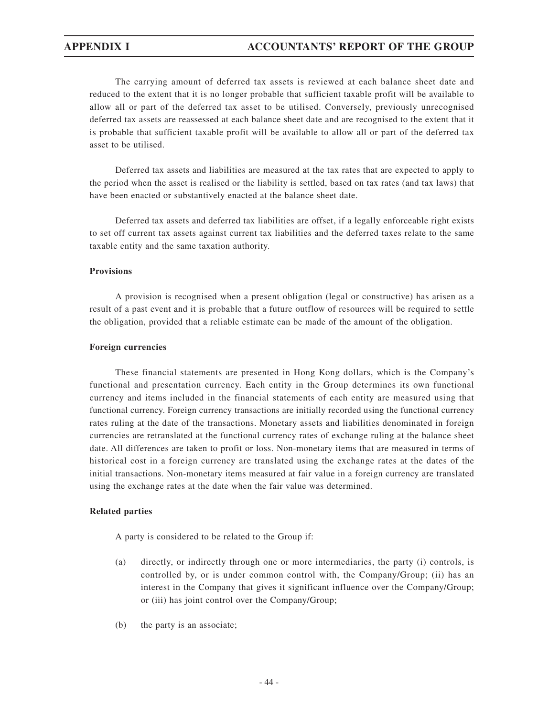The carrying amount of deferred tax assets is reviewed at each balance sheet date and reduced to the extent that it is no longer probable that sufficient taxable profit will be available to allow all or part of the deferred tax asset to be utilised. Conversely, previously unrecognised deferred tax assets are reassessed at each balance sheet date and are recognised to the extent that it is probable that sufficient taxable profit will be available to allow all or part of the deferred tax asset to be utilised.

Deferred tax assets and liabilities are measured at the tax rates that are expected to apply to the period when the asset is realised or the liability is settled, based on tax rates (and tax laws) that have been enacted or substantively enacted at the balance sheet date.

Deferred tax assets and deferred tax liabilities are offset, if a legally enforceable right exists to set off current tax assets against current tax liabilities and the deferred taxes relate to the same taxable entity and the same taxation authority.

### **Provisions**

A provision is recognised when a present obligation (legal or constructive) has arisen as a result of a past event and it is probable that a future outflow of resources will be required to settle the obligation, provided that a reliable estimate can be made of the amount of the obligation.

## **Foreign currencies**

These financial statements are presented in Hong Kong dollars, which is the Company's functional and presentation currency. Each entity in the Group determines its own functional currency and items included in the financial statements of each entity are measured using that functional currency. Foreign currency transactions are initially recorded using the functional currency rates ruling at the date of the transactions. Monetary assets and liabilities denominated in foreign currencies are retranslated at the functional currency rates of exchange ruling at the balance sheet date. All differences are taken to profit or loss. Non-monetary items that are measured in terms of historical cost in a foreign currency are translated using the exchange rates at the dates of the initial transactions. Non-monetary items measured at fair value in a foreign currency are translated using the exchange rates at the date when the fair value was determined.

## **Related parties**

A party is considered to be related to the Group if:

- (a) directly, or indirectly through one or more intermediaries, the party (i) controls, is controlled by, or is under common control with, the Company/Group; (ii) has an interest in the Company that gives it significant influence over the Company/Group; or (iii) has joint control over the Company/Group;
- (b) the party is an associate;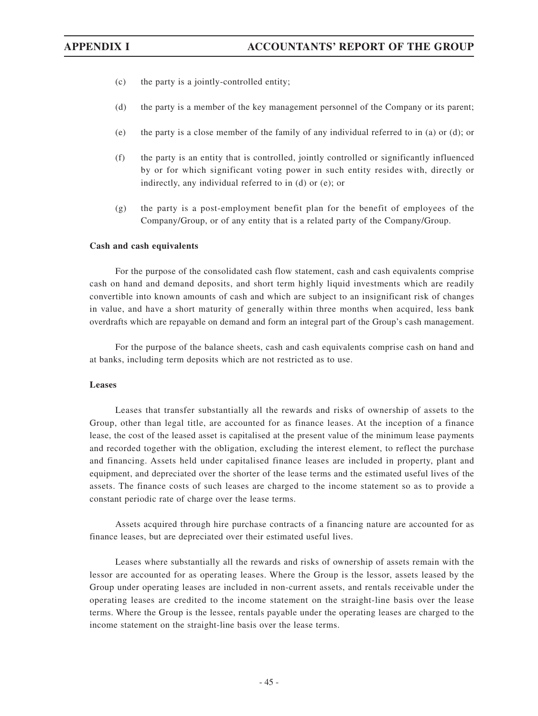- (c) the party is a jointly-controlled entity;
- (d) the party is a member of the key management personnel of the Company or its parent;
- (e) the party is a close member of the family of any individual referred to in (a) or (d); or
- (f) the party is an entity that is controlled, jointly controlled or significantly influenced by or for which significant voting power in such entity resides with, directly or indirectly, any individual referred to in (d) or (e); or
- (g) the party is a post-employment benefit plan for the benefit of employees of the Company/Group, or of any entity that is a related party of the Company/Group.

## **Cash and cash equivalents**

For the purpose of the consolidated cash flow statement, cash and cash equivalents comprise cash on hand and demand deposits, and short term highly liquid investments which are readily convertible into known amounts of cash and which are subject to an insignificant risk of changes in value, and have a short maturity of generally within three months when acquired, less bank overdrafts which are repayable on demand and form an integral part of the Group's cash management.

For the purpose of the balance sheets, cash and cash equivalents comprise cash on hand and at banks, including term deposits which are not restricted as to use.

### **Leases**

Leases that transfer substantially all the rewards and risks of ownership of assets to the Group, other than legal title, are accounted for as finance leases. At the inception of a finance lease, the cost of the leased asset is capitalised at the present value of the minimum lease payments and recorded together with the obligation, excluding the interest element, to reflect the purchase and financing. Assets held under capitalised finance leases are included in property, plant and equipment, and depreciated over the shorter of the lease terms and the estimated useful lives of the assets. The finance costs of such leases are charged to the income statement so as to provide a constant periodic rate of charge over the lease terms.

Assets acquired through hire purchase contracts of a financing nature are accounted for as finance leases, but are depreciated over their estimated useful lives.

Leases where substantially all the rewards and risks of ownership of assets remain with the lessor are accounted for as operating leases. Where the Group is the lessor, assets leased by the Group under operating leases are included in non-current assets, and rentals receivable under the operating leases are credited to the income statement on the straight-line basis over the lease terms. Where the Group is the lessee, rentals payable under the operating leases are charged to the income statement on the straight-line basis over the lease terms.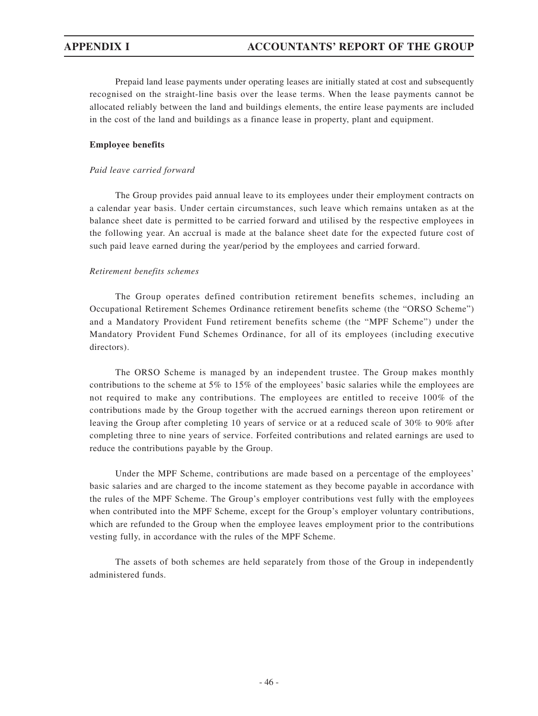Prepaid land lease payments under operating leases are initially stated at cost and subsequently recognised on the straight-line basis over the lease terms. When the lease payments cannot be allocated reliably between the land and buildings elements, the entire lease payments are included in the cost of the land and buildings as a finance lease in property, plant and equipment.

## **Employee benefits**

## *Paid leave carried forward*

The Group provides paid annual leave to its employees under their employment contracts on a calendar year basis. Under certain circumstances, such leave which remains untaken as at the balance sheet date is permitted to be carried forward and utilised by the respective employees in the following year. An accrual is made at the balance sheet date for the expected future cost of such paid leave earned during the year/period by the employees and carried forward.

## *Retirement benefits schemes*

The Group operates defined contribution retirement benefits schemes, including an Occupational Retirement Schemes Ordinance retirement benefits scheme (the "ORSO Scheme") and a Mandatory Provident Fund retirement benefits scheme (the "MPF Scheme") under the Mandatory Provident Fund Schemes Ordinance, for all of its employees (including executive directors).

The ORSO Scheme is managed by an independent trustee. The Group makes monthly contributions to the scheme at 5% to 15% of the employees' basic salaries while the employees are not required to make any contributions. The employees are entitled to receive 100% of the contributions made by the Group together with the accrued earnings thereon upon retirement or leaving the Group after completing 10 years of service or at a reduced scale of 30% to 90% after completing three to nine years of service. Forfeited contributions and related earnings are used to reduce the contributions payable by the Group.

Under the MPF Scheme, contributions are made based on a percentage of the employees' basic salaries and are charged to the income statement as they become payable in accordance with the rules of the MPF Scheme. The Group's employer contributions vest fully with the employees when contributed into the MPF Scheme, except for the Group's employer voluntary contributions, which are refunded to the Group when the employee leaves employment prior to the contributions vesting fully, in accordance with the rules of the MPF Scheme.

The assets of both schemes are held separately from those of the Group in independently administered funds.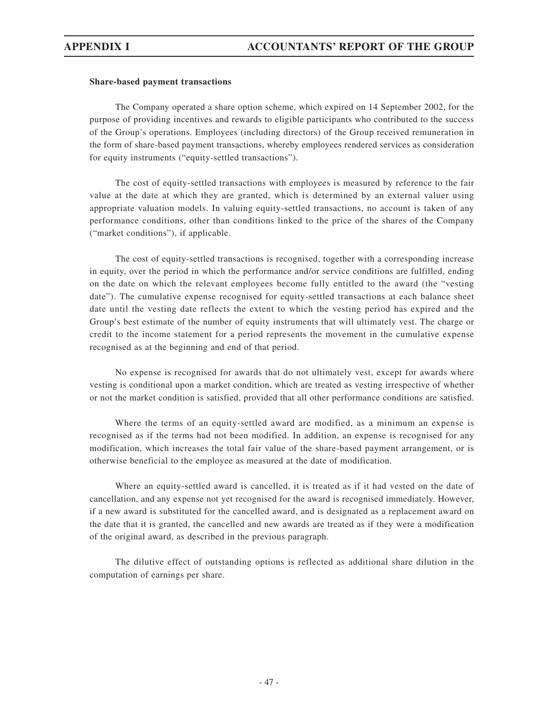## **Share-based payment transactions**

The Company operated a share option scheme, which expired on 14 September 2002, for the purpose of providing incentives and rewards to eligible participants who contributed to the success of the Group's operations. Employees (including directors) of the Group received remuneration in the form of share-based payment transactions, whereby employees rendered services as consideration for equity instruments ("equity-settled transactions").

The cost of equity-settled transactions with employees is measured by reference to the fair value at the date at which they are granted, which is determined by an external valuer using appropriate valuation models. In valuing equity-settled transactions, no account is taken of any performance conditions, other than conditions linked to the price of the shares of the Company ("market conditions"), if applicable.

The cost of equity-settled transactions is recognised, together with a corresponding increase in equity, over the period in which the performance and/or service conditions are fulfilled, ending on the date on which the relevant employees become fully entitled to the award (the "vesting date"). The cumulative expense recognised for equity-settled transactions at each balance sheet date until the vesting date reflects the extent to which the vesting period has expired and the Group's best estimate of the number of equity instruments that will ultimately vest. The charge or credit to the income statement for a period represents the movement in the cumulative expense recognised as at the beginning and end of that period.

No expense is recognised for awards that do not ultimately vest, except for awards where vesting is conditional upon a market condition, which are treated as vesting irrespective of whether or not the market condition is satisfied, provided that all other performance conditions are satisfied.

Where the terms of an equity-settled award are modified, as a minimum an expense is recognised as if the terms had not been modified. In addition, an expense is recognised for any modification, which increases the total fair value of the share-based payment arrangement, or is otherwise beneficial to the employee as measured at the date of modification.

Where an equity-settled award is cancelled, it is treated as if it had vested on the date of cancellation, and any expense not yet recognised for the award is recognised immediately. However, if a new award is substituted for the cancelled award, and is designated as a replacement award on the date that it is granted, the cancelled and new awards are treated as if they were a modification of the original award, as described in the previous paragraph.

The dilutive effect of outstanding options is reflected as additional share dilution in the computation of earnings per share.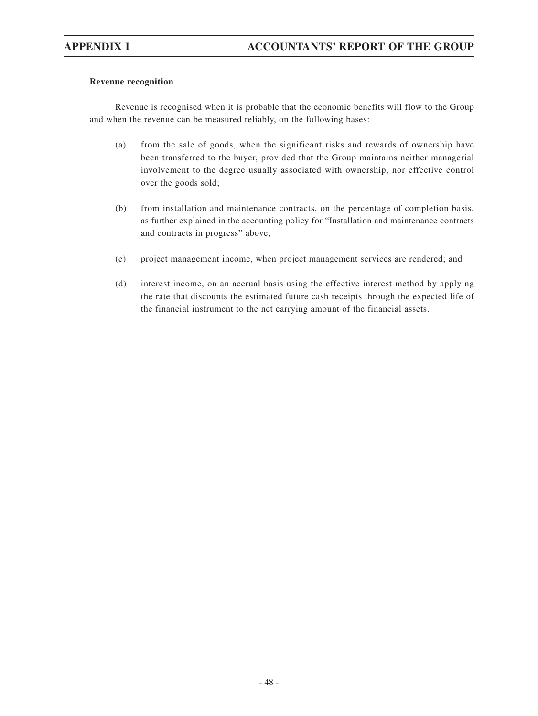## **Revenue recognition**

Revenue is recognised when it is probable that the economic benefits will flow to the Group and when the revenue can be measured reliably, on the following bases:

- (a) from the sale of goods, when the significant risks and rewards of ownership have been transferred to the buyer, provided that the Group maintains neither managerial involvement to the degree usually associated with ownership, nor effective control over the goods sold;
- (b) from installation and maintenance contracts, on the percentage of completion basis, as further explained in the accounting policy for "Installation and maintenance contracts and contracts in progress" above;
- (c) project management income, when project management services are rendered; and
- (d) interest income, on an accrual basis using the effective interest method by applying the rate that discounts the estimated future cash receipts through the expected life of the financial instrument to the net carrying amount of the financial assets.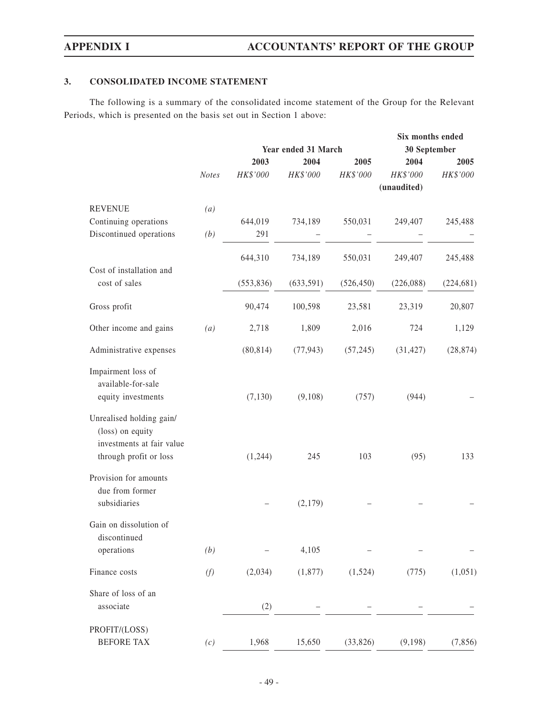## **3. CONSOLIDATED INCOME STATEMENT**

The following is a summary of the consolidated income statement of the Group for the Relevant Periods, which is presented on the basis set out in Section 1 above:

|                                                                                                     | Year ended 31 March |                  |                  |                  | Six months ended<br>30 September |                  |  |
|-----------------------------------------------------------------------------------------------------|---------------------|------------------|------------------|------------------|----------------------------------|------------------|--|
|                                                                                                     | <b>Notes</b>        | 2003<br>HK\$'000 | 2004<br>HK\$'000 | 2005<br>HK\$'000 | 2004<br>HK\$'000<br>(unaudited)  | 2005<br>HK\$'000 |  |
| <b>REVENUE</b>                                                                                      | $\left(a\right)$    |                  |                  |                  |                                  |                  |  |
| Continuing operations<br>Discontinued operations                                                    | (b)                 | 644,019<br>291   | 734,189          | 550,031          | 249,407                          | 245,488          |  |
|                                                                                                     |                     | 644,310          | 734,189          | 550,031          | 249,407                          | 245,488          |  |
| Cost of installation and<br>cost of sales                                                           |                     | (553, 836)       | (633, 591)       | (526, 450)       | (226,088)                        | (224, 681)       |  |
| Gross profit                                                                                        |                     | 90,474           | 100,598          | 23,581           | 23,319                           | 20,807           |  |
| Other income and gains                                                                              | $\left( a\right)$   | 2,718            | 1,809            | 2,016            | 724                              | 1,129            |  |
| Administrative expenses                                                                             |                     | (80, 814)        | (77, 943)        | (57, 245)        | (31, 427)                        | (28, 874)        |  |
| Impairment loss of<br>available-for-sale<br>equity investments                                      |                     | (7, 130)         | (9,108)          | (757)            | (944)                            |                  |  |
| Unrealised holding gain/<br>(loss) on equity<br>investments at fair value<br>through profit or loss |                     | (1,244)          | 245              | 103              | (95)                             | 133              |  |
| Provision for amounts<br>due from former<br>subsidiaries                                            |                     |                  | (2,179)          |                  |                                  |                  |  |
| Gain on dissolution of<br>discontinued<br>operations                                                | (b)                 |                  | 4,105            |                  |                                  |                  |  |
| Finance costs                                                                                       | (f)                 | (2,034)          | (1,877)          | (1,524)          | (775)                            | (1,051)          |  |
| Share of loss of an<br>associate                                                                    |                     | (2)              |                  |                  |                                  |                  |  |
| PROFIT/(LOSS)<br><b>BEFORE TAX</b>                                                                  | (c)                 | 1,968            | 15,650           | (33,826)         | (9,198)                          | (7, 856)         |  |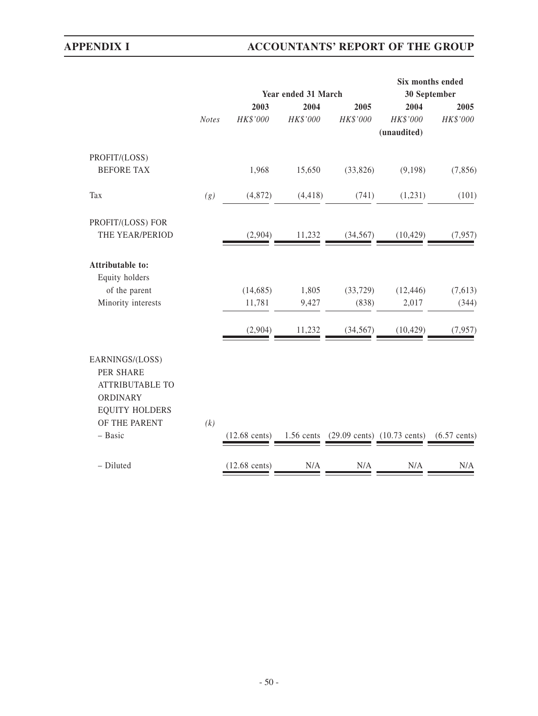|                                                                                                                                |              |                         |                     |                    |                                                 | Six months ended |  |
|--------------------------------------------------------------------------------------------------------------------------------|--------------|-------------------------|---------------------|--------------------|-------------------------------------------------|------------------|--|
|                                                                                                                                |              |                         | Year ended 31 March |                    | 30 September                                    |                  |  |
|                                                                                                                                |              | 2003                    | 2004                | 2005               | 2004                                            | 2005             |  |
|                                                                                                                                | <b>Notes</b> | HK\$'000                | HK\$'000            | HK\$'000           | HK\$'000                                        | HK\$'000         |  |
|                                                                                                                                |              |                         |                     |                    | (unaudited)                                     |                  |  |
| PROFIT/(LOSS)                                                                                                                  |              |                         |                     |                    |                                                 |                  |  |
| <b>BEFORE TAX</b>                                                                                                              |              | 1,968                   | 15,650              | (33,826)           | (9,198)                                         | (7, 856)         |  |
| Tax                                                                                                                            | (g)          | (4,872)                 | (4, 418)            | (741)              | (1,231)                                         | (101)            |  |
| PROFIT/(LOSS) FOR                                                                                                              |              |                         |                     |                    |                                                 |                  |  |
| THE YEAR/PERIOD                                                                                                                |              | (2,904)                 | 11,232              | (34, 567)          | (10, 429)                                       | (7, 957)         |  |
| <b>Attributable to:</b><br>Equity holders<br>of the parent<br>Minority interests                                               |              | (14,685)<br>11,781      | 1,805<br>9,427      | (33, 729)<br>(838) | (12, 446)<br>2,017                              | (7,613)<br>(344) |  |
|                                                                                                                                |              | (2,904)                 | 11,232              | (34, 567)          | (10, 429)                                       | (7, 957)         |  |
| EARNINGS/(LOSS)<br><b>PER SHARE</b><br><b>ATTRIBUTABLE TO</b><br>ORDINARY<br><b>EQUITY HOLDERS</b><br>OF THE PARENT<br>- Basic | (k)          | $(12.68 \text{ cents})$ | 1.56 cents          |                    | $(29.09 \text{ cents})$ $(10.73 \text{ cents})$ | $(6.57$ cents)   |  |
| - Diluted                                                                                                                      |              | $(12.68 \text{ cents})$ | N/A                 | N/A                | N/A                                             | N/A              |  |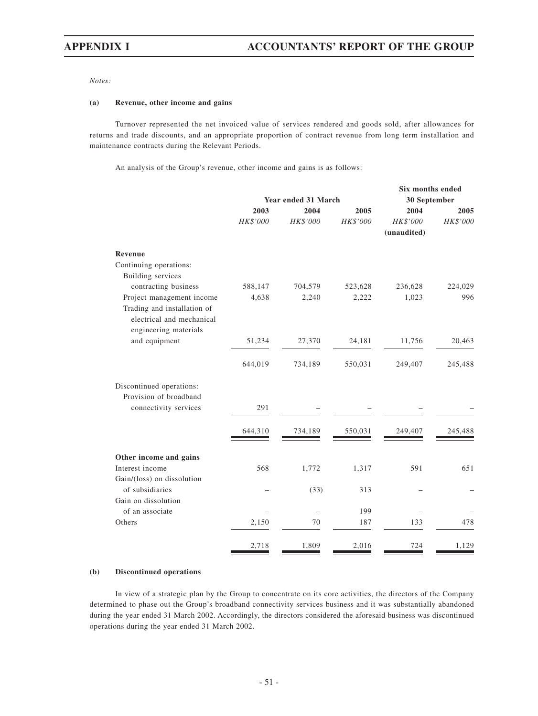### *Notes:*

### **(a) Revenue, other income and gains**

Turnover represented the net invoiced value of services rendered and goods sold, after allowances for returns and trade discounts, and an appropriate proportion of contract revenue from long term installation and maintenance contracts during the Relevant Periods.

An analysis of the Group's revenue, other income and gains is as follows:

|                                                                                   |          |                     |          | Six months ended |          |
|-----------------------------------------------------------------------------------|----------|---------------------|----------|------------------|----------|
|                                                                                   |          | Year ended 31 March |          | 30 September     |          |
|                                                                                   | 2003     | 2004                | 2005     | 2004             | 2005     |
|                                                                                   | HK\$'000 | HK\$'000            | HK\$'000 | HK\$'000         | HK\$'000 |
|                                                                                   |          |                     |          | (unaudited)      |          |
| Revenue                                                                           |          |                     |          |                  |          |
| Continuing operations:                                                            |          |                     |          |                  |          |
| <b>Building</b> services                                                          |          |                     |          |                  |          |
| contracting business                                                              | 588,147  | 704,579             | 523,628  | 236,628          | 224,029  |
| Project management income                                                         | 4,638    | 2,240               | 2,222    | 1,023            | 996      |
| Trading and installation of<br>electrical and mechanical<br>engineering materials |          |                     |          |                  |          |
| and equipment                                                                     | 51,234   | 27,370              | 24,181   | 11,756           | 20,463   |
|                                                                                   |          |                     |          |                  |          |
|                                                                                   | 644,019  | 734,189             | 550,031  | 249,407          | 245,488  |
| Discontinued operations:                                                          |          |                     |          |                  |          |
| Provision of broadband                                                            |          |                     |          |                  |          |
| connectivity services                                                             | 291      |                     |          |                  |          |
|                                                                                   | 644,310  | 734,189             | 550,031  | 249,407          | 245,488  |
|                                                                                   |          |                     |          |                  |          |
| Other income and gains                                                            |          |                     |          |                  |          |
| Interest income                                                                   | 568      | 1,772               | 1,317    | 591              | 651      |
| Gain/(loss) on dissolution                                                        |          |                     |          |                  |          |
| of subsidiaries                                                                   |          | (33)                | 313      |                  |          |
| Gain on dissolution                                                               |          |                     |          |                  |          |
| of an associate                                                                   |          |                     | 199      |                  |          |
| Others                                                                            | 2,150    | 70                  | 187      | 133              | 478      |
|                                                                                   | 2,718    | 1,809               | 2,016    | 724              | 1,129    |
|                                                                                   |          |                     |          |                  |          |

### **(b) Discontinued operations**

In view of a strategic plan by the Group to concentrate on its core activities, the directors of the Company determined to phase out the Group's broadband connectivity services business and it was substantially abandoned during the year ended 31 March 2002. Accordingly, the directors considered the aforesaid business was discontinued operations during the year ended 31 March 2002.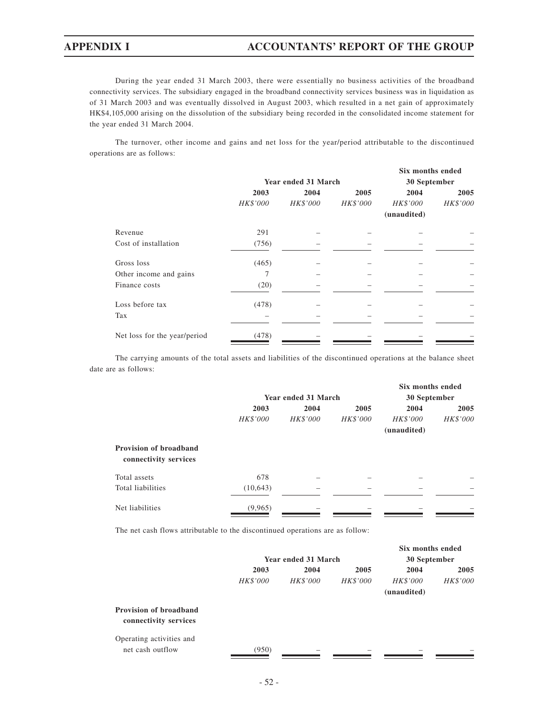During the year ended 31 March 2003, there were essentially no business activities of the broadband connectivity services. The subsidiary engaged in the broadband connectivity services business was in liquidation as of 31 March 2003 and was eventually dissolved in August 2003, which resulted in a net gain of approximately HK\$4,105,000 arising on the dissolution of the subsidiary being recorded in the consolidated income statement for the year ended 31 March 2004.

The turnover, other income and gains and net loss for the year/period attributable to the discontinued operations are as follows:

|                              |          |                     |          | Six months ended |          |
|------------------------------|----------|---------------------|----------|------------------|----------|
|                              |          | Year ended 31 March |          | 30 September     |          |
|                              | 2003     | 2004                | 2005     | 2004             | 2005     |
|                              | HK\$'000 | HK\$'000            | HK\$'000 | HK\$'000         | HK\$'000 |
|                              |          |                     |          | (unaudited)      |          |
| Revenue                      | 291      |                     |          |                  |          |
| Cost of installation         | (756)    |                     |          |                  |          |
| Gross loss                   | (465)    |                     |          |                  |          |
| Other income and gains       | 7        |                     |          |                  |          |
| Finance costs                | (20)     |                     |          |                  |          |
| Loss before tax              | (478)    |                     |          |                  |          |
| Tax                          |          |                     |          |                  |          |
| Net loss for the year/period | (478)    |                     |          |                  |          |
|                              |          |                     |          |                  |          |

The carrying amounts of the total assets and liabilities of the discontinued operations at the balance sheet date are as follows:

|                                                        |          |                     |          | Six months ended |          |
|--------------------------------------------------------|----------|---------------------|----------|------------------|----------|
|                                                        |          | Year ended 31 March |          | 30 September     |          |
|                                                        | 2003     | 2004                | 2005     | 2004             | 2005     |
|                                                        | HK\$'000 | HK\$'000            | HK\$'000 | <b>HK\$'000</b>  | HK\$'000 |
|                                                        |          |                     |          | (unaudited)      |          |
| <b>Provision of broadband</b><br>connectivity services |          |                     |          |                  |          |
| Total assets                                           | 678      |                     |          |                  |          |
| Total liabilities                                      | (10,643) | -                   |          |                  |          |
| Net liabilities                                        | (9,965)  |                     |          |                  |          |

The net cash flows attributable to the discontinued operations are as follow:

|                                                        | Year ended 31 March  |          |          | Six months ended<br>30 September |          |
|--------------------------------------------------------|----------------------|----------|----------|----------------------------------|----------|
|                                                        | 2004<br>2003<br>2005 |          |          | 2004                             | 2005     |
|                                                        | HK\$'000             | HK\$'000 | HK\$'000 | HK\$'000                         | HK\$'000 |
|                                                        |                      |          |          | (unaudited)                      |          |
| <b>Provision of broadband</b><br>connectivity services |                      |          |          |                                  |          |
| Operating activities and<br>net cash outflow           | (950)                | -        |          |                                  |          |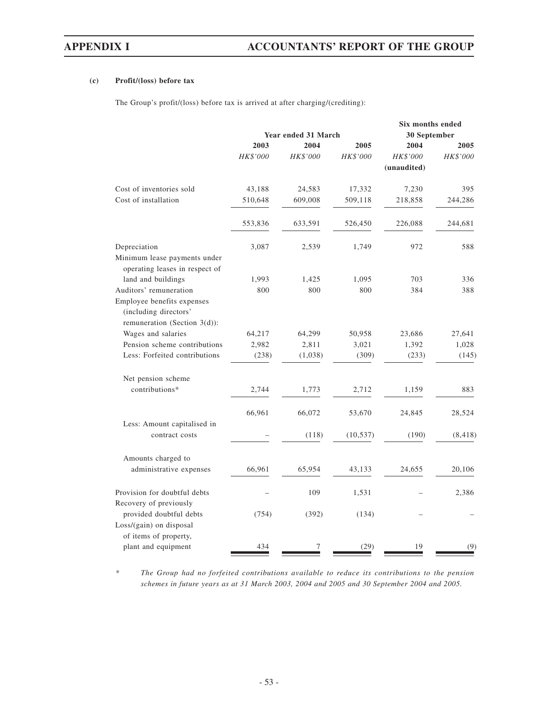## **(c) Profit/(loss) before tax**

The Group's profit/(loss) before tax is arrived at after charging/(crediting):

|                                                                                        | Year ended 31 March |          |           | Six months ended<br>30 September |          |
|----------------------------------------------------------------------------------------|---------------------|----------|-----------|----------------------------------|----------|
|                                                                                        | 2003                | 2004     | 2005      | 2004                             | 2005     |
|                                                                                        | HK\$'000            | HK\$'000 | HK\$'000  | HK\$'000<br>(unaudited)          | HK\$'000 |
| Cost of inventories sold                                                               | 43,188              | 24,583   | 17,332    | 7,230                            | 395      |
| Cost of installation                                                                   | 510,648             | 609,008  | 509,118   | 218,858                          | 244,286  |
|                                                                                        | 553,836             | 633,591  | 526,450   | 226,088                          | 244,681  |
| Depreciation<br>Minimum lease payments under<br>operating leases in respect of         | 3,087               | 2,539    | 1,749     | 972                              | 588      |
| land and buildings                                                                     | 1,993               | 1,425    | 1,095     | 703                              | 336      |
| Auditors' remuneration                                                                 | 800                 | 800      | 800       | 384                              | 388      |
| Employee benefits expenses<br>(including directors'<br>remuneration (Section $3(d)$ ): |                     |          |           |                                  |          |
| Wages and salaries                                                                     | 64,217              | 64,299   | 50,958    | 23,686                           | 27,641   |
| Pension scheme contributions                                                           | 2,982               | 2,811    | 3,021     | 1,392                            | 1,028    |
| Less: Forfeited contributions                                                          | (238)               | (1,038)  | (309)     | (233)                            | (145)    |
| Net pension scheme                                                                     |                     |          |           |                                  |          |
| contributions*                                                                         | 2,744               | 1,773    | 2,712     | 1,159                            | 883      |
| Less: Amount capitalised in                                                            | 66,961              | 66,072   | 53,670    | 24,845                           | 28,524   |
| contract costs                                                                         |                     | (118)    | (10, 537) | (190)                            | (8, 418) |
| Amounts charged to                                                                     |                     |          |           |                                  |          |
| administrative expenses                                                                | 66,961              | 65,954   | 43,133    | 24,655                           | 20,106   |
| Provision for doubtful debts<br>Recovery of previously                                 |                     | 109      | 1,531     |                                  | 2,386    |
| provided doubtful debts<br>Loss/(gain) on disposal                                     | (754)               | (392)    | (134)     |                                  |          |
| of items of property,                                                                  |                     |          |           |                                  |          |
| plant and equipment                                                                    | 434                 | 7        | (29)      | 19                               | (9)      |

*\* The Group had no forfeited contributions available to reduce its contributions to the pension schemes in future years as at 31 March 2003, 2004 and 2005 and 30 September 2004 and 2005.*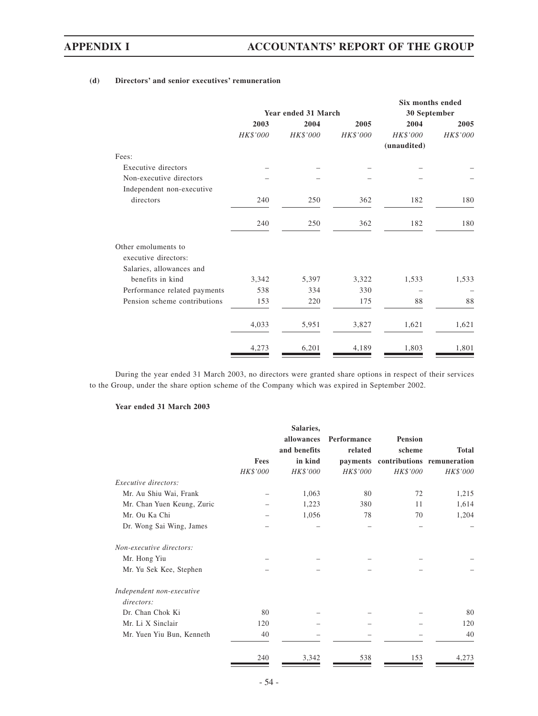## **(d) Directors' and senior executives' remuneration**

|                              |          |                     | Six months ended |              |          |
|------------------------------|----------|---------------------|------------------|--------------|----------|
|                              |          | Year ended 31 March |                  | 30 September |          |
|                              | 2003     | 2004                | 2005             | 2004         | 2005     |
|                              | HK\$'000 | HK\$'000            | HK\$'000         | HK\$'000     | HK\$'000 |
|                              |          |                     |                  | (unaudited)  |          |
| Fees:                        |          |                     |                  |              |          |
| Executive directors          |          |                     |                  |              |          |
| Non-executive directors      |          |                     |                  |              |          |
| Independent non-executive    |          |                     |                  |              |          |
| directors                    | 240      | 250                 | 362              | 182          | 180      |
|                              | 240      | 250                 | 362              | 182          | 180      |
| Other emoluments to          |          |                     |                  |              |          |
| executive directors:         |          |                     |                  |              |          |
| Salaries, allowances and     |          |                     |                  |              |          |
| benefits in kind             | 3,342    | 5,397               | 3,322            | 1,533        | 1,533    |
| Performance related payments | 538      | 334                 | 330              |              |          |
| Pension scheme contributions | 153      | 220                 | 175              | 88           | 88       |
|                              | 4,033    | 5,951               | 3,827            | 1,621        | 1,621    |
|                              | 4,273    | 6,201               | 4,189            | 1,803        | 1,801    |

During the year ended 31 March 2003, no directors were granted share options in respect of their services to the Group, under the share option scheme of the Company which was expired in September 2002.

## **Year ended 31 March 2003**

|                                         |          | Salaries,<br>allowances<br>and benefits | Performance<br>related | <b>Pension</b><br>scheme            | <b>Total</b> |
|-----------------------------------------|----------|-----------------------------------------|------------------------|-------------------------------------|--------------|
|                                         | Fees     | in kind                                 |                        | payments contributions remuneration |              |
|                                         | HK\$'000 | HK\$'000                                | HK\$'000               | HK\$'000                            | HK\$'000     |
| Executive directors:                    |          |                                         |                        |                                     |              |
| Mr. Au Shiu Wai, Frank                  |          | 1,063                                   | 80                     | 72                                  | 1,215        |
| Mr. Chan Yuen Keung, Zuric              |          | 1,223                                   | 380                    | 11                                  | 1,614        |
| Mr. Ou Ka Chi                           |          | 1,056                                   | 78                     | 70                                  | 1,204        |
| Dr. Wong Sai Wing, James                |          |                                         |                        |                                     |              |
| Non-executive directors:                |          |                                         |                        |                                     |              |
| Mr. Hong Yiu                            |          |                                         |                        |                                     |              |
| Mr. Yu Sek Kee, Stephen                 |          |                                         |                        |                                     |              |
| Independent non-executive<br>directors: |          |                                         |                        |                                     |              |
| Dr. Chan Chok Ki                        | 80       |                                         |                        |                                     | 80           |
| Mr. Li X Sinclair                       | 120      |                                         |                        |                                     | 120          |
| Mr. Yuen Yiu Bun, Kenneth               | 40       |                                         |                        |                                     | 40           |
|                                         | 240      | 3,342                                   | 538                    | 153                                 | 4,273        |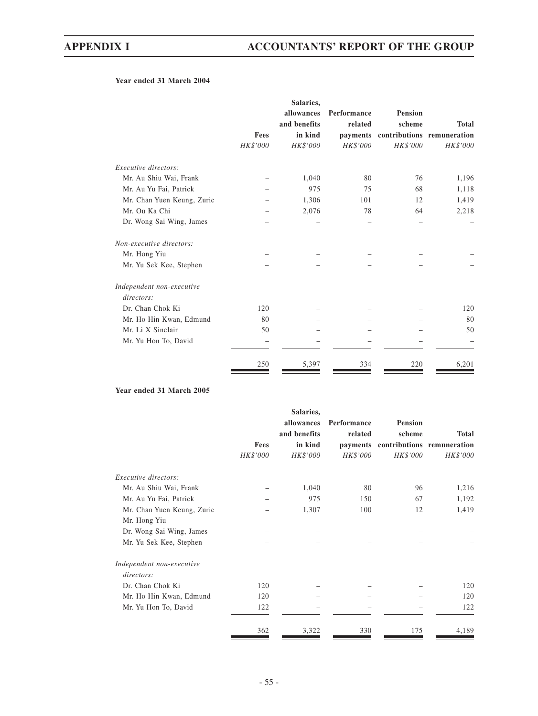## **Year ended 31 March 2004**

|                                         |          | Salaries,    |             |                                     |              |
|-----------------------------------------|----------|--------------|-------------|-------------------------------------|--------------|
|                                         |          | allowances   | Performance | <b>Pension</b>                      |              |
|                                         |          | and benefits | related     | scheme                              | <b>Total</b> |
|                                         | Fees     | in kind      |             | payments contributions remuneration |              |
|                                         | HK\$'000 | HK\$'000     | HK\$'000    | HK\$'000                            | HK\$'000     |
| <i>Executive directors:</i>             |          |              |             |                                     |              |
| Mr. Au Shiu Wai, Frank                  |          | 1,040        | 80          | 76                                  | 1,196        |
| Mr. Au Yu Fai, Patrick                  |          | 975          | 75          | 68                                  | 1,118        |
| Mr. Chan Yuen Keung, Zuric              |          | 1,306        | 101         | 12                                  | 1,419        |
| Mr. Ou Ka Chi                           |          | 2,076        | 78          | 64                                  | 2,218        |
| Dr. Wong Sai Wing, James                |          |              |             |                                     |              |
| Non-executive directors:                |          |              |             |                                     |              |
| Mr. Hong Yiu                            |          |              |             |                                     |              |
| Mr. Yu Sek Kee, Stephen                 |          |              |             |                                     |              |
| Independent non-executive<br>directors: |          |              |             |                                     |              |
| Dr. Chan Chok Ki                        | 120      |              |             |                                     | 120          |
| Mr. Ho Hin Kwan, Edmund                 | 80       |              |             |                                     | 80           |
| Mr. Li X Sinclair                       | 50       |              |             |                                     | 50           |
| Mr. Yu Hon To, David                    |          |              |             |                                     |              |
|                                         | 250      | 5,397        | 334         | 220                                 | 6,201        |

## **Year ended 31 March 2005**

|                                         |          | Salaries,    |             |                                     |                 |
|-----------------------------------------|----------|--------------|-------------|-------------------------------------|-----------------|
|                                         |          | allowances   | Performance | <b>Pension</b>                      |                 |
|                                         |          | and benefits | related     | scheme                              | <b>Total</b>    |
|                                         | Fees     | in kind      |             | payments contributions remuneration |                 |
|                                         | HK\$'000 | HK\$'000     | HK\$'000    | HK\$'000                            | <i>HK\$'000</i> |
| <i>Executive directors:</i>             |          |              |             |                                     |                 |
| Mr. Au Shiu Wai, Frank                  |          | 1,040        | 80          | 96                                  | 1,216           |
| Mr. Au Yu Fai, Patrick                  |          | 975          | 150         | 67                                  | 1,192           |
| Mr. Chan Yuen Keung, Zuric              |          | 1,307        | 100         | 12                                  | 1,419           |
| Mr. Hong Yiu                            |          |              |             |                                     |                 |
| Dr. Wong Sai Wing, James                |          |              |             |                                     |                 |
| Mr. Yu Sek Kee, Stephen                 |          |              |             |                                     |                 |
| Independent non-executive<br>directors: |          |              |             |                                     |                 |
| Dr. Chan Chok Ki                        | 120      |              |             |                                     | 120             |
| Mr. Ho Hin Kwan, Edmund                 | 120      |              |             |                                     | 120             |
| Mr. Yu Hon To, David                    | 122      |              |             |                                     | 122             |
|                                         | 362      | 3,322        | 330         | 175                                 | 4,189           |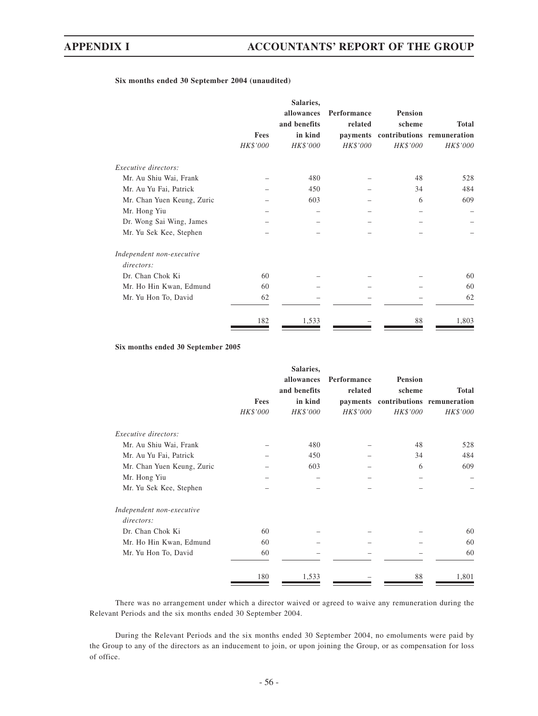## **Six months ended 30 September 2004 (unaudited)**

|                                         |          | Salaries,    |             |                                     |                 |
|-----------------------------------------|----------|--------------|-------------|-------------------------------------|-----------------|
|                                         |          | allowances   | Performance | <b>Pension</b>                      |                 |
|                                         |          | and benefits | related     | scheme                              | <b>Total</b>    |
|                                         | Fees     | in kind      |             | payments contributions remuneration |                 |
|                                         | HK\$'000 | HK\$'000     | HK\$'000    | HK\$'000                            | <i>HK\$'000</i> |
| <i>Executive directors:</i>             |          |              |             |                                     |                 |
| Mr. Au Shiu Wai, Frank                  |          | 480          |             | 48                                  | 528             |
| Mr. Au Yu Fai, Patrick                  |          | 450          |             | 34                                  | 484             |
| Mr. Chan Yuen Keung, Zuric              |          | 603          |             | 6                                   | 609             |
| Mr. Hong Yiu                            |          |              |             |                                     |                 |
| Dr. Wong Sai Wing, James                |          |              |             |                                     |                 |
| Mr. Yu Sek Kee, Stephen                 |          |              |             |                                     |                 |
| Independent non-executive<br>directors: |          |              |             |                                     |                 |
| Dr. Chan Chok Ki                        | 60       |              |             |                                     | 60              |
| Mr. Ho Hin Kwan, Edmund                 | 60       |              |             |                                     | 60              |
| Mr. Yu Hon To, David                    | 62       |              |             |                                     | 62              |
|                                         | 182      | 1,533        |             | 88                                  | 1,803           |

### **Six months ended 30 September 2005**

|                             |          | Salaries,    |             |                                     |              |
|-----------------------------|----------|--------------|-------------|-------------------------------------|--------------|
|                             |          | allowances   | Performance | <b>Pension</b>                      |              |
|                             |          | and benefits | related     | scheme                              | <b>Total</b> |
|                             | Fees     | in kind      |             | payments contributions remuneration |              |
|                             | HK\$'000 | HK\$'000     | HK\$'000    | HK\$'000                            | HK\$'000     |
| <i>Executive directors:</i> |          |              |             |                                     |              |
| Mr. Au Shiu Wai, Frank      |          | 480          |             | 48                                  | 528          |
| Mr. Au Yu Fai, Patrick      |          | 450          |             | 34                                  | 484          |
| Mr. Chan Yuen Keung, Zuric  |          | 603          |             | 6                                   | 609          |
| Mr. Hong Yiu                |          |              |             |                                     |              |
| Mr. Yu Sek Kee, Stephen     |          |              |             |                                     |              |
| Independent non-executive   |          |              |             |                                     |              |
| directors:                  |          |              |             |                                     |              |
| Dr. Chan Chok Ki            | 60       |              |             |                                     | 60           |
| Mr. Ho Hin Kwan, Edmund     | 60       |              |             |                                     | 60           |
| Mr. Yu Hon To, David        | 60       |              |             |                                     | 60           |
|                             | 180      | 1,533        |             | 88                                  | 1,801        |

There was no arrangement under which a director waived or agreed to waive any remuneration during the Relevant Periods and the six months ended 30 September 2004.

During the Relevant Periods and the six months ended 30 September 2004, no emoluments were paid by the Group to any of the directors as an inducement to join, or upon joining the Group, or as compensation for loss of office.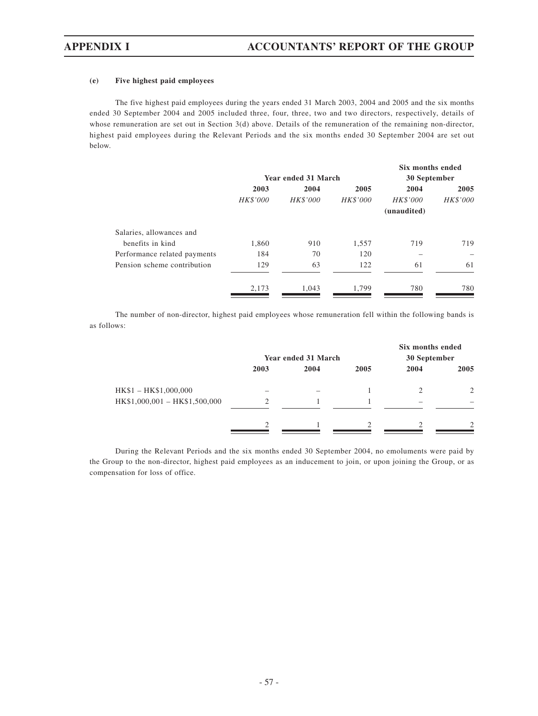### **(e) Five highest paid employees**

The five highest paid employees during the years ended 31 March 2003, 2004 and 2005 and the six months ended 30 September 2004 and 2005 included three, four, three, two and two directors, respectively, details of whose remuneration are set out in Section 3(d) above. Details of the remuneration of the remaining non-director, highest paid employees during the Relevant Periods and the six months ended 30 September 2004 are set out below.

|                              |          |                     |          | Six months ended |          |
|------------------------------|----------|---------------------|----------|------------------|----------|
|                              |          | Year ended 31 March |          | 30 September     |          |
|                              | 2003     | 2004                | 2005     | 2004             | 2005     |
|                              | HK\$'000 | HK\$'000            | HK\$'000 | HK\$'000         | HK\$'000 |
|                              |          |                     |          | (unaudited)      |          |
| Salaries, allowances and     |          |                     |          |                  |          |
| benefits in kind             | 1.860    | 910                 | 1,557    | 719              | 719      |
| Performance related payments | 184      | 70                  | 120      |                  |          |
| Pension scheme contribution  | 129      | 63                  | 122      | 61               | 61       |
|                              | 2.173    | 1.043               | 1.799    | 780              | 780      |
|                              |          |                     |          |                  |          |

The number of non-director, highest paid employees whose remuneration fell within the following bands is as follows:

|                               | Year ended 31 March |      |      | Six months ended<br>30 September |      |
|-------------------------------|---------------------|------|------|----------------------------------|------|
|                               | 2003                | 2004 | 2005 | 2004                             | 2005 |
| HK\$1 - HK\$1,000,000         |                     |      |      | 2                                | 2    |
| HK\$1,000,001 - HK\$1,500,000 | 2                   |      |      | $\overline{\phantom{a}}$         |      |
|                               | ∍                   |      | っ    | ◠                                |      |

During the Relevant Periods and the six months ended 30 September 2004, no emoluments were paid by the Group to the non-director, highest paid employees as an inducement to join, or upon joining the Group, or as compensation for loss of office.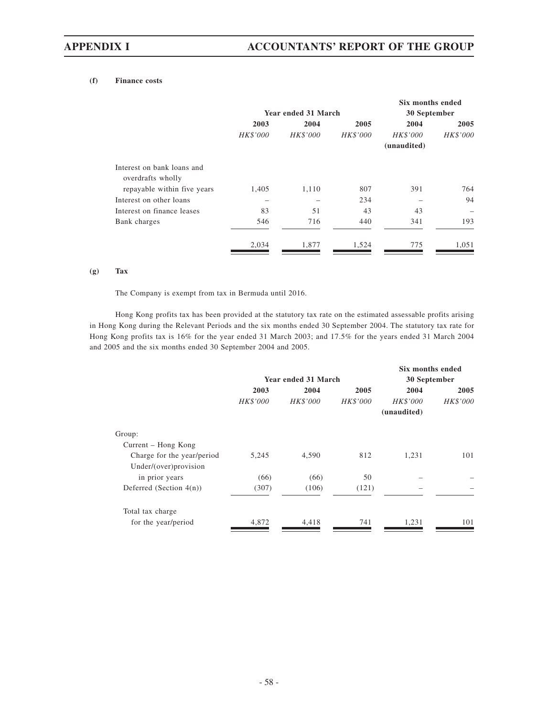### **(f) Finance costs**

|                                                 |                     |          |          | Six months ended |          |
|-------------------------------------------------|---------------------|----------|----------|------------------|----------|
|                                                 | Year ended 31 March |          |          | 30 September     |          |
|                                                 | 2003                | 2004     | 2005     | 2004             | 2005     |
|                                                 | HK\$'000            | HK\$'000 | HK\$'000 | HK\$'000         | HK\$'000 |
|                                                 |                     |          |          | (unaudited)      |          |
| Interest on bank loans and<br>overdrafts wholly |                     |          |          |                  |          |
| repayable within five years                     | 1,405               | 1,110    | 807      | 391              | 764      |
| Interest on other loans                         |                     |          | 234      |                  | 94       |
| Interest on finance leases                      | 83                  | 51       | 43       | 43               |          |
| Bank charges                                    | 546                 | 716      | 440      | 341              | 193      |
|                                                 | 2,034               | 1,877    | 1,524    | 775              | 1,051    |

### **(g) Tax**

The Company is exempt from tax in Bermuda until 2016.

Hong Kong profits tax has been provided at the statutory tax rate on the estimated assessable profits arising in Hong Kong during the Relevant Periods and the six months ended 30 September 2004. The statutory tax rate for Hong Kong profits tax is 16% for the year ended 31 March 2003; and 17.5% for the years ended 31 March 2004 and 2005 and the six months ended 30 September 2004 and 2005.

|                            |          |                     |              | Six months ended |          |
|----------------------------|----------|---------------------|--------------|------------------|----------|
|                            |          | Year ended 31 March | 30 September |                  |          |
|                            | 2003     | 2004                | 2005         | 2004             | 2005     |
|                            | HK\$'000 | HK\$'000            | HK\$'000     | HK\$'000         | HK\$'000 |
|                            |          |                     |              | (unaudited)      |          |
| Group:                     |          |                     |              |                  |          |
| Current – Hong Kong        |          |                     |              |                  |          |
| Charge for the year/period | 5,245    | 4,590               | 812          | 1,231            | 101      |
| Under/(over)provision      |          |                     |              |                  |          |
| in prior years             | (66)     | (66)                | 50           |                  |          |
| Deferred (Section $4(n)$ ) | (307)    | (106)               | (121)        |                  |          |
| Total tax charge           |          |                     |              |                  |          |
| for the year/period        | 4,872    | 4,418               | 741          | 1,231            | 101      |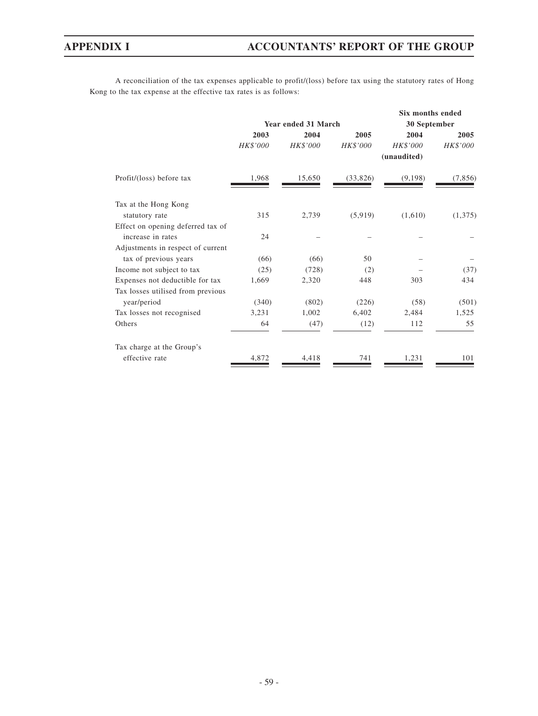A reconciliation of the tax expenses applicable to profit/(loss) before tax using the statutory rates of Hong Kong to the tax expense at the effective tax rates is as follows:

|                                   | Year ended 31 March |                  |                  | <b>Six months ended</b><br>30 September |                  |  |
|-----------------------------------|---------------------|------------------|------------------|-----------------------------------------|------------------|--|
|                                   | 2003<br>HK\$'000    | 2004<br>HK\$'000 | 2005<br>HK\$'000 | 2004<br>HK\$'000<br>(unaudited)         | 2005<br>HK\$'000 |  |
| Profit/(loss) before tax          | 1,968               | 15,650           | (33,826)         | (9,198)                                 | (7, 856)         |  |
| Tax at the Hong Kong              |                     |                  |                  |                                         |                  |  |
| statutory rate                    | 315                 | 2,739            | (5,919)          | (1,610)                                 | (1,375)          |  |
| Effect on opening deferred tax of |                     |                  |                  |                                         |                  |  |
| increase in rates                 | 24                  |                  |                  |                                         |                  |  |
| Adjustments in respect of current |                     |                  |                  |                                         |                  |  |
| tax of previous years             | (66)                | (66)             | 50               |                                         |                  |  |
| Income not subject to tax         | (25)                | (728)            | (2)              |                                         | (37)             |  |
| Expenses not deductible for tax   | 1,669               | 2,320            | 448              | 303                                     | 434              |  |
| Tax losses utilised from previous |                     |                  |                  |                                         |                  |  |
| year/period                       | (340)               | (802)            | (226)            | (58)                                    | (501)            |  |
| Tax losses not recognised         | 3,231               | 1,002            | 6,402            | 2,484                                   | 1,525            |  |
| Others                            | 64                  | (47)             | (12)             | 112                                     | 55               |  |
| Tax charge at the Group's         |                     |                  |                  |                                         |                  |  |
| effective rate                    | 4,872               | 4,418            | 741              | 1,231                                   | 101              |  |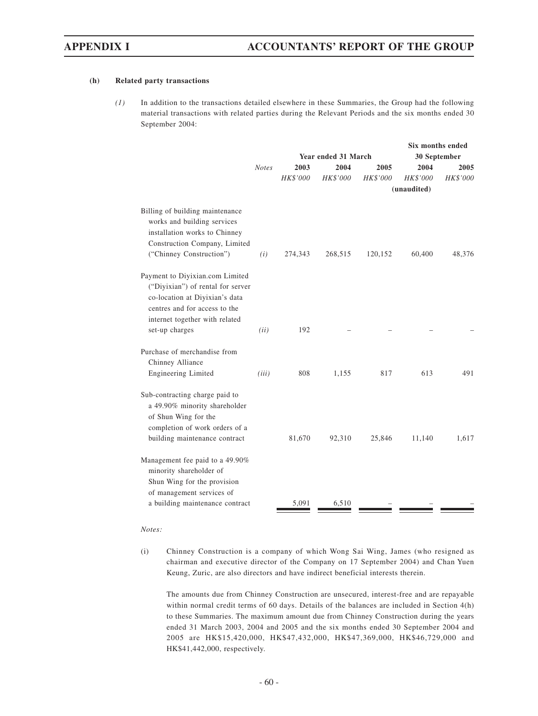## **(h) Related party transactions**

*(1)* In addition to the transactions detailed elsewhere in these Summaries, the Group had the following material transactions with related parties during the Relevant Periods and the six months ended 30 September 2004:

|                                 |                                                                                                                                                                  |                                  | Six months ended<br>30 September |                                         |                                 |
|---------------------------------|------------------------------------------------------------------------------------------------------------------------------------------------------------------|----------------------------------|----------------------------------|-----------------------------------------|---------------------------------|
|                                 |                                                                                                                                                                  |                                  |                                  |                                         | 2005                            |
|                                 |                                                                                                                                                                  |                                  |                                  |                                         | HK\$'000                        |
|                                 |                                                                                                                                                                  |                                  |                                  |                                         |                                 |
| (i)                             | 274,343                                                                                                                                                          | 268,515                          | 120,152                          | 60,400                                  | 48,376                          |
|                                 |                                                                                                                                                                  |                                  |                                  |                                         |                                 |
|                                 |                                                                                                                                                                  |                                  |                                  |                                         |                                 |
| (iii)                           | 808                                                                                                                                                              | 1,155                            | 817                              | 613                                     | 491                             |
|                                 | 81,670                                                                                                                                                           | 92,310                           | 25,846                           | 11,140                                  | 1,617                           |
|                                 |                                                                                                                                                                  |                                  |                                  |                                         |                                 |
| Payment to Diyixian.com Limited | <b>Notes</b><br>Construction Company, Limited<br>("Diyixian") of rental for server<br>(ii)<br>Management fee paid to a 49.90%<br>a building maintenance contract | 2003<br>HK\$'000<br>192<br>5,091 | 2004<br>HK\$'000<br>6,510        | Year ended 31 March<br>2005<br>HK\$'000 | 2004<br>HK\$'000<br>(unaudited) |

### *Notes:*

(i) Chinney Construction is a company of which Wong Sai Wing, James (who resigned as chairman and executive director of the Company on 17 September 2004) and Chan Yuen Keung, Zuric, are also directors and have indirect beneficial interests therein.

The amounts due from Chinney Construction are unsecured, interest-free and are repayable within normal credit terms of 60 days. Details of the balances are included in Section 4(h) to these Summaries. The maximum amount due from Chinney Construction during the years ended 31 March 2003, 2004 and 2005 and the six months ended 30 September 2004 and 2005 are HK\$15,420,000, HK\$47,432,000, HK\$47,369,000, HK\$46,729,000 and HK\$41,442,000, respectively.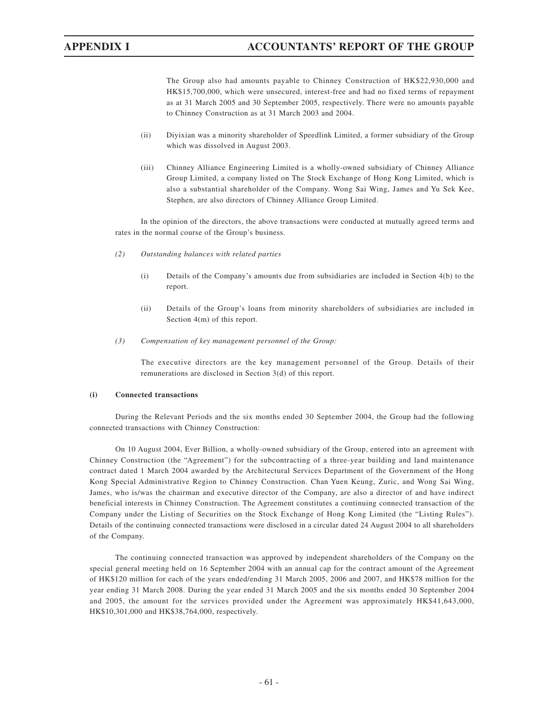The Group also had amounts payable to Chinney Construction of HK\$22,930,000 and HK\$15,700,000, which were unsecured, interest-free and had no fixed terms of repayment as at 31 March 2005 and 30 September 2005, respectively. There were no amounts payable to Chinney Construction as at 31 March 2003 and 2004.

- (ii) Diyixian was a minority shareholder of Speedlink Limited, a former subsidiary of the Group which was dissolved in August 2003.
- (iii) Chinney Alliance Engineering Limited is a wholly-owned subsidiary of Chinney Alliance Group Limited, a company listed on The Stock Exchange of Hong Kong Limited, which is also a substantial shareholder of the Company. Wong Sai Wing, James and Yu Sek Kee, Stephen, are also directors of Chinney Alliance Group Limited.

In the opinion of the directors, the above transactions were conducted at mutually agreed terms and rates in the normal course of the Group's business.

- *(2) Outstanding balances with related parties*
	- (i) Details of the Company's amounts due from subsidiaries are included in Section 4(b) to the report.
	- (ii) Details of the Group's loans from minority shareholders of subsidiaries are included in Section 4(m) of this report.
- *(3) Compensation of key management personnel of the Group:*

The executive directors are the key management personnel of the Group. Details of their remunerations are disclosed in Section 3(d) of this report.

### **(i) Connected transactions**

During the Relevant Periods and the six months ended 30 September 2004, the Group had the following connected transactions with Chinney Construction:

On 10 August 2004, Ever Billion, a wholly-owned subsidiary of the Group, entered into an agreement with Chinney Construction (the "Agreement") for the subcontracting of a three-year building and land maintenance contract dated 1 March 2004 awarded by the Architectural Services Department of the Government of the Hong Kong Special Administrative Region to Chinney Construction. Chan Yuen Keung, Zuric, and Wong Sai Wing, James, who is/was the chairman and executive director of the Company, are also a director of and have indirect beneficial interests in Chinney Construction. The Agreement constitutes a continuing connected transaction of the Company under the Listing of Securities on the Stock Exchange of Hong Kong Limited (the "Listing Rules"). Details of the continuing connected transactions were disclosed in a circular dated 24 August 2004 to all shareholders of the Company.

The continuing connected transaction was approved by independent shareholders of the Company on the special general meeting held on 16 September 2004 with an annual cap for the contract amount of the Agreement of HK\$120 million for each of the years ended/ending 31 March 2005, 2006 and 2007, and HK\$78 million for the year ending 31 March 2008. During the year ended 31 March 2005 and the six months ended 30 September 2004 and 2005, the amount for the services provided under the Agreement was approximately HK\$41,643,000, HK\$10,301,000 and HK\$38,764,000, respectively.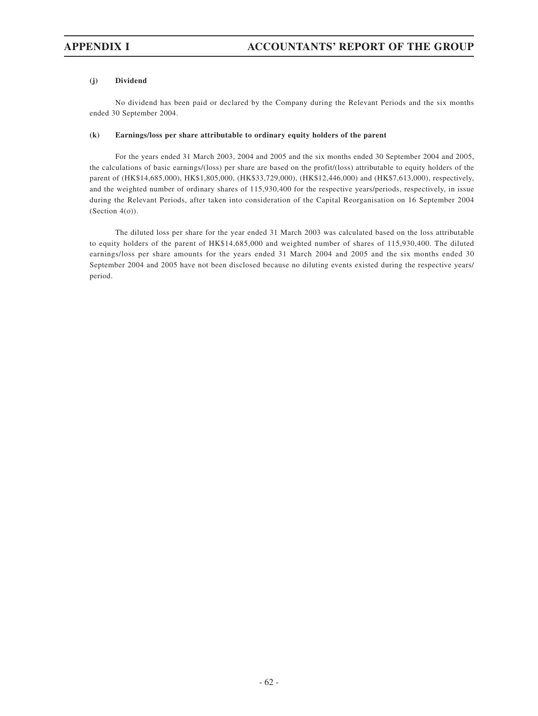## **(j) Dividend**

No dividend has been paid or declared by the Company during the Relevant Periods and the six months ended 30 September 2004.

### **(k) Earnings/loss per share attributable to ordinary equity holders of the parent**

For the years ended 31 March 2003, 2004 and 2005 and the six months ended 30 September 2004 and 2005, the calculations of basic earnings/(loss) per share are based on the profit/(loss) attributable to equity holders of the parent of (HK\$14,685,000), HK\$1,805,000, (HK\$33,729,000), (HK\$12,446,000) and (HK\$7,613,000), respectively, and the weighted number of ordinary shares of 115,930,400 for the respective years/periods, respectively, in issue during the Relevant Periods, after taken into consideration of the Capital Reorganisation on 16 September 2004 (Section 4(o)).

The diluted loss per share for the year ended 31 March 2003 was calculated based on the loss attributable to equity holders of the parent of HK\$14,685,000 and weighted number of shares of 115,930,400. The diluted earnings/loss per share amounts for the years ended 31 March 2004 and 2005 and the six months ended 30 September 2004 and 2005 have not been disclosed because no diluting events existed during the respective years/ period.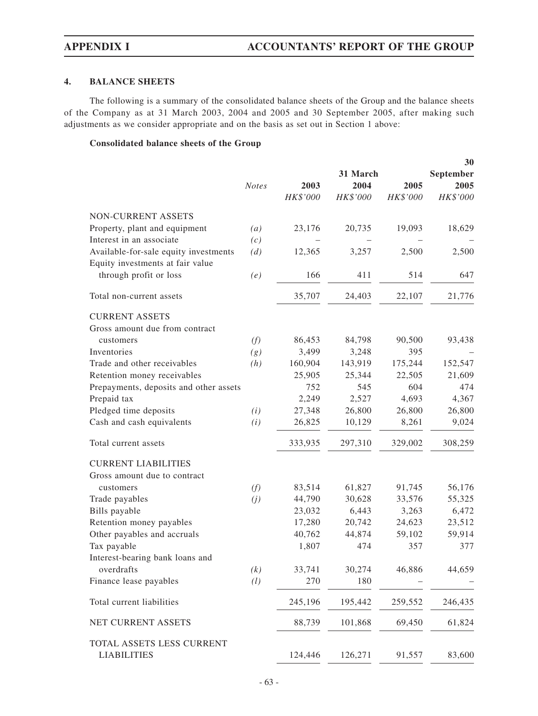## **4. BALANCE SHEETS**

The following is a summary of the consolidated balance sheets of the Group and the balance sheets of the Company as at 31 March 2003, 2004 and 2005 and 30 September 2005, after making such adjustments as we consider appropriate and on the basis as set out in Section 1 above:

## **Consolidated balance sheets of the Group**

|                                        |                   |          |          |          | 30        |
|----------------------------------------|-------------------|----------|----------|----------|-----------|
|                                        |                   |          | 31 March |          | September |
|                                        | <b>Notes</b>      | 2003     | 2004     | 2005     | 2005      |
|                                        |                   | HK\$'000 | HK\$'000 | HK\$'000 | HK\$'000  |
| NON-CURRENT ASSETS                     |                   |          |          |          |           |
| Property, plant and equipment          | $\left( a\right)$ | 23,176   | 20,735   | 19,093   | 18,629    |
| Interest in an associate               | (c)               |          |          |          |           |
| Available-for-sale equity investments  | (d)               | 12,365   | 3,257    | 2,500    | 2,500     |
| Equity investments at fair value       |                   |          |          |          |           |
| through profit or loss                 | (e)               | 166      | 411      | 514      | 647       |
|                                        |                   |          |          |          |           |
| Total non-current assets               |                   | 35,707   | 24,403   | 22,107   | 21,776    |
| <b>CURRENT ASSETS</b>                  |                   |          |          |          |           |
| Gross amount due from contract         |                   |          |          |          |           |
| customers                              | (f)               | 86,453   | 84,798   | 90,500   | 93,438    |
| Inventories                            | (g)               | 3,499    | 3,248    | 395      |           |
| Trade and other receivables            | (h)               | 160,904  | 143,919  | 175,244  | 152,547   |
| Retention money receivables            |                   | 25,905   | 25,344   | 22,505   | 21,609    |
| Prepayments, deposits and other assets |                   | 752      | 545      | 604      | 474       |
| Prepaid tax                            |                   | 2,249    | 2,527    | 4,693    | 4,367     |
| Pledged time deposits                  | (i)               | 27,348   | 26,800   | 26,800   | 26,800    |
| Cash and cash equivalents              | (i)               | 26,825   | 10,129   | 8,261    | 9,024     |
| Total current assets                   |                   | 333,935  | 297,310  | 329,002  | 308,259   |
| <b>CURRENT LIABILITIES</b>             |                   |          |          |          |           |
| Gross amount due to contract           |                   |          |          |          |           |
| customers                              | (f)               | 83,514   | 61,827   | 91,745   | 56,176    |
| Trade payables                         | (j)               | 44,790   | 30,628   | 33,576   | 55,325    |
| Bills payable                          |                   | 23,032   | 6,443    | 3,263    | 6,472     |
| Retention money payables               |                   | 17,280   | 20,742   | 24,623   | 23,512    |
| Other payables and accruals            |                   | 40,762   | 44,874   | 59,102   | 59,914    |
| Tax payable                            |                   | 1,807    | 474      | 357      | 377       |
| Interest-bearing bank loans and        |                   |          |          |          |           |
| overdrafts                             | (k)               | 33,741   | 30,274   | 46,886   | 44,659    |
| Finance lease payables                 | (l)               | 270      | 180      |          |           |
|                                        |                   |          |          |          |           |
| Total current liabilities              |                   | 245,196  | 195,442  | 259,552  | 246,435   |
| NET CURRENT ASSETS                     |                   | 88,739   | 101,868  | 69,450   | 61,824    |
| TOTAL ASSETS LESS CURRENT              |                   |          |          |          |           |
| <b>LIABILITIES</b>                     |                   | 124,446  | 126,271  | 91,557   | 83,600    |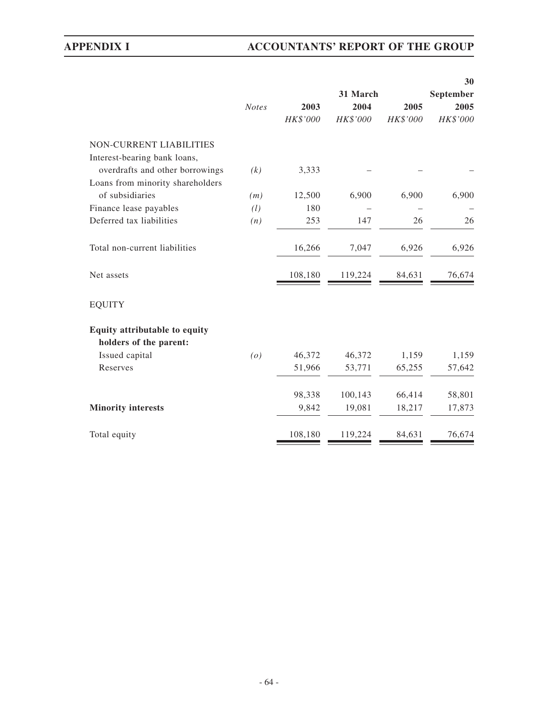|                                  |              |          |          |          | 30        |
|----------------------------------|--------------|----------|----------|----------|-----------|
|                                  |              |          | 31 March |          | September |
|                                  | <b>Notes</b> | 2003     | 2004     | 2005     | 2005      |
|                                  |              | HK\$'000 | HK\$'000 | HK\$'000 | HK\$'000  |
| <b>NON-CURRENT LIABILITIES</b>   |              |          |          |          |           |
| Interest-bearing bank loans,     |              |          |          |          |           |
| overdrafts and other borrowings  | (k)          | 3,333    |          |          |           |
| Loans from minority shareholders |              |          |          |          |           |
| of subsidiaries                  | (m)          | 12,500   | 6,900    | 6,900    | 6,900     |
| Finance lease payables           | (l)          | 180      |          |          |           |
| Deferred tax liabilities         | (n)          | 253      | 147      | 26       | 26        |
| Total non-current liabilities    |              | 16,266   | 7,047    | 6,926    | 6,926     |
| Net assets                       |              | 108,180  | 119,224  | 84,631   | 76,674    |
| <b>EQUITY</b>                    |              |          |          |          |           |
| Equity attributable to equity    |              |          |          |          |           |
| holders of the parent:           |              |          |          |          |           |
| Issued capital                   | (o)          | 46,372   | 46,372   | 1,159    | 1,159     |
| Reserves                         |              | 51,966   | 53,771   | 65,255   | 57,642    |
|                                  |              | 98,338   | 100,143  | 66,414   | 58,801    |
| <b>Minority interests</b>        |              | 9,842    | 19,081   | 18,217   | 17,873    |
| Total equity                     |              | 108,180  | 119,224  | 84,631   | 76,674    |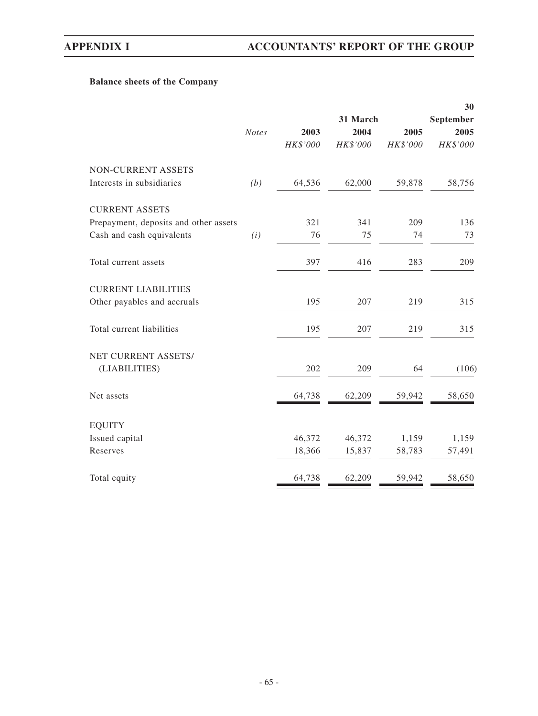# **Balance sheets of the Company**

|                                       |              |          |          |          | 30        |
|---------------------------------------|--------------|----------|----------|----------|-----------|
|                                       |              |          | 31 March |          | September |
|                                       | <b>Notes</b> | 2003     | 2004     | 2005     | 2005      |
|                                       |              | HK\$'000 | HK\$'000 | HK\$'000 | HK\$'000  |
| <b>NON-CURRENT ASSETS</b>             |              |          |          |          |           |
| Interests in subsidiaries             | (b)          | 64,536   | 62,000   | 59,878   | 58,756    |
| <b>CURRENT ASSETS</b>                 |              |          |          |          |           |
| Prepayment, deposits and other assets |              | 321      | 341      | 209      | 136       |
| Cash and cash equivalents             | (i)          | 76       | 75       | 74       | 73        |
| Total current assets                  |              | 397      | 416      | 283      | 209       |
| <b>CURRENT LIABILITIES</b>            |              |          |          |          |           |
| Other payables and accruals           |              | 195      | 207      | 219      | 315       |
| Total current liabilities             |              | 195      | 207      | 219      | 315       |
| <b>NET CURRENT ASSETS/</b>            |              |          |          |          |           |
| (LIABILITIES)                         |              | 202      | 209      | 64       | (106)     |
| Net assets                            |              | 64,738   | 62,209   | 59,942   | 58,650    |
| <b>EQUITY</b>                         |              |          |          |          |           |
| Issued capital                        |              | 46,372   | 46,372   | 1,159    | 1,159     |
| Reserves                              |              | 18,366   | 15,837   | 58,783   | 57,491    |
| Total equity                          |              | 64,738   | 62,209   | 59,942   | 58,650    |
|                                       |              |          |          |          |           |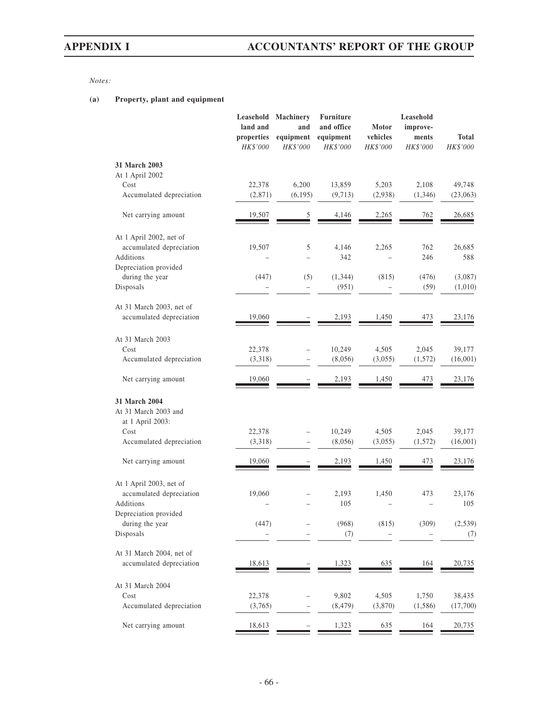## *Notes:*

# **(a) Property, plant and equipment**

| Leasehold<br>land and<br>properties<br>HK\$'000 | Machinery<br>and<br>equipment<br>HK\$'000 | <b>Furniture</b><br>and office<br>equipment<br>HK\$'000 | Motor<br>vehicles<br>HK\$'000          | Leasehold<br>improve-<br>ments<br>HK\$'000 | <b>Total</b><br>HK\$'000 |
|-------------------------------------------------|-------------------------------------------|---------------------------------------------------------|----------------------------------------|--------------------------------------------|--------------------------|
|                                                 |                                           |                                                         |                                        |                                            |                          |
|                                                 |                                           |                                                         |                                        |                                            |                          |
| (2,871)                                         | (6, 195)                                  | (9, 713)                                                | (2,938)                                | (1, 346)                                   | 49,748<br>(23,063)       |
| 19,507                                          | 5                                         | 4,146                                                   | 2,265                                  | 762                                        | 26,685                   |
|                                                 |                                           |                                                         |                                        |                                            |                          |
| 19,507                                          | 5                                         | 4,146                                                   | 2,265                                  | 762                                        | 26,685                   |
|                                                 |                                           | 342                                                     |                                        | 246                                        | 588                      |
|                                                 |                                           |                                                         |                                        |                                            |                          |
| (447)                                           | (5)                                       | (1, 344)                                                | (815)                                  | (476)                                      | (3,087)                  |
|                                                 | $\qquad \qquad -$                         | (951)                                                   |                                        | (59)                                       | (1,010)                  |
|                                                 |                                           |                                                         |                                        |                                            |                          |
| 19,060                                          |                                           | 2,193                                                   | 1,450                                  | 473                                        | 23,176                   |
|                                                 |                                           |                                                         |                                        |                                            |                          |
| 22,378                                          |                                           | 10,249                                                  | 4,505                                  | 2,045                                      | 39,177                   |
| (3,318)                                         |                                           | (8,056)                                                 | (3,055)                                | (1, 572)                                   | (16,001)                 |
| 19,060                                          |                                           | 2,193                                                   | 1,450                                  | 473                                        | 23,176                   |
|                                                 |                                           |                                                         |                                        |                                            |                          |
| 22,378                                          |                                           | 10,249                                                  | 4,505                                  | 2,045                                      | 39,177                   |
| (3,318)                                         |                                           | (8,056)                                                 | (3,055)                                | (1,572)                                    | (16,001)                 |
| 19,060                                          |                                           | 2,193                                                   | 1,450                                  | 473                                        | 23,176                   |
|                                                 |                                           |                                                         |                                        |                                            |                          |
| 19,060                                          |                                           | 2,193                                                   | 1,450                                  | 473                                        | 23,176                   |
|                                                 |                                           |                                                         |                                        |                                            | 105                      |
|                                                 |                                           |                                                         |                                        |                                            |                          |
|                                                 |                                           |                                                         |                                        |                                            | (2, 539)                 |
|                                                 |                                           |                                                         |                                        |                                            | (7)                      |
| 18,613                                          |                                           | 1,323                                                   | 635                                    | 164                                        | 20,735                   |
|                                                 |                                           |                                                         |                                        |                                            |                          |
|                                                 |                                           |                                                         |                                        |                                            | 38,435                   |
| (3,765)                                         |                                           | (8, 479)                                                | (3,870)                                | (1, 586)                                   | (17,700)                 |
|                                                 |                                           |                                                         |                                        |                                            |                          |
|                                                 | 22,378<br>(447)<br>22,378                 | 6,200                                                   | 13,859<br>105<br>(968)<br>(7)<br>9,802 | 5,203<br>(815)<br>4,505                    | 2,108<br>(309)<br>1,750  |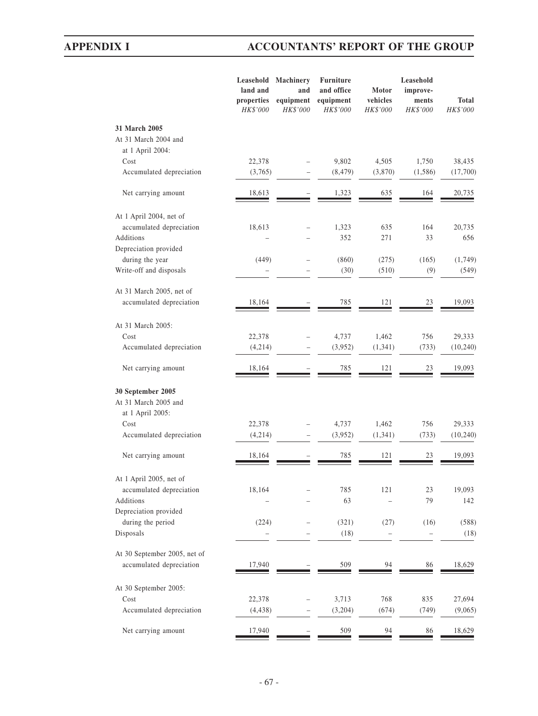|                                                          | Leasehold<br>land and<br>properties<br>HK\$'000 | Machinery<br>and<br>equipment<br>HK\$'000 | <b>Furniture</b><br>and office<br>equipment<br>HK\$'000 | Motor<br>vehicles<br>HK\$'000 | Leasehold<br>improve-<br>ments<br>HK\$'000 | <b>Total</b><br>HK\$'000 |
|----------------------------------------------------------|-------------------------------------------------|-------------------------------------------|---------------------------------------------------------|-------------------------------|--------------------------------------------|--------------------------|
| 31 March 2005                                            |                                                 |                                           |                                                         |                               |                                            |                          |
| At 31 March 2004 and                                     |                                                 |                                           |                                                         |                               |                                            |                          |
| at 1 April 2004:<br>Cost                                 | 22,378                                          |                                           | 9,802                                                   | 4,505                         | 1,750                                      | 38,435                   |
| Accumulated depreciation                                 | (3,765)                                         |                                           | (8, 479)                                                | (3,870)                       | (1, 586)                                   | (17,700)                 |
| Net carrying amount                                      | 18,613                                          |                                           | 1,323                                                   | 635                           | 164                                        | 20,735                   |
| At 1 April 2004, net of                                  |                                                 |                                           |                                                         |                               |                                            |                          |
| accumulated depreciation                                 | 18,613                                          |                                           | 1,323                                                   | 635                           | 164                                        | 20,735                   |
| Additions                                                |                                                 |                                           | 352                                                     | 271                           | 33                                         | 656                      |
| Depreciation provided                                    |                                                 |                                           |                                                         |                               |                                            |                          |
| during the year                                          | (449)                                           |                                           | (860)                                                   | (275)                         | (165)                                      | (1,749)                  |
| Write-off and disposals                                  |                                                 |                                           | (30)                                                    | (510)                         | (9)                                        | (549)                    |
| At 31 March 2005, net of                                 |                                                 |                                           |                                                         |                               |                                            |                          |
| accumulated depreciation                                 | 18,164                                          |                                           | 785                                                     | 121                           | 23                                         | 19,093                   |
| At 31 March 2005:                                        |                                                 |                                           |                                                         |                               |                                            |                          |
| Cost                                                     | 22,378                                          |                                           | 4,737                                                   | 1,462                         | 756                                        | 29,333                   |
| Accumulated depreciation                                 | (4,214)                                         |                                           | (3,952)                                                 | (1, 341)                      | (733)                                      | (10, 240)                |
| Net carrying amount                                      | 18,164                                          |                                           | 785                                                     | 121                           | 23                                         | 19,093                   |
| 30 September 2005                                        |                                                 |                                           |                                                         |                               |                                            |                          |
| At 31 March 2005 and                                     |                                                 |                                           |                                                         |                               |                                            |                          |
| at 1 April 2005:                                         |                                                 |                                           |                                                         |                               |                                            |                          |
| Cost                                                     | 22,378                                          |                                           | 4,737                                                   | 1,462                         | 756                                        | 29,333                   |
| Accumulated depreciation                                 | (4,214)                                         |                                           | (3,952)                                                 | (1, 341)                      | (733)                                      | (10, 240)                |
| Net carrying amount                                      | 18,164                                          |                                           | 785                                                     | 121                           | 23                                         | 19,093                   |
| At 1 April 2005, net of                                  |                                                 |                                           |                                                         |                               |                                            |                          |
| accumulated depreciation                                 | 18,164                                          |                                           | 785                                                     | 121                           | 23                                         | 19,093                   |
| Additions                                                |                                                 |                                           | 63                                                      |                               | 79                                         | 142                      |
| Depreciation provided<br>during the period               |                                                 |                                           | (321)                                                   |                               |                                            |                          |
| Disposals                                                | (224)                                           |                                           | (18)                                                    | (27)                          | (16)<br>$\overline{\phantom{0}}$           | (588)<br>(18)            |
|                                                          |                                                 |                                           |                                                         |                               |                                            |                          |
| At 30 September 2005, net of<br>accumulated depreciation | 17,940                                          |                                           | 509                                                     | 94                            | 86                                         | 18,629                   |
|                                                          |                                                 |                                           |                                                         |                               |                                            |                          |
| At 30 September 2005:                                    |                                                 |                                           |                                                         |                               |                                            |                          |
| Cost                                                     | 22,378                                          |                                           | 3,713                                                   | 768                           | 835                                        | 27,694                   |
| Accumulated depreciation                                 | (4, 438)                                        |                                           | (3,204)                                                 | (674)                         | (749)                                      | (9,065)                  |
| Net carrying amount                                      | 17,940                                          |                                           | $\frac{509}{2}$                                         | 94                            | $\frac{86}{1}$                             | 18,629                   |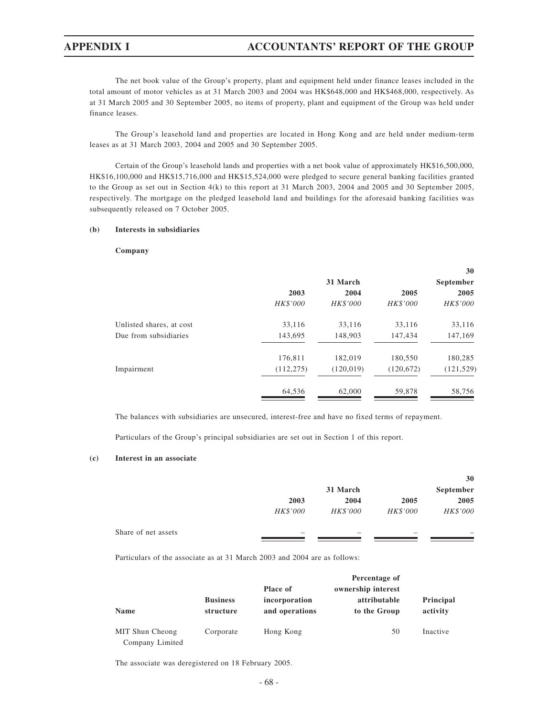The net book value of the Group's property, plant and equipment held under finance leases included in the total amount of motor vehicles as at 31 March 2003 and 2004 was HK\$648,000 and HK\$468,000, respectively. As at 31 March 2005 and 30 September 2005, no items of property, plant and equipment of the Group was held under finance leases.

The Group's leasehold land and properties are located in Hong Kong and are held under medium-term leases as at 31 March 2003, 2004 and 2005 and 30 September 2005.

Certain of the Group's leasehold lands and properties with a net book value of approximately HK\$16,500,000, HK\$16,100,000 and HK\$15,716,000 and HK\$15,524,000 were pledged to secure general banking facilities granted to the Group as set out in Section 4(k) to this report at 31 March 2003, 2004 and 2005 and 30 September 2005, respectively. The mortgage on the pledged leasehold land and buildings for the aforesaid banking facilities was subsequently released on 7 October 2005.

### **(b) Interests in subsidiaries**

### **Company**

|                          |            |            |            | 30         |
|--------------------------|------------|------------|------------|------------|
|                          |            | 31 March   |            | September  |
|                          | 2003       | 2004       | 2005       | 2005       |
|                          | HK\$'000   | HK\$'000   | HK\$'000   | HK\$'000   |
| Unlisted shares, at cost | 33,116     | 33,116     | 33,116     | 33,116     |
| Due from subsidiaries    | 143,695    | 148,903    | 147,434    | 147,169    |
|                          | 176,811    | 182,019    | 180,550    | 180,285    |
| Impairment               | (112, 275) | (120, 019) | (120, 672) | (121, 529) |
|                          | 64,536     | 62,000     | 59,878     | 58,756     |
|                          |            |            |            |            |

The balances with subsidiaries are unsecured, interest-free and have no fixed terms of repayment.

Particulars of the Group's principal subsidiaries are set out in Section 1 of this report.

### **(c) Interest in an associate**

|                     |          |          |          | 30        |
|---------------------|----------|----------|----------|-----------|
|                     |          | 31 March |          | September |
|                     | 2003     | 2004     | 2005     | 2005      |
|                     | HK\$'000 | HK\$'000 | HK\$'000 | HK\$'000  |
| Share of net assets | -        | -        | -        |           |
|                     |          |          |          |           |

Particulars of the associate as at 31 March 2003 and 2004 are as follows:

|                                    |                              |                                             | Percentage of                                      |                       |
|------------------------------------|------------------------------|---------------------------------------------|----------------------------------------------------|-----------------------|
| <b>Name</b>                        | <b>Business</b><br>structure | Place of<br>incorporation<br>and operations | ownership interest<br>attributable<br>to the Group | Principal<br>activity |
| MIT Shun Cheong<br>Company Limited | Corporate                    | Hong Kong                                   | 50                                                 | Inactive              |

The associate was deregistered on 18 February 2005.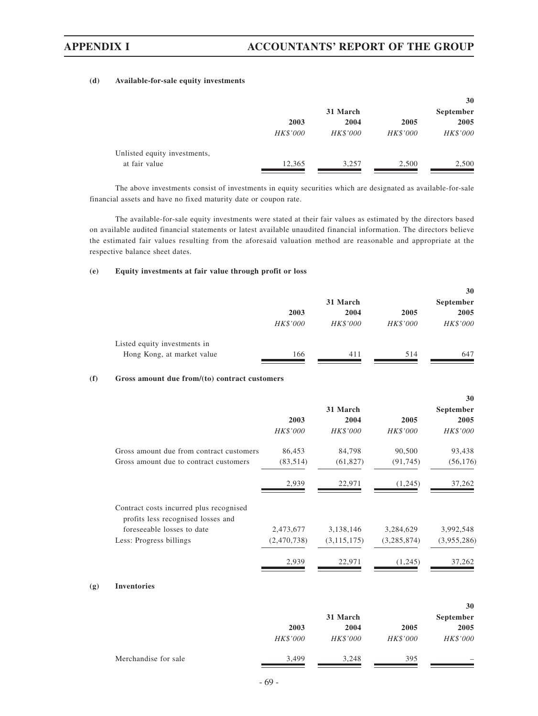**30**

**30**

**30**

### **(d) Available-for-sale equity investments**

|                              |          |          |          | 30        |
|------------------------------|----------|----------|----------|-----------|
|                              |          | 31 March |          | September |
|                              | 2003     | 2004     | 2005     | 2005      |
|                              | HK\$'000 | HK\$'000 | HK\$'000 | HK\$'000  |
| Unlisted equity investments, |          |          |          |           |
| at fair value                | 12,365   | 3,257    | 2,500    | 2,500     |
|                              |          |          |          |           |

The above investments consist of investments in equity securities which are designated as available-for-sale financial assets and have no fixed maturity date or coupon rate.

The available-for-sale equity investments were stated at their fair values as estimated by the directors based on available audited financial statements or latest available unaudited financial information. The directors believe the estimated fair values resulting from the aforesaid valuation method are reasonable and appropriate at the respective balance sheet dates.

### **(e) Equity investments at fair value through profit or loss**

|                              | 31 March |          |          | September |  |
|------------------------------|----------|----------|----------|-----------|--|
|                              | 2003     | 2004     | 2005     | 2005      |  |
|                              | HK\$'000 | HK\$'000 | HK\$'000 | HK\$'000  |  |
| Listed equity investments in |          |          |          |           |  |
| Hong Kong, at market value   | 166      | 411      | 514      | 647       |  |

### **(f) Gross amount due from/(to) contract customers**

|                                                                               |             |               |             | ЭV.         |
|-------------------------------------------------------------------------------|-------------|---------------|-------------|-------------|
|                                                                               |             | 31 March      |             | September   |
|                                                                               | 2003        | 2004          | 2005        | 2005        |
|                                                                               | HK\$'000    | HK\$'000      | HK\$'000    | HK\$'000    |
| Gross amount due from contract customers                                      | 86,453      | 84,798        | 90,500      | 93,438      |
| Gross amount due to contract customers                                        | (83, 514)   | (61, 827)     | (91, 745)   | (56, 176)   |
|                                                                               | 2,939       | 22,971        | (1,245)     | 37,262      |
| Contract costs incurred plus recognised<br>profits less recognised losses and |             |               |             |             |
| foreseeable losses to date                                                    | 2,473,677   | 3,138,146     | 3,284,629   | 3,992,548   |
| Less: Progress billings                                                       | (2,470,738) | (3, 115, 175) | (3,285,874) | (3,955,286) |
|                                                                               | 2,939       | 22,971        | (1,245)     | 37,262      |

### **(g) Inventories**

|                      |          |          |          | JV.                      |
|----------------------|----------|----------|----------|--------------------------|
|                      |          | 31 March |          | September                |
|                      | 2003     | 2004     | 2005     | 2005                     |
|                      | HK\$'000 | HK\$'000 | HK\$'000 | HK\$'000                 |
| Merchandise for sale | 3,499    | 3,248    | 395      | $\overline{\phantom{a}}$ |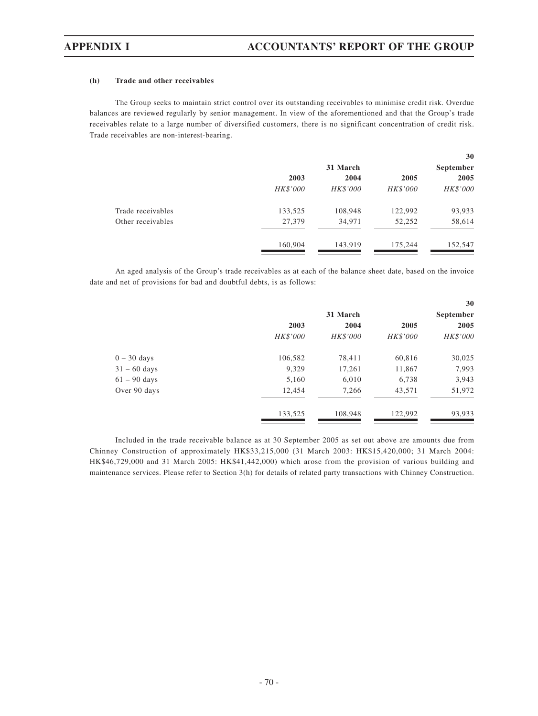$\overline{\phantom{a}}$ 

### **(h) Trade and other receivables**

The Group seeks to maintain strict control over its outstanding receivables to minimise credit risk. Overdue balances are reviewed regularly by senior management. In view of the aforementioned and that the Group's trade receivables relate to a large number of diversified customers, there is no significant concentration of credit risk. Trade receivables are non-interest-bearing.

|                   |          |          |          | ЭV.       |
|-------------------|----------|----------|----------|-----------|
|                   |          | 31 March |          | September |
|                   | 2003     | 2004     | 2005     | 2005      |
|                   | HK\$'000 | HK\$'000 | HK\$'000 | HK\$'000  |
| Trade receivables | 133,525  | 108,948  | 122,992  | 93,933    |
| Other receivables | 27,379   | 34,971   | 52,252   | 58,614    |
|                   | 160,904  | 143,919  | 175,244  | 152,547   |

An aged analysis of the Group's trade receivables as at each of the balance sheet date, based on the invoice date and net of provisions for bad and doubtful debts, is as follows:

|                |          |          |          | 30        |
|----------------|----------|----------|----------|-----------|
|                |          | 31 March |          | September |
|                | 2003     | 2004     | 2005     | 2005      |
|                | HK\$'000 | HK\$'000 | HK\$'000 | HK\$'000  |
| $0 - 30$ days  | 106,582  | 78,411   | 60,816   | 30,025    |
| $31 - 60$ days | 9,329    | 17,261   | 11,867   | 7,993     |
| $61 - 90$ days | 5,160    | 6,010    | 6,738    | 3,943     |
| Over 90 days   | 12,454   | 7,266    | 43,571   | 51,972    |
|                | 133,525  | 108,948  | 122,992  | 93,933    |

Included in the trade receivable balance as at 30 September 2005 as set out above are amounts due from Chinney Construction of approximately HK\$33,215,000 (31 March 2003: HK\$15,420,000; 31 March 2004: HK\$46,729,000 and 31 March 2005: HK\$41,442,000) which arose from the provision of various building and maintenance services. Please refer to Section 3(h) for details of related party transactions with Chinney Construction.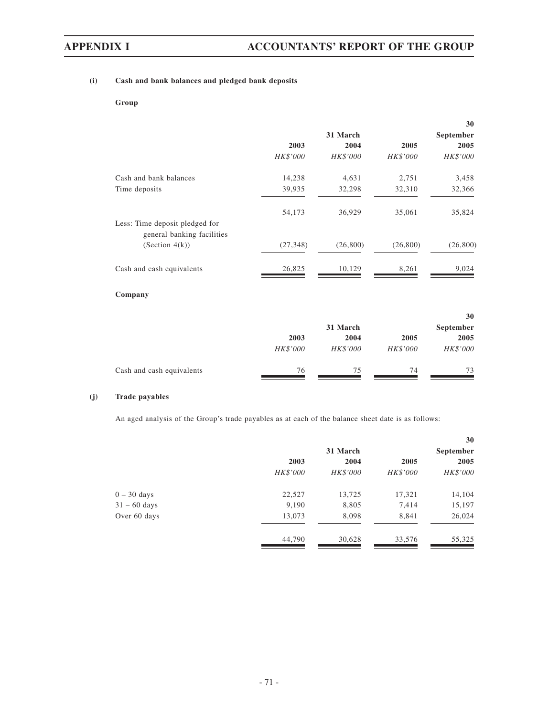# **(i) Cash and bank balances and pledged bank deposits**

# **Group**

|                                              |           |          |           | 30        |
|----------------------------------------------|-----------|----------|-----------|-----------|
|                                              |           | 31 March |           | September |
|                                              | 2003      | 2004     | 2005      | 2005      |
|                                              | HK\$'000  | HK\$'000 | HK\$'000  | HK\$'000  |
| Cash and bank balances                       | 14,238    | 4,631    | 2,751     | 3,458     |
| Time deposits                                | 39,935    | 32,298   | 32,310    | 32,366    |
| Less: Time deposit pledged for               | 54,173    | 36,929   | 35,061    | 35,824    |
| general banking facilities<br>(Section 4(k)) | (27, 348) | (26,800) | (26, 800) | (26,800)  |
| Cash and cash equivalents                    | 26,825    | 10,129   | 8,261     | 9,024     |
| Company                                      |           |          |           |           |
|                                              |           |          |           | 30        |
|                                              |           | 31 March |           | September |
|                                              | 2003      | 2004     | 2005      | 2005      |
|                                              | HK\$'000  | HK\$'000 | HK\$'000  | HK\$'000  |

| Cash and cash equivalents |  |  |
|---------------------------|--|--|
|                           |  |  |

### **(j) Trade payables**

An aged analysis of the Group's trade payables as at each of the balance sheet date is as follows:

|                |          |          |          | 30        |
|----------------|----------|----------|----------|-----------|
|                |          | 31 March |          | September |
|                | 2003     | 2004     | 2005     | 2005      |
|                | HK\$'000 | HK\$'000 | HK\$'000 | HK\$'000  |
| $0 - 30$ days  | 22,527   | 13,725   | 17,321   | 14,104    |
| $31 - 60$ days | 9,190    | 8,805    | 7,414    | 15,197    |
| Over 60 days   | 13,073   | 8,098    | 8,841    | 26,024    |
|                | 44,790   | 30,628   | 33,576   | 55,325    |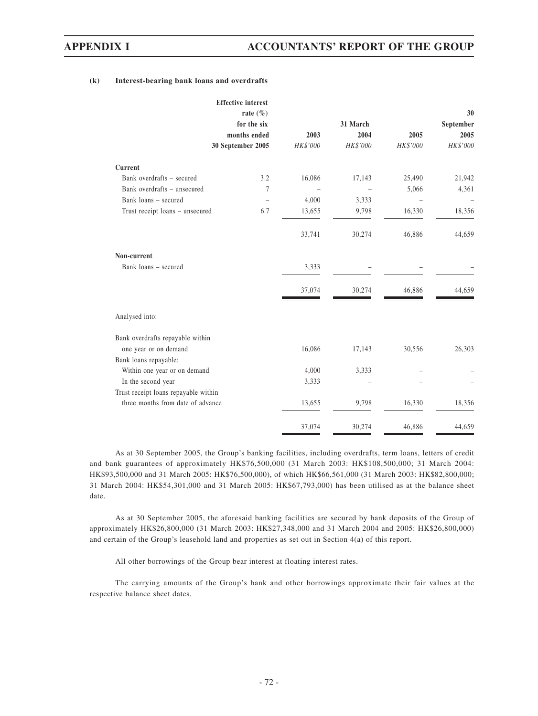### **(k) Interest-bearing bank loans and overdrafts**

|                                      | <b>Effective interest</b>   |          |                  |          |                   |
|--------------------------------------|-----------------------------|----------|------------------|----------|-------------------|
|                                      | rate $(\% )$                |          |                  |          | 30                |
|                                      | for the six<br>months ended | 2003     | 31 March<br>2004 | 2005     | September<br>2005 |
|                                      | 30 September 2005           | HK\$'000 | HK\$'000         | HK\$'000 | HK\$'000          |
|                                      |                             |          |                  |          |                   |
| Current                              |                             |          |                  |          |                   |
| Bank overdrafts - secured            | 3.2                         | 16,086   | 17,143           | 25,490   | 21,942            |
| Bank overdrafts - unsecured          | 7                           |          |                  | 5,066    | 4,361             |
| Bank loans - secured                 | $\overline{\phantom{0}}$    | 4,000    | 3,333            |          |                   |
| Trust receipt loans - unsecured      | 6.7                         | 13,655   | 9,798            | 16,330   | 18,356            |
|                                      |                             | 33,741   | 30,274           | 46,886   | 44,659            |
| Non-current                          |                             |          |                  |          |                   |
| Bank loans - secured                 |                             | 3,333    |                  |          |                   |
|                                      |                             | 37,074   | 30,274           | 46,886   | 44,659            |
| Analysed into:                       |                             |          |                  |          |                   |
| Bank overdrafts repayable within     |                             |          |                  |          |                   |
| one year or on demand                |                             | 16,086   | 17,143           | 30,556   | 26,303            |
| Bank loans repayable:                |                             |          |                  |          |                   |
| Within one year or on demand         |                             | 4,000    | 3,333            |          |                   |
| In the second year                   |                             | 3,333    |                  |          |                   |
| Trust receipt loans repayable within |                             |          |                  |          |                   |
| three months from date of advance    |                             | 13,655   | 9,798            | 16,330   | 18,356            |
|                                      |                             | 37,074   | 30,274           | 46,886   | 44,659            |

As at 30 September 2005, the Group's banking facilities, including overdrafts, term loans, letters of credit and bank guarantees of approximately HK\$76,500,000 (31 March 2003: HK\$108,500,000; 31 March 2004: HK\$93,500,000 and 31 March 2005: HK\$76,500,000), of which HK\$66,561,000 (31 March 2003: HK\$82,800,000; 31 March 2004: HK\$54,301,000 and 31 March 2005: HK\$67,793,000) has been utilised as at the balance sheet date.

As at 30 September 2005, the aforesaid banking facilities are secured by bank deposits of the Group of approximately HK\$26,800,000 (31 March 2003: HK\$27,348,000 and 31 March 2004 and 2005: HK\$26,800,000) and certain of the Group's leasehold land and properties as set out in Section 4(a) of this report.

All other borrowings of the Group bear interest at floating interest rates.

The carrying amounts of the Group's bank and other borrowings approximate their fair values at the respective balance sheet dates.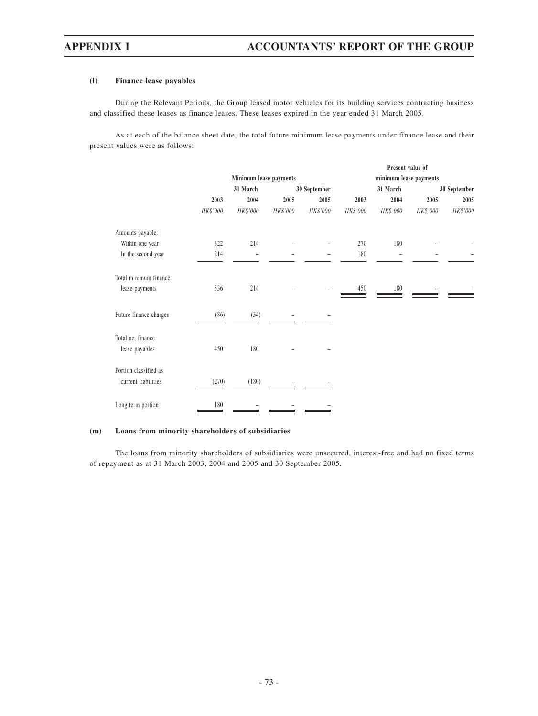### **(l) Finance lease payables**

During the Relevant Periods, the Group leased motor vehicles for its building services contracting business and classified these leases as finance leases. These leases expired in the year ended 31 March 2005.

As at each of the balance sheet date, the total future minimum lease payments under finance lease and their present values were as follows:

|                                              |          |                          |          |              |          | Present value of         |          |              |  |
|----------------------------------------------|----------|--------------------------|----------|--------------|----------|--------------------------|----------|--------------|--|
|                                              |          | Minimum lease payments   |          |              |          | minimum lease payments   |          |              |  |
|                                              |          | 31 March                 |          | 30 September |          | 31 March                 |          | 30 September |  |
|                                              | 2003     | 2004                     | 2005     | 2005         | 2003     | 2004                     | 2005     | 2005         |  |
|                                              | HK\$'000 | HK\$'000                 | HK\$'000 | HK\$'000     | HK\$'000 | HK\$'000                 | HK\$'000 | HK\$'000     |  |
| Amounts payable:                             |          |                          |          |              |          |                          |          |              |  |
| Within one year                              | 322      | 214                      |          |              | 270      | 180                      |          |              |  |
| In the second year                           | 214      | $\overline{\phantom{0}}$ |          |              | 180      | $\overline{\phantom{0}}$ |          |              |  |
| Total minimum finance                        |          |                          |          |              |          |                          |          |              |  |
| lease payments                               | 536      | 214                      |          |              | 450      | 180                      |          |              |  |
| Future finance charges                       | (86)     | (34)                     |          |              |          |                          |          |              |  |
| Total net finance                            |          |                          |          |              |          |                          |          |              |  |
| lease payables                               | 450      | 180                      |          |              |          |                          |          |              |  |
| Portion classified as<br>current liabilities | (270)    | (180)                    |          |              |          |                          |          |              |  |
| Long term portion                            | 180      |                          |          |              |          |                          |          |              |  |

### **(m) Loans from minority shareholders of subsidiaries**

The loans from minority shareholders of subsidiaries were unsecured, interest-free and had no fixed terms of repayment as at 31 March 2003, 2004 and 2005 and 30 September 2005.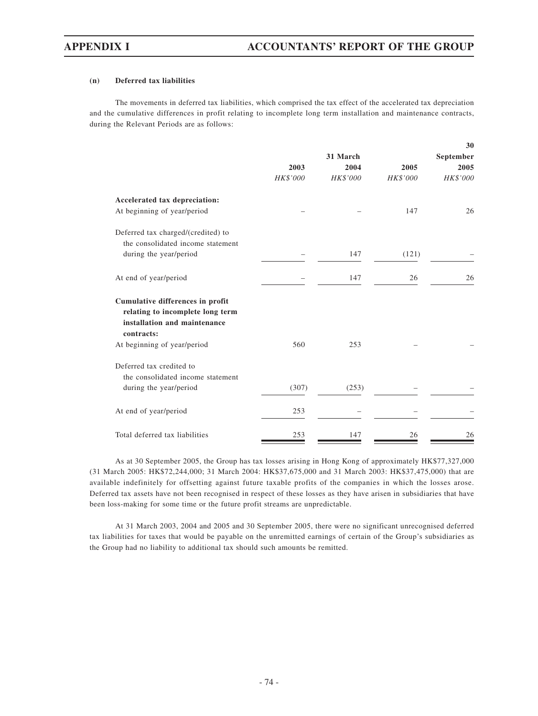### **(n) Deferred tax liabilities**

The movements in deferred tax liabilities, which comprised the tax effect of the accelerated tax depreciation and the cumulative differences in profit relating to incomplete long term installation and maintenance contracts, during the Relevant Periods are as follows:

|                                                                                                                    |          |          |          | 30        |  |  |
|--------------------------------------------------------------------------------------------------------------------|----------|----------|----------|-----------|--|--|
|                                                                                                                    |          | 31 March |          | September |  |  |
|                                                                                                                    | 2003     | 2004     | 2005     | 2005      |  |  |
|                                                                                                                    | HK\$'000 | HK\$'000 | HK\$'000 | HK\$'000  |  |  |
| Accelerated tax depreciation:                                                                                      |          |          |          |           |  |  |
| At beginning of year/period                                                                                        |          |          | 147      | 26        |  |  |
| Deferred tax charged/(credited) to<br>the consolidated income statement                                            |          |          |          |           |  |  |
| during the year/period                                                                                             |          | 147      | (121)    |           |  |  |
| At end of year/period                                                                                              |          | 147      | 26       | 26        |  |  |
| Cumulative differences in profit<br>relating to incomplete long term<br>installation and maintenance<br>contracts: |          |          |          |           |  |  |
| At beginning of year/period                                                                                        | 560      | 253      |          |           |  |  |
| Deferred tax credited to<br>the consolidated income statement                                                      |          |          |          |           |  |  |
| during the year/period                                                                                             | (307)    | (253)    |          |           |  |  |
| At end of year/period                                                                                              | 253      |          |          |           |  |  |
| Total deferred tax liabilities                                                                                     | 253      | 147      | 26       | 26        |  |  |

As at 30 September 2005, the Group has tax losses arising in Hong Kong of approximately HK\$77,327,000 (31 March 2005: HK\$72,244,000; 31 March 2004: HK\$37,675,000 and 31 March 2003: HK\$37,475,000) that are available indefinitely for offsetting against future taxable profits of the companies in which the losses arose. Deferred tax assets have not been recognised in respect of these losses as they have arisen in subsidiaries that have been loss-making for some time or the future profit streams are unpredictable.

At 31 March 2003, 2004 and 2005 and 30 September 2005, there were no significant unrecognised deferred tax liabilities for taxes that would be payable on the unremitted earnings of certain of the Group's subsidiaries as the Group had no liability to additional tax should such amounts be remitted.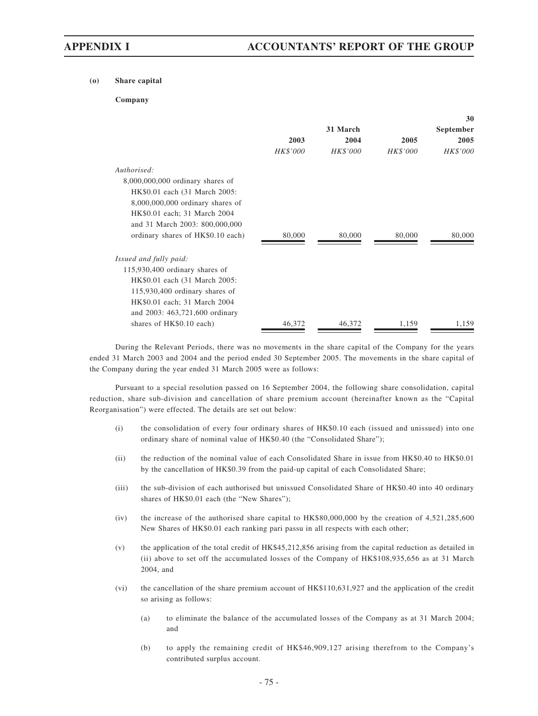**30**

### **(o) Share capital**

### **Company**

|                                   |          |          |                 | JV.       |
|-----------------------------------|----------|----------|-----------------|-----------|
|                                   |          | 31 March |                 | September |
|                                   | 2003     | 2004     | 2005            | 2005      |
|                                   | HK\$'000 | HK\$'000 | <i>HK\$'000</i> | HK\$'000  |
| Authorised:                       |          |          |                 |           |
| 8,000,000,000 ordinary shares of  |          |          |                 |           |
| HK\$0.01 each (31 March 2005:     |          |          |                 |           |
| 8,000,000,000 ordinary shares of  |          |          |                 |           |
| HK\$0.01 each; 31 March 2004      |          |          |                 |           |
| and 31 March 2003: 800,000,000    |          |          |                 |           |
| ordinary shares of HK\$0.10 each) | 80,000   | 80,000   | 80,000          | 80,000    |
| Issued and fully paid:            |          |          |                 |           |
| $115,930,400$ ordinary shares of  |          |          |                 |           |
| HK\$0.01 each (31 March 2005:     |          |          |                 |           |
| $115,930,400$ ordinary shares of  |          |          |                 |           |
| HK\$0.01 each; 31 March 2004      |          |          |                 |           |
| and 2003: 463,721,600 ordinary    |          |          |                 |           |
| shares of HK\$0.10 each)          | 46,372   | 46,372   | 1,159           | 1,159     |

During the Relevant Periods, there was no movements in the share capital of the Company for the years ended 31 March 2003 and 2004 and the period ended 30 September 2005. The movements in the share capital of the Company during the year ended 31 March 2005 were as follows:

Pursuant to a special resolution passed on 16 September 2004, the following share consolidation, capital reduction, share sub-division and cancellation of share premium account (hereinafter known as the "Capital Reorganisation") were effected. The details are set out below:

- (i) the consolidation of every four ordinary shares of HK\$0.10 each (issued and unissued) into one ordinary share of nominal value of HK\$0.40 (the "Consolidated Share");
- (ii) the reduction of the nominal value of each Consolidated Share in issue from HK\$0.40 to HK\$0.01 by the cancellation of HK\$0.39 from the paid-up capital of each Consolidated Share;
- (iii) the sub-division of each authorised but unissued Consolidated Share of HK\$0.40 into 40 ordinary shares of HK\$0.01 each (the "New Shares");
- (iv) the increase of the authorised share capital to HK\$80,000,000 by the creation of 4,521,285,600 New Shares of HK\$0.01 each ranking pari passu in all respects with each other;
- (v) the application of the total credit of HK\$45,212,856 arising from the capital reduction as detailed in (ii) above to set off the accumulated losses of the Company of HK\$108,935,656 as at 31 March 2004, and
- (vi) the cancellation of the share premium account of HK\$110,631,927 and the application of the credit so arising as follows:
	- (a) to eliminate the balance of the accumulated losses of the Company as at 31 March 2004; and
	- (b) to apply the remaining credit of HK\$46,909,127 arising therefrom to the Company's contributed surplus account.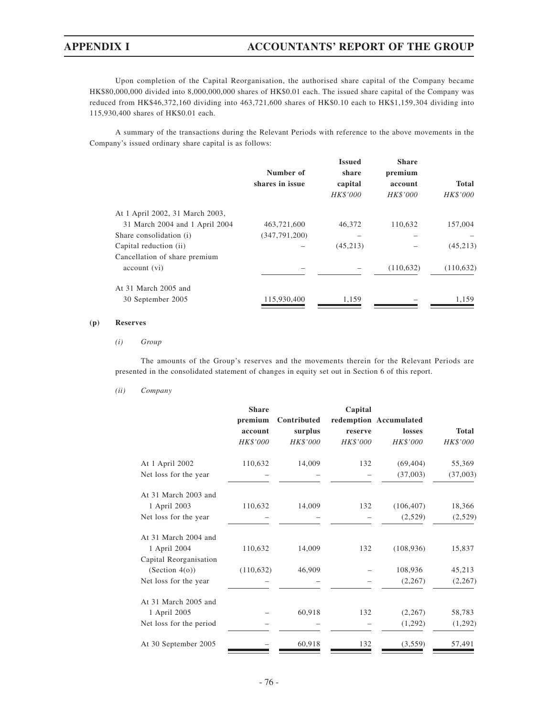# **APPENDIX I ACCOUNTANTS' REPORT OF THE GROUP**

Upon completion of the Capital Reorganisation, the authorised share capital of the Company became HK\$80,000,000 divided into 8,000,000,000 shares of HK\$0.01 each. The issued share capital of the Company was reduced from HK\$46,372,160 dividing into 463,721,600 shares of HK\$0.10 each to HK\$1,159,304 dividing into 115,930,400 shares of HK\$0.01 each.

A summary of the transactions during the Relevant Periods with reference to the above movements in the Company's issued ordinary share capital is as follows:

|                                 | Number of<br>shares in issue | <b>Issued</b><br>share<br>capital<br><b>HK\$'000</b> | <b>Share</b><br>premium<br>account<br>HK\$'000 | <b>Total</b><br>HK\$'000 |
|---------------------------------|------------------------------|------------------------------------------------------|------------------------------------------------|--------------------------|
| At 1 April 2002, 31 March 2003, |                              |                                                      |                                                |                          |
| 31 March 2004 and 1 April 2004  | 463,721,600                  | 46,372                                               | 110,632                                        | 157,004                  |
| Share consolidation (i)         | (347,791,200)                |                                                      |                                                |                          |
| Capital reduction (ii)          |                              | (45,213)                                             |                                                | (45, 213)                |
| Cancellation of share premium   |                              |                                                      |                                                |                          |
| account (vi)                    |                              |                                                      | (110, 632)                                     | (110, 632)               |
| At 31 March 2005 and            |                              |                                                      |                                                |                          |
| 30 September 2005               | 115,930,400                  | 1,159                                                |                                                | 1,159                    |

### **(p) Reserves**

### *(i) Group*

The amounts of the Group's reserves and the movements therein for the Relevant Periods are presented in the consolidated statement of changes in equity set out in Section 6 of this report.

### *(ii) Company*

|                         | <b>Share</b><br>premium<br>account<br>HK\$'000 | Contributed<br>surplus<br>HK\$'000 | Capital<br>reserve<br>HK\$'000 | redemption Accumulated<br>losses<br>HK\$'000 | <b>Total</b><br>HK\$'000 |
|-------------------------|------------------------------------------------|------------------------------------|--------------------------------|----------------------------------------------|--------------------------|
| At 1 April 2002         | 110,632                                        | 14,009                             | 132                            | (69, 404)                                    | 55,369                   |
| Net loss for the year   |                                                |                                    |                                | (37,003)                                     | (37,003)                 |
| At 31 March 2003 and    |                                                |                                    |                                |                                              |                          |
| 1 April 2003            | 110,632                                        | 14,009                             | 132                            | (106, 407)                                   | 18,366                   |
| Net loss for the year   |                                                |                                    |                                | (2,529)                                      | (2,529)                  |
| At 31 March 2004 and    |                                                |                                    |                                |                                              |                          |
| 1 April 2004            | 110,632                                        | 14,009                             | 132                            | (108, 936)                                   | 15,837                   |
| Capital Reorganisation  |                                                |                                    |                                |                                              |                          |
| (Section 4(o))          | (110, 632)                                     | 46,909                             |                                | 108,936                                      | 45,213                   |
| Net loss for the year   |                                                |                                    |                                | (2,267)                                      | (2,267)                  |
| At 31 March 2005 and    |                                                |                                    |                                |                                              |                          |
| 1 April 2005            |                                                | 60,918                             | 132                            | (2,267)                                      | 58,783                   |
| Net loss for the period |                                                |                                    |                                | (1,292)                                      | (1,292)                  |
| At 30 September 2005    |                                                | 60,918                             | 132                            | (3,559)                                      | 57,491                   |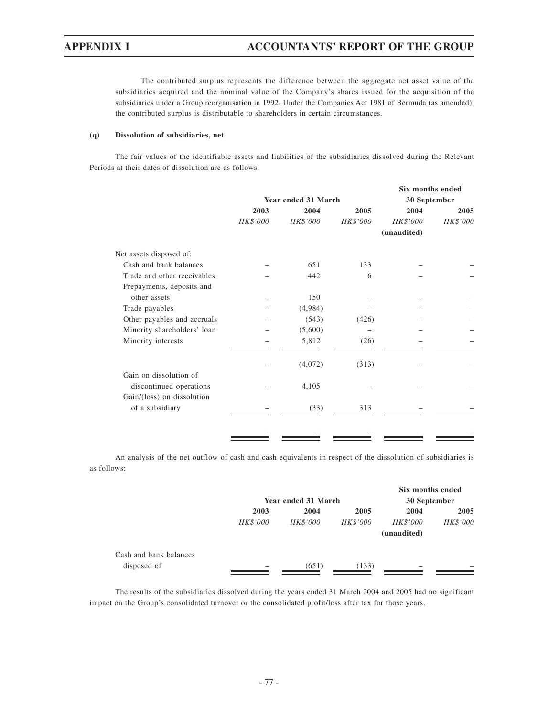# **APPENDIX I ACCOUNTANTS' REPORT OF THE GROUP**

The contributed surplus represents the difference between the aggregate net asset value of the subsidiaries acquired and the nominal value of the Company's shares issued for the acquisition of the subsidiaries under a Group reorganisation in 1992. Under the Companies Act 1981 of Bermuda (as amended), the contributed surplus is distributable to shareholders in certain circumstances.

### **(q) Dissolution of subsidiaries, net**

The fair values of the identifiable assets and liabilities of the subsidiaries dissolved during the Relevant Periods at their dates of dissolution are as follows:

|                             |          |                     |          | Six months ended |          |
|-----------------------------|----------|---------------------|----------|------------------|----------|
|                             |          | Year ended 31 March |          | 30 September     |          |
|                             | 2003     | 2004                | 2005     | 2004             | 2005     |
|                             | HK\$'000 | HK\$'000            | HK\$'000 | HK\$'000         | HK\$'000 |
|                             |          |                     |          | (unaudited)      |          |
| Net assets disposed of:     |          |                     |          |                  |          |
| Cash and bank balances      |          | 651                 | 133      |                  |          |
| Trade and other receivables |          | 442                 | 6        |                  |          |
| Prepayments, deposits and   |          |                     |          |                  |          |
| other assets                |          | 150                 |          |                  |          |
| Trade payables              |          | (4,984)             |          |                  |          |
| Other payables and accruals |          | (543)               | (426)    |                  |          |
| Minority shareholders' loan |          | (5,600)             |          |                  |          |
| Minority interests          |          | 5,812               | (26)     |                  |          |
|                             |          | (4,072)             | (313)    |                  |          |
| Gain on dissolution of      |          |                     |          |                  |          |
| discontinued operations     |          | 4,105               |          |                  |          |
| Gain/(loss) on dissolution  |          |                     |          |                  |          |
| of a subsidiary             |          | (33)                | 313      |                  |          |
|                             |          |                     |          |                  |          |
|                             |          |                     |          |                  |          |

An analysis of the net outflow of cash and cash equivalents in respect of the dissolution of subsidiaries is as follows:

|                        |                     |          |          | Six months ended |                 |
|------------------------|---------------------|----------|----------|------------------|-----------------|
|                        | Year ended 31 March |          |          | 30 September     |                 |
|                        | 2003                | 2004     | 2005     | 2004             | 2005            |
|                        | HK\$'000            | HK\$'000 | HK\$'000 | HK\$'000         | <b>HK\$'000</b> |
|                        |                     |          |          | (unaudited)      |                 |
| Cash and bank balances |                     |          |          |                  |                 |
| disposed of            |                     | (651)    | (133)    |                  |                 |

The results of the subsidiaries dissolved during the years ended 31 March 2004 and 2005 had no significant impact on the Group's consolidated turnover or the consolidated profit/loss after tax for those years.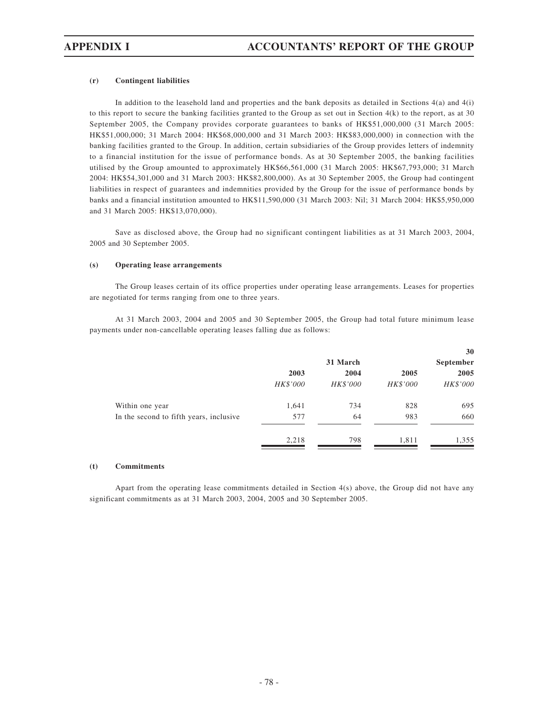### **(r) Contingent liabilities**

In addition to the leasehold land and properties and the bank deposits as detailed in Sections 4(a) and 4(i) to this report to secure the banking facilities granted to the Group as set out in Section  $4(k)$  to the report, as at 30 September 2005, the Company provides corporate guarantees to banks of HK\$51,000,000 (31 March 2005; HK\$51,000,000; 31 March 2004: HK\$68,000,000 and 31 March 2003: HK\$83,000,000) in connection with the banking facilities granted to the Group. In addition, certain subsidiaries of the Group provides letters of indemnity to a financial institution for the issue of performance bonds. As at 30 September 2005, the banking facilities utilised by the Group amounted to approximately HK\$66,561,000 (31 March 2005: HK\$67,793,000; 31 March 2004: HK\$54,301,000 and 31 March 2003: HK\$82,800,000). As at 30 September 2005, the Group had contingent liabilities in respect of guarantees and indemnities provided by the Group for the issue of performance bonds by banks and a financial institution amounted to HK\$11,590,000 (31 March 2003: Nil; 31 March 2004: HK\$5,950,000 and 31 March 2005: HK\$13,070,000).

Save as disclosed above, the Group had no significant contingent liabilities as at 31 March 2003, 2004, 2005 and 30 September 2005.

### **(s) Operating lease arrangements**

The Group leases certain of its office properties under operating lease arrangements. Leases for properties are negotiated for terms ranging from one to three years.

At 31 March 2003, 2004 and 2005 and 30 September 2005, the Group had total future minimum lease payments under non-cancellable operating leases falling due as follows:

|                                         |          |          |          | 30        |
|-----------------------------------------|----------|----------|----------|-----------|
|                                         |          | 31 March |          | September |
|                                         | 2003     | 2004     | 2005     | 2005      |
|                                         | HK\$'000 | HK\$'000 | HK\$'000 | HK\$'000  |
| Within one year                         | 1,641    | 734      | 828      | 695       |
| In the second to fifth years, inclusive | 577      | 64       | 983      | 660       |
|                                         | 2,218    | 798      | 1,811    | 1,355     |
|                                         |          |          |          |           |

### **(t) Commitments**

Apart from the operating lease commitments detailed in Section 4(s) above, the Group did not have any significant commitments as at 31 March 2003, 2004, 2005 and 30 September 2005.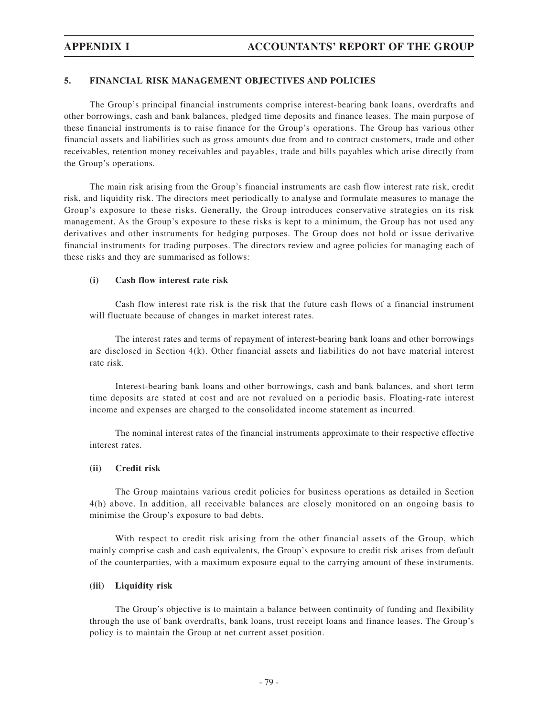## **5. FINANCIAL RISK MANAGEMENT OBJECTIVES AND POLICIES**

The Group's principal financial instruments comprise interest-bearing bank loans, overdrafts and other borrowings, cash and bank balances, pledged time deposits and finance leases. The main purpose of these financial instruments is to raise finance for the Group's operations. The Group has various other financial assets and liabilities such as gross amounts due from and to contract customers, trade and other receivables, retention money receivables and payables, trade and bills payables which arise directly from the Group's operations.

The main risk arising from the Group's financial instruments are cash flow interest rate risk, credit risk, and liquidity risk. The directors meet periodically to analyse and formulate measures to manage the Group's exposure to these risks. Generally, the Group introduces conservative strategies on its risk management. As the Group's exposure to these risks is kept to a minimum, the Group has not used any derivatives and other instruments for hedging purposes. The Group does not hold or issue derivative financial instruments for trading purposes. The directors review and agree policies for managing each of these risks and they are summarised as follows:

### **(i) Cash flow interest rate risk**

Cash flow interest rate risk is the risk that the future cash flows of a financial instrument will fluctuate because of changes in market interest rates.

The interest rates and terms of repayment of interest-bearing bank loans and other borrowings are disclosed in Section 4(k). Other financial assets and liabilities do not have material interest rate risk.

Interest-bearing bank loans and other borrowings, cash and bank balances, and short term time deposits are stated at cost and are not revalued on a periodic basis. Floating-rate interest income and expenses are charged to the consolidated income statement as incurred.

The nominal interest rates of the financial instruments approximate to their respective effective interest rates.

### **(ii) Credit risk**

The Group maintains various credit policies for business operations as detailed in Section 4(h) above. In addition, all receivable balances are closely monitored on an ongoing basis to minimise the Group's exposure to bad debts.

With respect to credit risk arising from the other financial assets of the Group, which mainly comprise cash and cash equivalents, the Group's exposure to credit risk arises from default of the counterparties, with a maximum exposure equal to the carrying amount of these instruments.

### **(iii) Liquidity risk**

The Group's objective is to maintain a balance between continuity of funding and flexibility through the use of bank overdrafts, bank loans, trust receipt loans and finance leases. The Group's policy is to maintain the Group at net current asset position.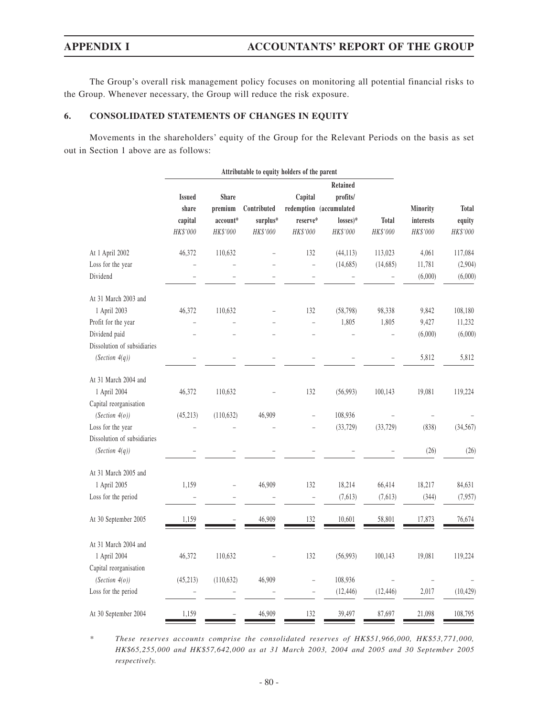# **APPENDIX I ACCOUNTANTS' REPORT OF THE GROUP**

The Group's overall risk management policy focuses on monitoring all potential financial risks to the Group. Whenever necessary, the Group will reduce the risk exposure.

# **6. CONSOLIDATED STATEMENTS OF CHANGES IN EQUITY**

Movements in the shareholders' equity of the Group for the Relevant Periods on the basis as set out in Section 1 above are as follows:

| <b>Issued</b>  | <b>Share</b>                 |                                   | Capital                             | Retained<br>profits/ |                                                                                                               |                          |                    |
|----------------|------------------------------|-----------------------------------|-------------------------------------|----------------------|---------------------------------------------------------------------------------------------------------------|--------------------------|--------------------|
|                |                              |                                   |                                     |                      |                                                                                                               |                          | Total              |
|                |                              |                                   |                                     |                      |                                                                                                               | interests                | equity             |
|                |                              |                                   |                                     |                      |                                                                                                               | HK\$'000                 | HK\$'000           |
| 46,372         | 110,632                      |                                   | 132                                 | (44, 113)            | 113,023                                                                                                       | 4,061                    | 117,084            |
| $\overline{a}$ |                              |                                   | $\equiv$                            | (14, 685)            | (14,685)                                                                                                      | 11,781                   | (2,904)            |
|                |                              |                                   |                                     |                      |                                                                                                               | (6,000)                  | (6,000)            |
|                |                              |                                   |                                     |                      |                                                                                                               |                          |                    |
| 46,372         | 110,632                      |                                   | 132                                 | (58, 798)            | 98,338                                                                                                        | 9,842                    | 108,180            |
| $\overline{a}$ |                              |                                   | $\overline{a}$                      | 1,805                | 1,805                                                                                                         | 9,427                    | 11,232             |
|                |                              |                                   |                                     |                      |                                                                                                               | (6,000)                  | (6,000)            |
|                |                              |                                   |                                     |                      |                                                                                                               |                          |                    |
|                |                              |                                   |                                     |                      |                                                                                                               | 5,812                    | 5,812              |
|                |                              |                                   |                                     |                      |                                                                                                               |                          |                    |
| 46,372         | 110,632                      |                                   | 132                                 | (56,993)             | 100,143                                                                                                       | 19,081                   | 119,224            |
|                |                              |                                   |                                     |                      |                                                                                                               |                          |                    |
| (45, 213)      | (110, 632)                   | 46,909                            |                                     | 108,936              |                                                                                                               |                          |                    |
|                |                              |                                   |                                     | (33, 729)            | (33, 729)                                                                                                     | (838)                    | (34, 567)          |
|                |                              |                                   |                                     |                      |                                                                                                               |                          |                    |
|                |                              |                                   |                                     |                      |                                                                                                               | (26)                     | (26)               |
|                |                              |                                   |                                     |                      |                                                                                                               |                          |                    |
| 1,159          |                              | 46,909                            | 132                                 | 18,214               | 66,414                                                                                                        | 18,217                   | 84,631             |
|                |                              |                                   |                                     | (7,613)              | (7,613)                                                                                                       | (344)                    | (7, 957)           |
| 1,159          |                              | 46,909                            | 132                                 | 10,601               | 58,801                                                                                                        | 17,873                   | 76,674             |
|                |                              |                                   |                                     |                      |                                                                                                               |                          |                    |
| 46,372         | 110,632                      |                                   | 132                                 | (56,993)             | 100,143                                                                                                       |                          | 119,224            |
|                |                              |                                   |                                     |                      |                                                                                                               |                          |                    |
| (45, 213)      | (110, 632)                   | 46,909                            | $\overline{\phantom{0}}$            | 108,936              |                                                                                                               |                          |                    |
|                |                              |                                   |                                     | (12, 446)            | (12, 446)                                                                                                     | 2,017                    | (10, 429)          |
| 1,159          |                              | 46,909                            | 132                                 | 39,497               | 87,697                                                                                                        | 21,098                   | 108,795            |
|                | share<br>capital<br>HK\$'000 | premium<br>$account*$<br>HK\$'000 | Contributed<br>surplus*<br>HK\$'000 | HK\$'000             | Attributable to equity holders of the parent<br>redemption (accumulated<br>reserve*<br>$losses)*$<br>HK\$'000 | <b>Total</b><br>HK\$'000 | Minority<br>19,081 |

*\* These reserves accounts comprise the consolidated reserves of HK\$51,966,000, HK\$53,771,000, HK\$65,255,000 and HK\$57,642,000 as at 31 March 2003, 2004 and 2005 and 30 September 2005 respectively.*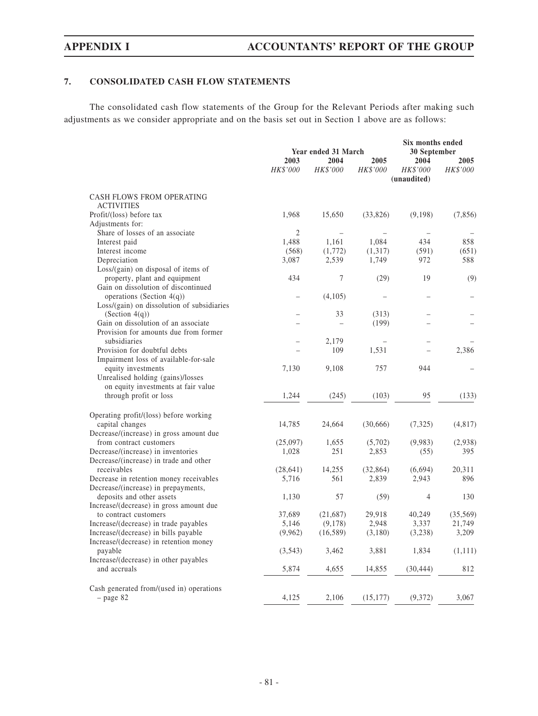# **7. CONSOLIDATED CASH FLOW STATEMENTS**

The consolidated cash flow statements of the Group for the Relevant Periods after making such adjustments as we consider appropriate and on the basis set out in Section 1 above are as follows:

|                                                           | Year ended 31 March<br>2003<br>2004<br>2005 |           |           | Six months ended<br>30 September<br>2004<br>2005 |          |
|-----------------------------------------------------------|---------------------------------------------|-----------|-----------|--------------------------------------------------|----------|
|                                                           | HK\$'000                                    | HK\$'000  | HK\$'000  | HK\$'000<br>(unaudited)                          | HK\$'000 |
| <b>CASH FLOWS FROM OPERATING</b>                          |                                             |           |           |                                                  |          |
| <b>ACTIVITIES</b>                                         |                                             |           |           |                                                  |          |
| Profit/(loss) before tax                                  | 1,968                                       | 15,650    | (33,826)  | (9,198)                                          | (7,856)  |
| Adjustments for:                                          |                                             |           |           |                                                  |          |
| Share of losses of an associate                           | $\overline{2}$                              |           |           |                                                  |          |
| Interest paid                                             | 1,488                                       | 1,161     | 1,084     | 434                                              | 858      |
| Interest income                                           | (568)                                       | (1,772)   | (1,317)   | (591)                                            | (651)    |
| Depreciation                                              | 3,087                                       | 2,539     | 1,749     | 972                                              | 588      |
| Loss/(gain) on disposal of items of                       |                                             |           |           |                                                  |          |
| property, plant and equipment                             | 434                                         | 7         | (29)      | 19                                               | (9)      |
| Gain on dissolution of discontinued                       |                                             |           |           |                                                  |          |
| operations (Section $4(q)$ )                              |                                             | (4,105)   |           |                                                  |          |
| Loss/(gain) on dissolution of subsidiaries                |                                             |           |           |                                                  |          |
| (Section $4(q)$ )                                         |                                             | 33        | (313)     |                                                  |          |
| Gain on dissolution of an associate                       |                                             |           | (199)     |                                                  |          |
| Provision for amounts due from former                     |                                             |           |           |                                                  |          |
| subsidiaries                                              |                                             | 2,179     |           |                                                  |          |
| Provision for doubtful debts                              |                                             | 109       | 1,531     |                                                  | 2,386    |
| Impairment loss of available-for-sale                     |                                             |           |           |                                                  |          |
| equity investments                                        | 7,130                                       | 9,108     | 757       | 944                                              |          |
| Unrealised holding (gains)/losses                         |                                             |           |           |                                                  |          |
| on equity investments at fair value                       |                                             |           |           |                                                  |          |
| through profit or loss                                    | 1,244                                       | (245)     | (103)     | 95                                               | (133)    |
|                                                           |                                             |           |           |                                                  |          |
| Operating profit/(loss) before working<br>capital changes | 14,785                                      | 24,664    | (30,666)  | (7, 325)                                         | (4, 817) |
| Decrease/(increase) in gross amount due                   |                                             |           |           |                                                  |          |
| from contract customers                                   | (25,097)                                    | 1,655     | (5,702)   | (9,983)                                          | (2,938)  |
| Decrease/(increase) in inventories                        | 1,028                                       | 251       | 2,853     | (55)                                             | 395      |
| Decrease/(increase) in trade and other                    |                                             |           |           |                                                  |          |
| receivables                                               | (28, 641)                                   | 14,255    | (32, 864) | (6,694)                                          | 20,311   |
| Decrease in retention money receivables                   | 5,716                                       | 561       | 2,839     | 2,943                                            | 896      |
| Decrease/(increase) in prepayments,                       |                                             |           |           |                                                  |          |
| deposits and other assets                                 | 1,130                                       | 57        | (59)      | $\overline{4}$                                   | 130      |
| Increase/(decrease) in gross amount due                   |                                             |           |           |                                                  |          |
| to contract customers                                     | 37,689                                      | (21,687)  | 29,918    | 40,249                                           | (35,569) |
| Increase/(decrease) in trade payables                     | 5,146                                       | (9,178)   | 2,948     | 3,337                                            | 21,749   |
| Increase/(decrease) in bills payable                      | (9,962)                                     | (16, 589) | (3,180)   | (3,238)                                          | 3,209    |
| Increase/(decrease) in retention money                    |                                             |           |           |                                                  |          |
| payable                                                   | (3,543)                                     | 3,462     | 3,881     | 1,834                                            | (1,111)  |
| Increase/(decrease) in other payables                     |                                             |           |           |                                                  |          |
| and accruals                                              | 5,874                                       | 4,655     | 14,855    | (30, 444)                                        | 812      |
|                                                           |                                             |           |           |                                                  |          |
| Cash generated from/(used in) operations                  |                                             |           |           |                                                  |          |
| $-$ page 82                                               | 4,125                                       | 2,106     | (15, 177) | (9,372)                                          | 3,067    |
|                                                           |                                             |           |           |                                                  |          |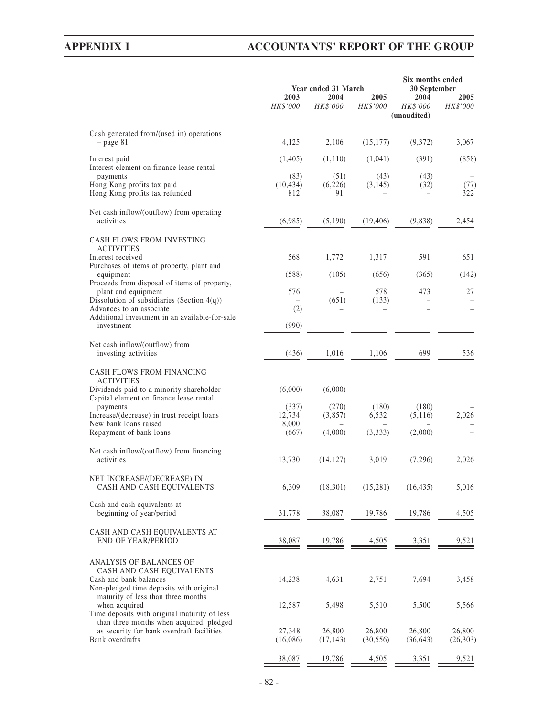# **APPENDIX I ACCOUNTANTS' REPORT OF THE GROUP**

|                                                                                                                           | Year ended 31 March<br>2003<br>2004<br>2005 |                       |                     | Six months ended<br>30 September<br>2004<br>2005 |                    |
|---------------------------------------------------------------------------------------------------------------------------|---------------------------------------------|-----------------------|---------------------|--------------------------------------------------|--------------------|
|                                                                                                                           | HK\$'000                                    | HK\$'000              | HK\$'000            | HK\$'000<br>(unaudited)                          | HK\$'000           |
| Cash generated from/(used in) operations<br>$-$ page 81                                                                   | 4,125                                       | 2,106                 | (15, 177)           | (9,372)                                          | 3,067              |
| Interest paid<br>Interest element on finance lease rental                                                                 | (1,405)                                     | (1,110)               | (1,041)             | (391)                                            | (858)              |
| payments<br>Hong Kong profits tax paid<br>Hong Kong profits tax refunded                                                  | (83)<br>(10, 434)<br>812                    | (51)<br>(6,226)<br>91 | (43)<br>(3, 145)    | (43)<br>(32)<br>$\qquad \qquad -$                | (77)<br>322        |
| Net cash inflow/(outflow) from operating<br>activities                                                                    | (6,985)                                     | (5,190)               | (19, 406)           | (9,838)                                          | 2,454              |
| CASH FLOWS FROM INVESTING<br><b>ACTIVITIES</b>                                                                            |                                             |                       |                     |                                                  |                    |
| Interest received<br>Purchases of items of property, plant and                                                            | 568                                         | 1,772                 | 1,317               | 591                                              | 651                |
| equipment<br>Proceeds from disposal of items of property,<br>plant and equipment                                          | (588)<br>576                                | (105)                 | (656)<br>578        | (365)<br>473                                     | (142)<br>27        |
| Dissolution of subsidiaries (Section $4(q)$ )<br>Advances to an associate                                                 | (2)                                         | (651)                 | (133)               |                                                  |                    |
| Additional investment in an available-for-sale<br>investment                                                              | (990)                                       |                       |                     |                                                  |                    |
| Net cash inflow/(outflow) from<br>investing activities                                                                    | (436)                                       | 1,016                 | 1,106               | 699                                              | 536                |
| CASH FLOWS FROM FINANCING<br><b>ACTIVITIES</b>                                                                            |                                             |                       |                     |                                                  |                    |
| Dividends paid to a minority shareholder<br>Capital element on finance lease rental                                       | (6,000)                                     | (6,000)               |                     |                                                  |                    |
| payments<br>Increase/(decrease) in trust receipt loans<br>New bank loans raised                                           | (337)<br>12,734<br>8,000                    | (270)<br>(3,857)      | (180)<br>6,532      | (180)<br>(5,116)                                 | 2,026              |
| Repayment of bank loans                                                                                                   | (667)                                       | (4,000)               | (3,333)             | (2,000)                                          |                    |
| Net cash inflow/(outflow) from financing<br>activities                                                                    | 13,730                                      | (14, 127)             | 3,019               | (7,296)                                          | 2,026              |
| NET INCREASE/(DECREASE) IN<br>CASH AND CASH EQUIVALENTS                                                                   | 6,309                                       | (18, 301)             | (15, 281)           | (16, 435)                                        | 5,016              |
| Cash and cash equivalents at<br>beginning of year/period                                                                  | 31,778                                      | 38,087                | 19,786              | 19,786                                           | 4,505              |
| CASH AND CASH EQUIVALENTS AT<br>END OF YEAR/PERIOD                                                                        | 38,087                                      | 19,786                | 4,505               | 3,351                                            | 9,521              |
| ANALYSIS OF BALANCES OF<br>CASH AND CASH EQUIVALENTS<br>Cash and bank balances<br>Non-pledged time deposits with original | 14,238                                      | 4,631                 | 2,751               | 7,694                                            | 3,458              |
| maturity of less than three months<br>when acquired<br>Time deposits with original maturity of less                       | 12,587                                      | 5,498                 | 5,510               | 5,500                                            | 5,566              |
| than three months when acquired, pledged<br>as security for bank overdraft facilities<br>Bank overdrafts                  | 27,348<br>(16,086)                          | 26,800<br>(17, 143)   | 26,800<br>(30, 556) | 26,800<br>(36, 643)                              | 26,800<br>(26,303) |
|                                                                                                                           | 38,087                                      | 19,786                | 4,505               | <u>3,351</u>                                     | 9,521              |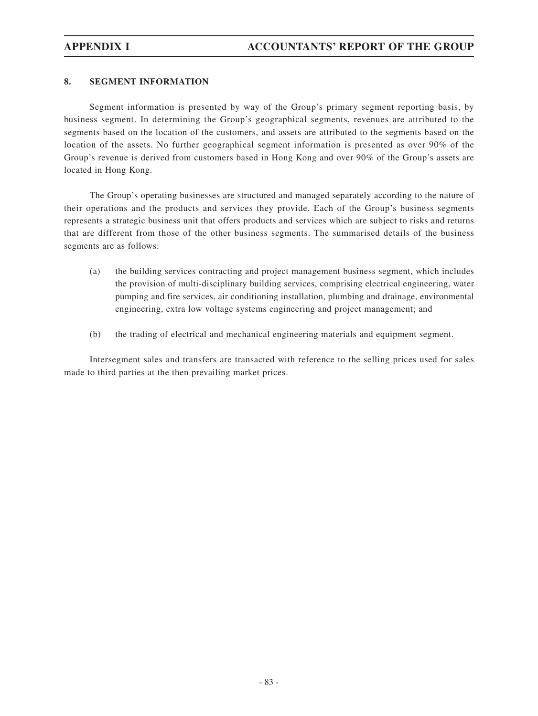# **8. SEGMENT INFORMATION**

Segment information is presented by way of the Group's primary segment reporting basis, by business segment. In determining the Group's geographical segments, revenues are attributed to the segments based on the location of the customers, and assets are attributed to the segments based on the location of the assets. No further geographical segment information is presented as over 90% of the Group's revenue is derived from customers based in Hong Kong and over 90% of the Group's assets are located in Hong Kong.

The Group's operating businesses are structured and managed separately according to the nature of their operations and the products and services they provide. Each of the Group's business segments represents a strategic business unit that offers products and services which are subject to risks and returns that are different from those of the other business segments. The summarised details of the business segments are as follows:

- (a) the building services contracting and project management business segment, which includes the provision of multi-disciplinary building services, comprising electrical engineering, water pumping and fire services, air conditioning installation, plumbing and drainage, environmental engineering, extra low voltage systems engineering and project management; and
- (b) the trading of electrical and mechanical engineering materials and equipment segment.

Intersegment sales and transfers are transacted with reference to the selling prices used for sales made to third parties at the then prevailing market prices.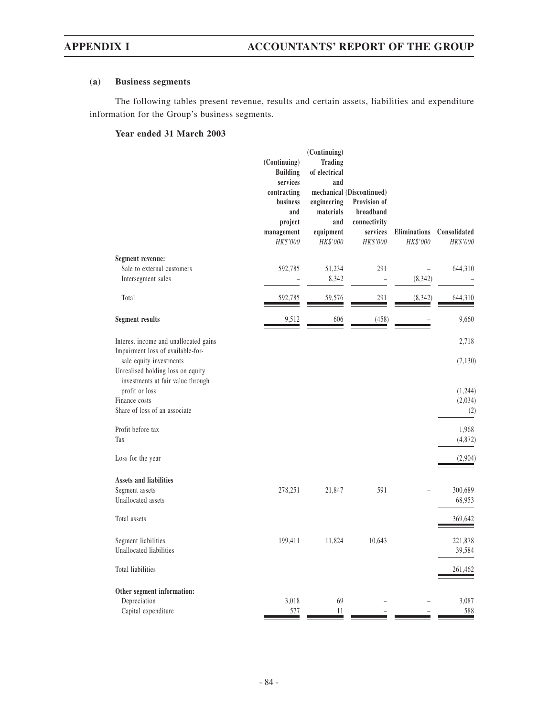# **(a) Business segments**

The following tables present revenue, results and certain assets, liabilities and expenditure information for the Group's business segments.

# **Year ended 31 March 2003**

| (Continuing)<br><b>Building</b><br>services<br>contracting<br>business<br>and<br>project<br>management<br>HK\$'000 | <b>Trading</b><br>of electrical<br>and<br>engineering<br>materials<br>and<br>equipment<br>HK\$'000 | Provision of<br>broadband<br>connectivity<br>services<br>HK\$'000 | Eliminations<br>HK\$'000                | Consolidated<br>HK\$'000 |
|--------------------------------------------------------------------------------------------------------------------|----------------------------------------------------------------------------------------------------|-------------------------------------------------------------------|-----------------------------------------|--------------------------|
|                                                                                                                    |                                                                                                    |                                                                   |                                         |                          |
| $\overline{a}$                                                                                                     | 8,342                                                                                              | $\ddot{\phantom{1}}$                                              | (8, 342)                                | 644,310                  |
| 592,785                                                                                                            | 59,576                                                                                             | 291                                                               | (8, 342)                                | 644,310                  |
| 9,512                                                                                                              | 606                                                                                                | (458)                                                             |                                         | 9,660                    |
|                                                                                                                    |                                                                                                    |                                                                   |                                         | 2,718                    |
|                                                                                                                    |                                                                                                    |                                                                   |                                         | (7, 130)                 |
|                                                                                                                    |                                                                                                    |                                                                   |                                         | (1, 244)                 |
|                                                                                                                    |                                                                                                    |                                                                   |                                         | (2,034)<br>(2)           |
|                                                                                                                    |                                                                                                    |                                                                   |                                         | 1,968<br>(4, 872)        |
|                                                                                                                    |                                                                                                    |                                                                   |                                         | (2,904)                  |
|                                                                                                                    |                                                                                                    |                                                                   |                                         |                          |
|                                                                                                                    |                                                                                                    |                                                                   |                                         | 300,689<br>68,953        |
|                                                                                                                    |                                                                                                    |                                                                   |                                         | 369,642                  |
| 199,411                                                                                                            | 11,824                                                                                             | 10,643                                                            |                                         | 221,878<br>39,584        |
|                                                                                                                    |                                                                                                    |                                                                   |                                         | 261,462                  |
| 3,018<br>577                                                                                                       | 69<br>11                                                                                           |                                                                   |                                         | 3,087<br>588             |
|                                                                                                                    | 592,785<br>278,251                                                                                 | (Continuing)<br>51,234<br>21,847                                  | mechanical (Discontinued)<br>291<br>591 |                          |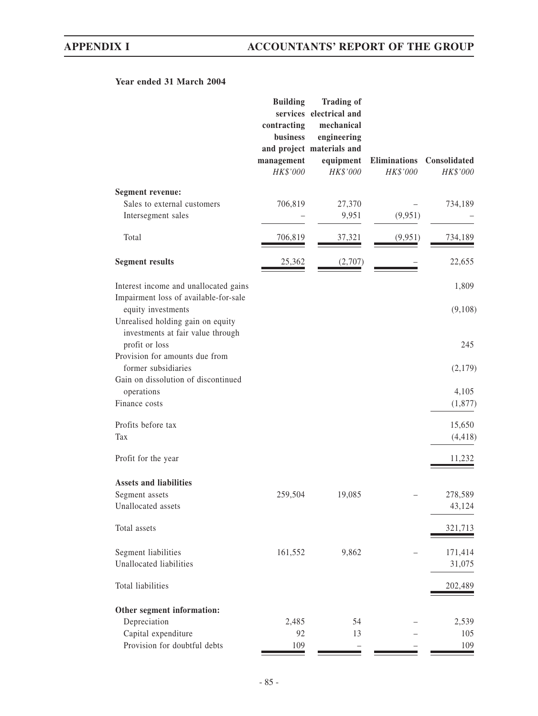# **Year ended 31 March 2004**

|                                                                                                                                           | <b>Building</b><br>contracting<br>business<br>management<br>HK\$'000 | <b>Trading of</b><br>services electrical and<br>mechanical<br>engineering<br>and project materials and<br>equipment<br>HK\$'000 | <b>Eliminations</b><br>HK\$'000 | Consolidated<br>HK\$'000 |
|-------------------------------------------------------------------------------------------------------------------------------------------|----------------------------------------------------------------------|---------------------------------------------------------------------------------------------------------------------------------|---------------------------------|--------------------------|
| <b>Segment revenue:</b>                                                                                                                   |                                                                      |                                                                                                                                 |                                 |                          |
| Sales to external customers<br>Intersegment sales                                                                                         | 706,819                                                              | 27,370<br>9,951                                                                                                                 | (9,951)                         | 734,189                  |
| Total                                                                                                                                     | 706,819                                                              | 37,321                                                                                                                          | (9,951)                         | 734,189                  |
| <b>Segment results</b>                                                                                                                    | 25,362                                                               | (2,707)                                                                                                                         |                                 | 22,655                   |
| Interest income and unallocated gains<br>Impairment loss of available-for-sale<br>equity investments<br>Unrealised holding gain on equity |                                                                      |                                                                                                                                 |                                 | 1,809<br>(9,108)         |
| investments at fair value through<br>profit or loss                                                                                       |                                                                      |                                                                                                                                 |                                 | 245                      |
| Provision for amounts due from<br>former subsidiaries                                                                                     |                                                                      |                                                                                                                                 |                                 | (2,179)                  |
| Gain on dissolution of discontinued<br>operations<br>Finance costs                                                                        |                                                                      |                                                                                                                                 |                                 | 4,105<br>(1,877)         |
| Profits before tax<br>Tax                                                                                                                 |                                                                      |                                                                                                                                 |                                 | 15,650<br>(4, 418)       |
| Profit for the year                                                                                                                       |                                                                      |                                                                                                                                 |                                 | 11,232                   |
| <b>Assets and liabilities</b><br>Segment assets<br>Unallocated assets                                                                     | 259,504                                                              | 19,085                                                                                                                          |                                 | 278,589<br>43,124        |
| Total assets                                                                                                                              |                                                                      |                                                                                                                                 |                                 | 321,713                  |
| Segment liabilities<br>Unallocated liabilities                                                                                            | 161,552                                                              | 9,862                                                                                                                           |                                 | 171,414<br>31,075        |
| Total liabilities                                                                                                                         |                                                                      |                                                                                                                                 |                                 | 202,489                  |
| Other segment information:<br>Depreciation<br>Capital expenditure<br>Provision for doubtful debts                                         | 2,485<br>92<br>109                                                   | 54<br>13                                                                                                                        |                                 | 2,539<br>105<br>109      |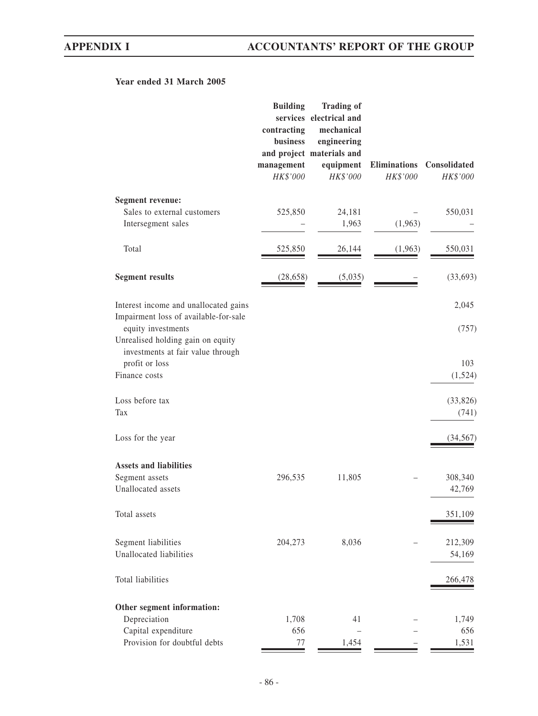# **Year ended 31 March 2005**

|                                                                                                                                       | <b>Building</b><br>contracting<br>business<br>management<br>HK\$'000 | <b>Trading of</b><br>services electrical and<br>mechanical<br>engineering<br>and project materials and<br>equipment<br>HK\$'000 | <b>Eliminations</b><br>HK\$'000 | Consolidated<br>HK\$'000 |
|---------------------------------------------------------------------------------------------------------------------------------------|----------------------------------------------------------------------|---------------------------------------------------------------------------------------------------------------------------------|---------------------------------|--------------------------|
| <b>Segment revenue:</b><br>Sales to external customers                                                                                | 525,850                                                              | 24,181                                                                                                                          |                                 | 550,031                  |
| Intersegment sales                                                                                                                    |                                                                      | 1,963                                                                                                                           | (1,963)                         |                          |
| Total                                                                                                                                 | 525,850                                                              | 26,144                                                                                                                          | (1,963)                         | 550,031                  |
| <b>Segment results</b>                                                                                                                | (28, 658)                                                            | (5,035)                                                                                                                         |                                 | (33, 693)                |
| Interest income and unallocated gains                                                                                                 |                                                                      |                                                                                                                                 |                                 | 2,045                    |
| Impairment loss of available-for-sale<br>equity investments<br>Unrealised holding gain on equity<br>investments at fair value through |                                                                      |                                                                                                                                 |                                 | (757)                    |
| profit or loss<br>Finance costs                                                                                                       |                                                                      |                                                                                                                                 |                                 | 103<br>(1,524)           |
| Loss before tax<br>Tax                                                                                                                |                                                                      |                                                                                                                                 |                                 | (33,826)<br>(741)        |
| Loss for the year                                                                                                                     |                                                                      |                                                                                                                                 |                                 | (34, 567)                |
| <b>Assets and liabilities</b>                                                                                                         |                                                                      |                                                                                                                                 |                                 |                          |
| Segment assets<br>Unallocated assets                                                                                                  | 296,535                                                              | 11,805                                                                                                                          |                                 | 308,340<br>42,769        |
| Total assets                                                                                                                          |                                                                      |                                                                                                                                 |                                 | 351,109                  |
| Segment liabilities<br>Unallocated liabilities                                                                                        | 204,273                                                              | 8,036                                                                                                                           |                                 | 212,309<br>54,169        |
| Total liabilities                                                                                                                     |                                                                      |                                                                                                                                 |                                 | 266,478                  |
| Other segment information:<br>Depreciation<br>Capital expenditure                                                                     | 1,708<br>656                                                         | 41                                                                                                                              |                                 | 1,749<br>656             |
| Provision for doubtful debts                                                                                                          | $77 \,$                                                              | 1,454                                                                                                                           |                                 | 1,531                    |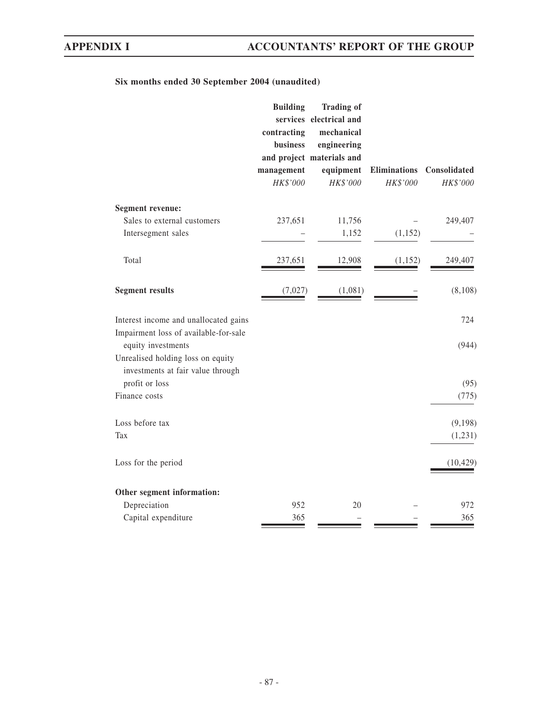# **Six months ended 30 September 2004 (unaudited)**

|                                                                        | <b>Building</b>        | <b>Trading of</b>         |                                 |                          |
|------------------------------------------------------------------------|------------------------|---------------------------|---------------------------------|--------------------------|
|                                                                        |                        | services electrical and   |                                 |                          |
|                                                                        | contracting            | mechanical                |                                 |                          |
|                                                                        | business               | engineering               |                                 |                          |
|                                                                        |                        | and project materials and |                                 |                          |
|                                                                        | management<br>HK\$'000 | equipment<br>HK\$'000     | <b>Eliminations</b><br>HK\$'000 | Consolidated<br>HK\$'000 |
|                                                                        |                        |                           |                                 |                          |
| <b>Segment revenue:</b>                                                |                        |                           |                                 |                          |
| Sales to external customers                                            | 237,651                | 11,756                    |                                 | 249,407                  |
| Intersegment sales                                                     |                        | 1,152                     | (1, 152)                        |                          |
| Total                                                                  | 237,651                | 12,908                    | (1, 152)                        | 249,407                  |
|                                                                        |                        |                           |                                 |                          |
| <b>Segment results</b>                                                 | (7,027)                | (1,081)                   |                                 | (8, 108)                 |
| Interest income and unallocated gains                                  |                        |                           |                                 | 724                      |
| Impairment loss of available-for-sale<br>equity investments            |                        |                           |                                 | (944)                    |
| Unrealised holding loss on equity<br>investments at fair value through |                        |                           |                                 |                          |
| profit or loss                                                         |                        |                           |                                 | (95)                     |
| Finance costs                                                          |                        |                           |                                 | (775)                    |
| Loss before tax                                                        |                        |                           |                                 | (9, 198)                 |
| Tax                                                                    |                        |                           |                                 | (1,231)                  |
| Loss for the period                                                    |                        |                           |                                 | (10, 429)                |
| Other segment information:                                             |                        |                           |                                 |                          |
| Depreciation                                                           | 952                    | 20                        |                                 | 972                      |
| Capital expenditure                                                    | 365                    |                           |                                 | 365                      |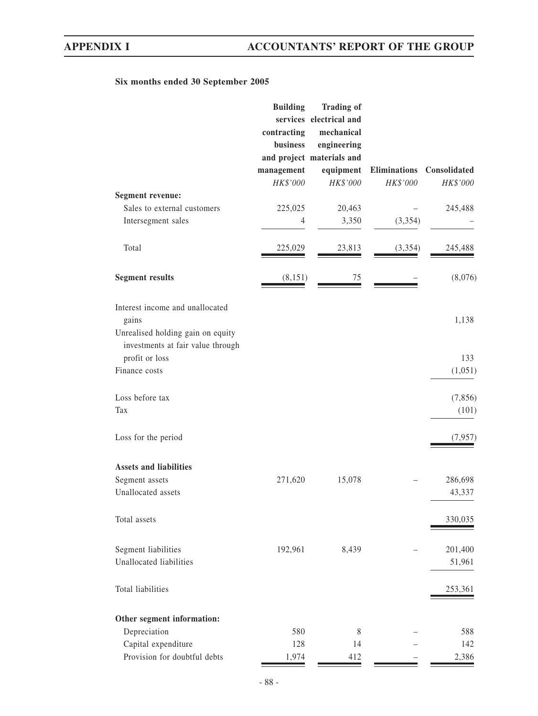# **Six months ended 30 September 2005**

|                                                                                                                    | <b>Building</b><br>contracting<br>business<br>management<br>HK\$'000 | <b>Trading of</b><br>services electrical and<br>mechanical<br>engineering<br>and project materials and<br>equipment<br>HK\$'000 | Eliminations<br>HK\$'000 | Consolidated<br>HK\$'000 |
|--------------------------------------------------------------------------------------------------------------------|----------------------------------------------------------------------|---------------------------------------------------------------------------------------------------------------------------------|--------------------------|--------------------------|
| <b>Segment revenue:</b>                                                                                            |                                                                      |                                                                                                                                 |                          |                          |
| Sales to external customers<br>Intersegment sales                                                                  | 225,025<br>4                                                         | 20,463<br>3,350                                                                                                                 | (3, 354)                 | 245,488                  |
| Total                                                                                                              | 225,029                                                              | 23,813                                                                                                                          | (3,354)                  | 245,488                  |
| <b>Segment results</b>                                                                                             | (8, 151)                                                             | 75                                                                                                                              |                          | (8,076)                  |
| Interest income and unallocated<br>gains<br>Unrealised holding gain on equity<br>investments at fair value through |                                                                      |                                                                                                                                 |                          | 1,138                    |
| profit or loss                                                                                                     |                                                                      |                                                                                                                                 |                          | 133                      |
| Finance costs                                                                                                      |                                                                      |                                                                                                                                 |                          | (1,051)                  |
| Loss before tax<br>Tax                                                                                             |                                                                      |                                                                                                                                 |                          | (7, 856)<br>(101)        |
| Loss for the period                                                                                                |                                                                      |                                                                                                                                 |                          | (7, 957)                 |
| <b>Assets and liabilities</b><br>Segment assets<br>Unallocated assets                                              | 271,620                                                              | 15,078                                                                                                                          |                          | 286,698<br>43,337        |
| Total assets                                                                                                       |                                                                      |                                                                                                                                 |                          | 330,035                  |
| Segment liabilities<br>Unallocated liabilities                                                                     | 192,961                                                              | 8,439                                                                                                                           |                          | 201,400<br>51,961        |
| Total liabilities                                                                                                  |                                                                      |                                                                                                                                 |                          | 253,361                  |
| Other segment information:<br>Depreciation<br>Capital expenditure<br>Provision for doubtful debts                  | 580<br>128<br>1,974                                                  | 8<br>14<br>412                                                                                                                  |                          | 588<br>142<br>2,386      |
|                                                                                                                    |                                                                      |                                                                                                                                 |                          |                          |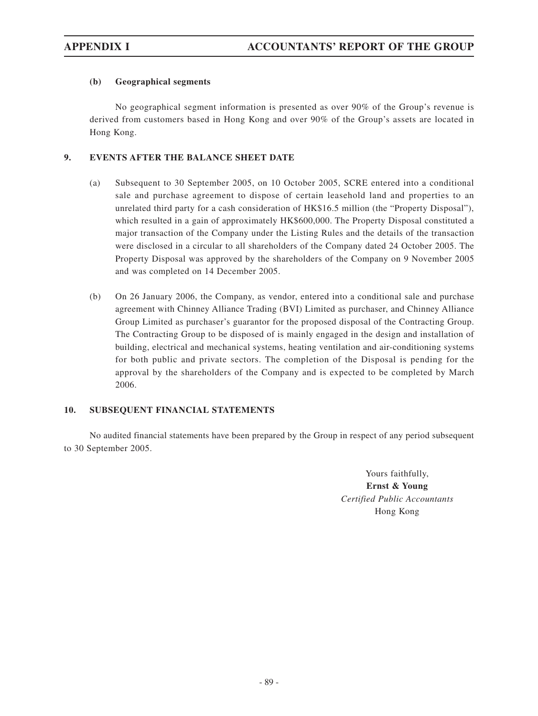## **(b) Geographical segments**

No geographical segment information is presented as over 90% of the Group's revenue is derived from customers based in Hong Kong and over 90% of the Group's assets are located in Hong Kong.

# **9. EVENTS AFTER THE BALANCE SHEET DATE**

- (a) Subsequent to 30 September 2005, on 10 October 2005, SCRE entered into a conditional sale and purchase agreement to dispose of certain leasehold land and properties to an unrelated third party for a cash consideration of HK\$16.5 million (the "Property Disposal"), which resulted in a gain of approximately HK\$600,000. The Property Disposal constituted a major transaction of the Company under the Listing Rules and the details of the transaction were disclosed in a circular to all shareholders of the Company dated 24 October 2005. The Property Disposal was approved by the shareholders of the Company on 9 November 2005 and was completed on 14 December 2005.
- (b) On 26 January 2006, the Company, as vendor, entered into a conditional sale and purchase agreement with Chinney Alliance Trading (BVI) Limited as purchaser, and Chinney Alliance Group Limited as purchaser's guarantor for the proposed disposal of the Contracting Group. The Contracting Group to be disposed of is mainly engaged in the design and installation of building, electrical and mechanical systems, heating ventilation and air-conditioning systems for both public and private sectors. The completion of the Disposal is pending for the approval by the shareholders of the Company and is expected to be completed by March 2006.

# **10. SUBSEQUENT FINANCIAL STATEMENTS**

No audited financial statements have been prepared by the Group in respect of any period subsequent to 30 September 2005.

> Yours faithfully, **Ernst & Young** *Certified Public Accountants* Hong Kong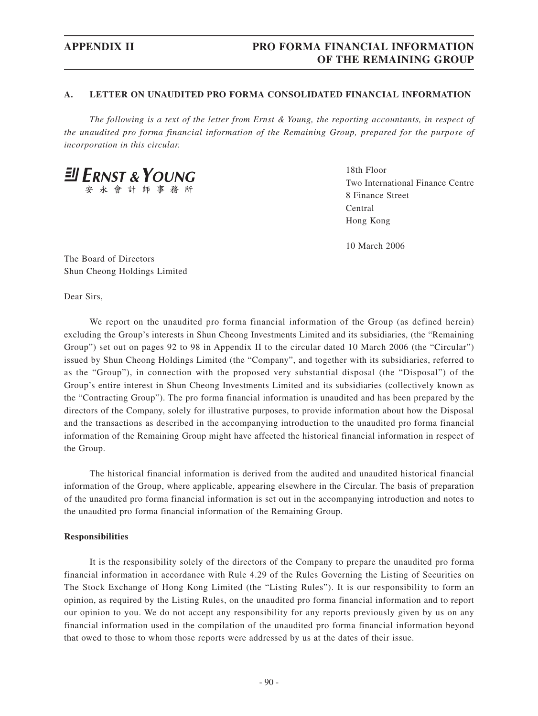## **A. LETTER ON UNAUDITED PRO FORMA CONSOLIDATED FINANCIAL INFORMATION**

*The following is a text of the letter from Ernst & Young, the reporting accountants, in respect of the unaudited pro forma financial information of the Remaining Group, prepared for the purpose of incorporation in this circular.*

**JI ERNST & YOUNG** 安永會計師事務所

18th Floor Two International Finance Centre 8 Finance Street Central Hong Kong

10 March 2006

The Board of Directors Shun Cheong Holdings Limited

Dear Sirs,

We report on the unaudited pro forma financial information of the Group (as defined herein) excluding the Group's interests in Shun Cheong Investments Limited and its subsidiaries, (the "Remaining Group") set out on pages 92 to 98 in Appendix II to the circular dated 10 March 2006 (the "Circular") issued by Shun Cheong Holdings Limited (the "Company", and together with its subsidiaries, referred to as the "Group"), in connection with the proposed very substantial disposal (the "Disposal") of the Group's entire interest in Shun Cheong Investments Limited and its subsidiaries (collectively known as the "Contracting Group"). The pro forma financial information is unaudited and has been prepared by the directors of the Company, solely for illustrative purposes, to provide information about how the Disposal and the transactions as described in the accompanying introduction to the unaudited pro forma financial information of the Remaining Group might have affected the historical financial information in respect of the Group.

The historical financial information is derived from the audited and unaudited historical financial information of the Group, where applicable, appearing elsewhere in the Circular. The basis of preparation of the unaudited pro forma financial information is set out in the accompanying introduction and notes to the unaudited pro forma financial information of the Remaining Group.

### **Responsibilities**

It is the responsibility solely of the directors of the Company to prepare the unaudited pro forma financial information in accordance with Rule 4.29 of the Rules Governing the Listing of Securities on The Stock Exchange of Hong Kong Limited (the "Listing Rules"). It is our responsibility to form an opinion, as required by the Listing Rules, on the unaudited pro forma financial information and to report our opinion to you. We do not accept any responsibility for any reports previously given by us on any financial information used in the compilation of the unaudited pro forma financial information beyond that owed to those to whom those reports were addressed by us at the dates of their issue.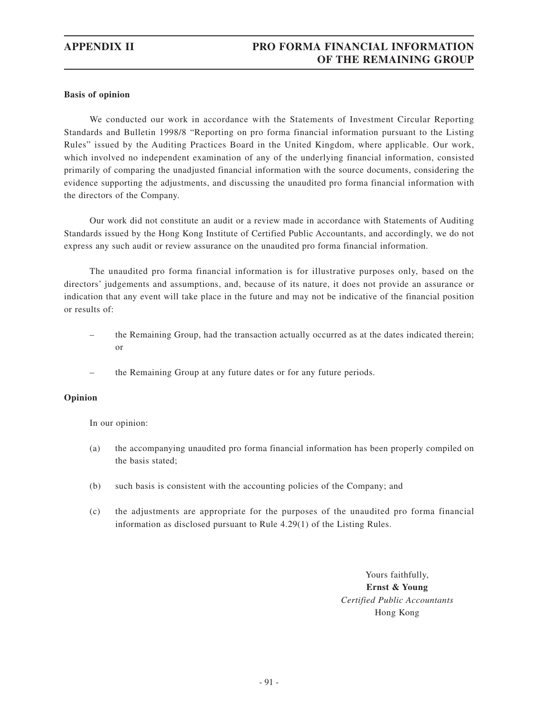## **Basis of opinion**

We conducted our work in accordance with the Statements of Investment Circular Reporting Standards and Bulletin 1998/8 "Reporting on pro forma financial information pursuant to the Listing Rules" issued by the Auditing Practices Board in the United Kingdom, where applicable. Our work, which involved no independent examination of any of the underlying financial information, consisted primarily of comparing the unadjusted financial information with the source documents, considering the evidence supporting the adjustments, and discussing the unaudited pro forma financial information with the directors of the Company.

Our work did not constitute an audit or a review made in accordance with Statements of Auditing Standards issued by the Hong Kong Institute of Certified Public Accountants, and accordingly, we do not express any such audit or review assurance on the unaudited pro forma financial information.

The unaudited pro forma financial information is for illustrative purposes only, based on the directors' judgements and assumptions, and, because of its nature, it does not provide an assurance or indication that any event will take place in the future and may not be indicative of the financial position or results of:

- the Remaining Group, had the transaction actually occurred as at the dates indicated therein; or
- the Remaining Group at any future dates or for any future periods.

### **Opinion**

In our opinion:

- (a) the accompanying unaudited pro forma financial information has been properly compiled on the basis stated;
- (b) such basis is consistent with the accounting policies of the Company; and
- (c) the adjustments are appropriate for the purposes of the unaudited pro forma financial information as disclosed pursuant to Rule 4.29(1) of the Listing Rules.

Yours faithfully, **Ernst & Young** *Certified Public Accountants* Hong Kong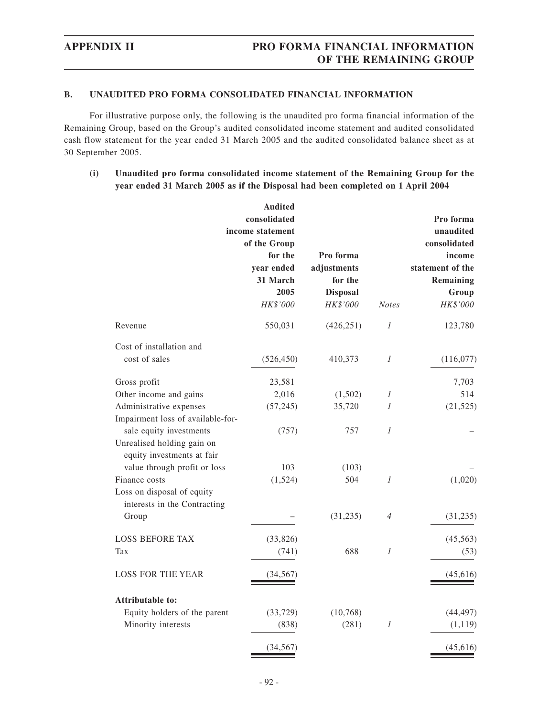## **B. UNAUDITED PRO FORMA CONSOLIDATED FINANCIAL INFORMATION**

For illustrative purpose only, the following is the unaudited pro forma financial information of the Remaining Group, based on the Group's audited consolidated income statement and audited consolidated cash flow statement for the year ended 31 March 2005 and the audited consolidated balance sheet as at 30 September 2005.

# **(i) Unaudited pro forma consolidated income statement of the Remaining Group for the year ended 31 March 2005 as if the Disposal had been completed on 1 April 2004**

|                                                                                                                          | <b>Audited</b><br>consolidated<br>income statement<br>of the Group<br>for the<br>year ended<br>31 March<br>2005<br>HK\$'000 | Pro forma<br>adjustments<br>for the<br><b>Disposal</b><br>HK\$'000 | <b>Notes</b>       | Pro forma<br>unaudited<br>consolidated<br>income<br>statement of the<br>Remaining<br>Group<br>HK\$'000 |
|--------------------------------------------------------------------------------------------------------------------------|-----------------------------------------------------------------------------------------------------------------------------|--------------------------------------------------------------------|--------------------|--------------------------------------------------------------------------------------------------------|
| Revenue                                                                                                                  | 550,031                                                                                                                     | (426, 251)                                                         | 1                  | 123,780                                                                                                |
| Cost of installation and<br>cost of sales                                                                                | (526, 450)                                                                                                                  | 410,373                                                            | 1                  | (116,077)                                                                                              |
| Gross profit<br>Other income and gains<br>Administrative expenses                                                        | 23,581<br>2,016<br>(57, 245)                                                                                                | (1,502)<br>35,720                                                  | 1<br>$\mathcal{I}$ | 7,703<br>514<br>(21, 525)                                                                              |
| Impairment loss of available-for-<br>sale equity investments<br>Unrealised holding gain on<br>equity investments at fair | (757)                                                                                                                       | 757                                                                | 1                  |                                                                                                        |
| value through profit or loss<br>Finance costs<br>Loss on disposal of equity<br>interests in the Contracting              | 103<br>(1,524)                                                                                                              | (103)<br>504                                                       | 1                  | (1,020)                                                                                                |
| Group                                                                                                                    |                                                                                                                             | (31, 235)                                                          | $\overline{A}$     | (31, 235)                                                                                              |
| <b>LOSS BEFORE TAX</b><br>Tax                                                                                            | (33,826)<br>(741)                                                                                                           | 688                                                                | $\mathcal{I}$      | (45, 563)<br>(53)                                                                                      |
| <b>LOSS FOR THE YEAR</b>                                                                                                 | (34, 567)                                                                                                                   |                                                                    |                    | (45,616)                                                                                               |
| <b>Attributable to:</b><br>Equity holders of the parent<br>Minority interests                                            | (33, 729)<br>(838)<br>(34, 567)                                                                                             | (10, 768)<br>(281)                                                 | 1                  | (44, 497)<br>(1, 119)<br>(45, 616)                                                                     |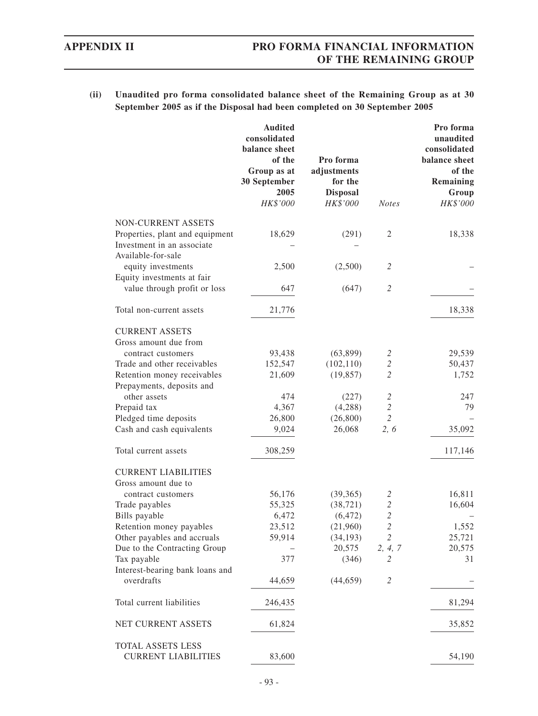**(ii) Unaudited pro forma consolidated balance sheet of the Remaining Group as at 30 September 2005 as if the Disposal had been completed on 30 September 2005**

|                                                          | <b>Audited</b><br>consolidated<br>balance sheet<br>of the<br>Group as at<br>30 September<br>2005<br>HK\$'000 | Pro forma<br>adjustments<br>for the<br><b>Disposal</b><br>HK\$'000 | <b>Notes</b>   | Pro forma<br>unaudited<br>consolidated<br>balance sheet<br>of the<br>Remaining<br>Group<br>HK\$'000 |
|----------------------------------------------------------|--------------------------------------------------------------------------------------------------------------|--------------------------------------------------------------------|----------------|-----------------------------------------------------------------------------------------------------|
| NON-CURRENT ASSETS                                       |                                                                                                              |                                                                    |                |                                                                                                     |
| Properties, plant and equipment                          | 18,629                                                                                                       | (291)                                                              | $\overline{2}$ | 18,338                                                                                              |
| Investment in an associate<br>Available-for-sale         |                                                                                                              |                                                                    |                |                                                                                                     |
| equity investments                                       | 2,500                                                                                                        | (2,500)                                                            | 2              |                                                                                                     |
| Equity investments at fair                               |                                                                                                              |                                                                    |                |                                                                                                     |
| value through profit or loss                             | 647                                                                                                          | (647)                                                              | $\mathfrak{2}$ |                                                                                                     |
| Total non-current assets                                 | 21,776                                                                                                       |                                                                    |                | 18,338                                                                                              |
| <b>CURRENT ASSETS</b><br>Gross amount due from           |                                                                                                              |                                                                    |                |                                                                                                     |
| contract customers                                       | 93,438                                                                                                       | (63,899)                                                           | 2              | 29,539                                                                                              |
| Trade and other receivables                              | 152,547                                                                                                      | (102, 110)                                                         | $\overline{c}$ | 50,437                                                                                              |
| Retention money receivables<br>Prepayments, deposits and | 21,609                                                                                                       | (19, 857)                                                          | $\mathfrak{2}$ | 1,752                                                                                               |
| other assets                                             | 474                                                                                                          | (227)                                                              | 2              | 247                                                                                                 |
| Prepaid tax                                              | 4,367                                                                                                        | (4,288)                                                            | $\overline{2}$ | 79                                                                                                  |
| Pledged time deposits                                    | 26,800                                                                                                       | (26, 800)                                                          | $\overline{2}$ |                                                                                                     |
| Cash and cash equivalents                                | 9,024                                                                                                        | 26,068                                                             | 2, 6           | 35,092                                                                                              |
| Total current assets                                     | 308,259                                                                                                      |                                                                    |                | 117,146                                                                                             |
| <b>CURRENT LIABILITIES</b>                               |                                                                                                              |                                                                    |                |                                                                                                     |
| Gross amount due to<br>contract customers                | 56,176                                                                                                       | (39, 365)                                                          | 2              | 16,811                                                                                              |
| Trade payables                                           | 55,325                                                                                                       | (38, 721)                                                          | $\overline{c}$ | 16,604                                                                                              |
| Bills payable                                            | 6,472                                                                                                        | (6, 472)                                                           | $\overline{2}$ |                                                                                                     |
| Retention money payables                                 | 23,512                                                                                                       | (21,960)                                                           | $\sqrt{2}$     | 1,552                                                                                               |
| Other payables and accruals                              | 59,914                                                                                                       | (34, 193)                                                          | $\mathfrak{2}$ | 25,721                                                                                              |
| Due to the Contracting Group                             |                                                                                                              | 20,575                                                             | 2, 4, 7        | 20,575                                                                                              |
| Tax payable                                              | 377                                                                                                          | (346)                                                              | 2              | 31                                                                                                  |
| Interest-bearing bank loans and<br>overdrafts            | 44,659                                                                                                       | (44, 659)                                                          | 2              |                                                                                                     |
|                                                          |                                                                                                              |                                                                    |                |                                                                                                     |
| Total current liabilities                                | 246,435                                                                                                      |                                                                    |                | 81,294                                                                                              |
| NET CURRENT ASSETS                                       | 61,824                                                                                                       |                                                                    |                | 35,852                                                                                              |
| TOTAL ASSETS LESS                                        |                                                                                                              |                                                                    |                |                                                                                                     |
| <b>CURRENT LIABILITIES</b>                               | 83,600                                                                                                       |                                                                    |                | 54,190                                                                                              |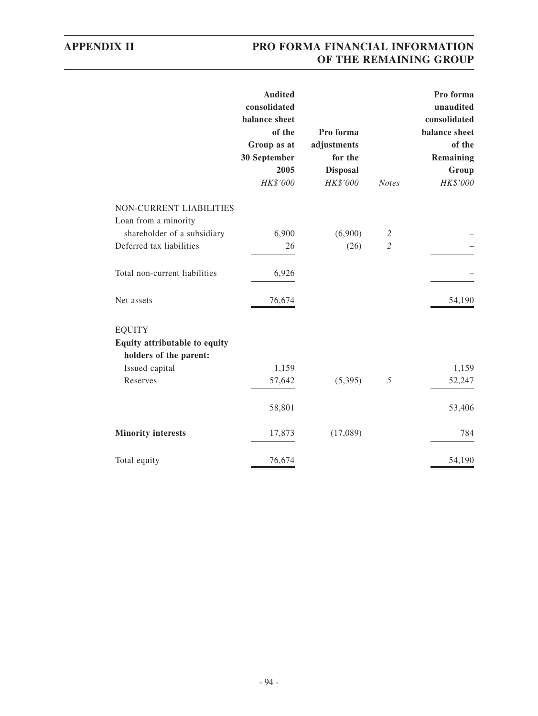|                                                         | <b>Audited</b><br>consolidated<br>balance sheet<br>of the<br>Group as at<br>30 September<br>2005<br>HK\$'000 | Pro forma<br>adjustments<br>for the<br><b>Disposal</b><br>HK\$'000 | <b>Notes</b>   | Pro forma<br>unaudited<br>consolidated<br>balance sheet<br>of the<br>Remaining<br>Group<br>HK\$'000 |
|---------------------------------------------------------|--------------------------------------------------------------------------------------------------------------|--------------------------------------------------------------------|----------------|-----------------------------------------------------------------------------------------------------|
| <b>NON-CURRENT LIABILITIES</b>                          |                                                                                                              |                                                                    |                |                                                                                                     |
| Loan from a minority                                    |                                                                                                              |                                                                    |                |                                                                                                     |
| shareholder of a subsidiary                             | 6,900                                                                                                        | (6,900)                                                            | $\overline{c}$ |                                                                                                     |
| Deferred tax liabilities                                | 26                                                                                                           | (26)                                                               | $\overline{2}$ |                                                                                                     |
| Total non-current liabilities                           | 6,926                                                                                                        |                                                                    |                |                                                                                                     |
| Net assets                                              | 76,674                                                                                                       |                                                                    |                | 54,190                                                                                              |
| <b>EQUITY</b>                                           |                                                                                                              |                                                                    |                |                                                                                                     |
| Equity attributable to equity<br>holders of the parent: |                                                                                                              |                                                                    |                |                                                                                                     |
| Issued capital                                          | 1,159                                                                                                        |                                                                    |                | 1,159                                                                                               |
| Reserves                                                | 57,642                                                                                                       | (5,395)                                                            | 5              | 52,247                                                                                              |
|                                                         | 58,801                                                                                                       |                                                                    |                | 53,406                                                                                              |
| <b>Minority interests</b>                               | 17,873                                                                                                       | (17,089)                                                           |                | 784                                                                                                 |
| Total equity                                            | 76,674                                                                                                       |                                                                    |                | 54,190                                                                                              |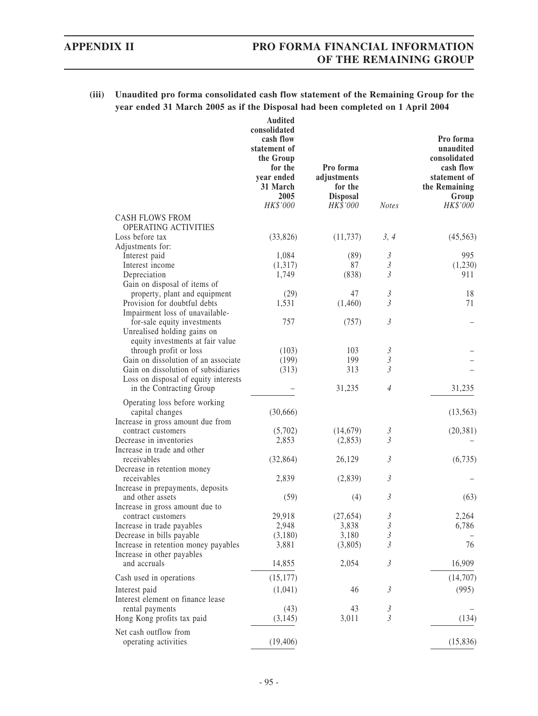# **(iii) Unaudited pro forma consolidated cash flow statement of the Remaining Group for the year ended 31 March 2005 as if the Disposal had been completed on 1 April 2004**

|                                                                            | <b>Audited</b><br>consolidated<br>cash flow<br>statement of<br>the Group<br>for the<br>year ended<br>31 March<br>2005<br>HK\$'000 | Pro forma<br>adjustments<br>for the<br><b>Disposal</b><br>HK\$'000 | <b>Notes</b>                     | Pro forma<br>unaudited<br>consolidated<br>cash flow<br>statement of<br>the Remaining<br>Group<br>HK\$'000 |
|----------------------------------------------------------------------------|-----------------------------------------------------------------------------------------------------------------------------------|--------------------------------------------------------------------|----------------------------------|-----------------------------------------------------------------------------------------------------------|
| <b>CASH FLOWS FROM</b>                                                     |                                                                                                                                   |                                                                    |                                  |                                                                                                           |
| OPERATING ACTIVITIES                                                       |                                                                                                                                   |                                                                    |                                  |                                                                                                           |
| Loss before tax                                                            | (33,826)                                                                                                                          | (11, 737)                                                          | 3, 4                             | (45, 563)                                                                                                 |
| Adjustments for:                                                           |                                                                                                                                   |                                                                    |                                  |                                                                                                           |
| Interest paid                                                              | 1,084                                                                                                                             | (89)                                                               | $\mathfrak{Z}$<br>$\mathfrak{Z}$ | 995                                                                                                       |
| Interest income<br>Depreciation                                            | (1,317)<br>1,749                                                                                                                  | 87<br>(838)                                                        | $\mathfrak{Z}$                   | (1,230)<br>911                                                                                            |
| Gain on disposal of items of                                               |                                                                                                                                   |                                                                    |                                  |                                                                                                           |
| property, plant and equipment                                              | (29)                                                                                                                              | 47                                                                 | $\mathfrak{Z}$                   | 18                                                                                                        |
| Provision for doubtful debts                                               | 1,531                                                                                                                             | (1,460)                                                            | $\mathfrak{Z}$                   | 71                                                                                                        |
| Impairment loss of unavailable-                                            |                                                                                                                                   |                                                                    |                                  |                                                                                                           |
| for-sale equity investments                                                | 757                                                                                                                               | (757)                                                              | $\mathfrak{Z}$                   |                                                                                                           |
| Unrealised holding gains on                                                |                                                                                                                                   |                                                                    |                                  |                                                                                                           |
| equity investments at fair value                                           |                                                                                                                                   |                                                                    |                                  |                                                                                                           |
| through profit or loss                                                     | (103)                                                                                                                             | 103                                                                | $\mathfrak{Z}$                   |                                                                                                           |
| Gain on dissolution of an associate<br>Gain on dissolution of subsidiaries | (199)                                                                                                                             | 199<br>313                                                         | $\mathfrak{Z}$<br>$\mathfrak{Z}$ |                                                                                                           |
| Loss on disposal of equity interests                                       | (313)                                                                                                                             |                                                                    |                                  |                                                                                                           |
| in the Contracting Group                                                   |                                                                                                                                   | 31,235                                                             | 4                                | 31,235                                                                                                    |
| Operating loss before working                                              |                                                                                                                                   |                                                                    |                                  |                                                                                                           |
| capital changes                                                            | (30,666)                                                                                                                          |                                                                    |                                  | (13, 563)                                                                                                 |
| Increase in gross amount due from                                          |                                                                                                                                   |                                                                    |                                  |                                                                                                           |
| contract customers                                                         | (5,702)                                                                                                                           | (14,679)                                                           | 3                                | (20, 381)                                                                                                 |
| Decrease in inventories                                                    | 2,853                                                                                                                             | (2,853)                                                            | $\mathfrak{Z}$                   |                                                                                                           |
| Increase in trade and other                                                |                                                                                                                                   |                                                                    |                                  |                                                                                                           |
| receivables                                                                | (32, 864)                                                                                                                         | 26,129                                                             | 3                                | (6,735)                                                                                                   |
| Decrease in retention money                                                |                                                                                                                                   |                                                                    |                                  |                                                                                                           |
| receivables                                                                | 2,839                                                                                                                             | (2,839)                                                            | 3                                |                                                                                                           |
| Increase in prepayments, deposits                                          |                                                                                                                                   |                                                                    |                                  |                                                                                                           |
| and other assets<br>Increase in gross amount due to                        | (59)                                                                                                                              | (4)                                                                | $\mathfrak{Z}$                   | (63)                                                                                                      |
| contract customers                                                         | 29,918                                                                                                                            | (27, 654)                                                          | 3                                | 2,264                                                                                                     |
| Increase in trade payables                                                 | 2,948                                                                                                                             | 3,838                                                              | $\mathfrak{Z}$                   | 6,786                                                                                                     |
| Decrease in bills payable                                                  | (3,180)                                                                                                                           | 3,180                                                              | 3                                |                                                                                                           |
| Increase in retention money payables                                       | 3,881                                                                                                                             | (3,805)                                                            | 3                                | 76                                                                                                        |
| Increase in other payables                                                 |                                                                                                                                   |                                                                    |                                  |                                                                                                           |
| and accruals                                                               | 14,855                                                                                                                            | 2,054                                                              | $\mathfrak{Z}$                   | 16,909                                                                                                    |
| Cash used in operations                                                    | (15, 177)                                                                                                                         |                                                                    |                                  | (14, 707)                                                                                                 |
| Interest paid                                                              | (1,041)                                                                                                                           | 46                                                                 | $\mathfrak{Z}$                   | (995)                                                                                                     |
| Interest element on finance lease                                          |                                                                                                                                   |                                                                    |                                  |                                                                                                           |
| rental payments                                                            | (43)                                                                                                                              | 43                                                                 | $\mathfrak{Z}$                   |                                                                                                           |
| Hong Kong profits tax paid                                                 | (3, 145)                                                                                                                          | 3,011                                                              | 3                                | (134)                                                                                                     |
|                                                                            |                                                                                                                                   |                                                                    |                                  |                                                                                                           |
| Net cash outflow from                                                      | (19, 406)                                                                                                                         |                                                                    |                                  | (15, 836)                                                                                                 |
| operating activities                                                       |                                                                                                                                   |                                                                    |                                  |                                                                                                           |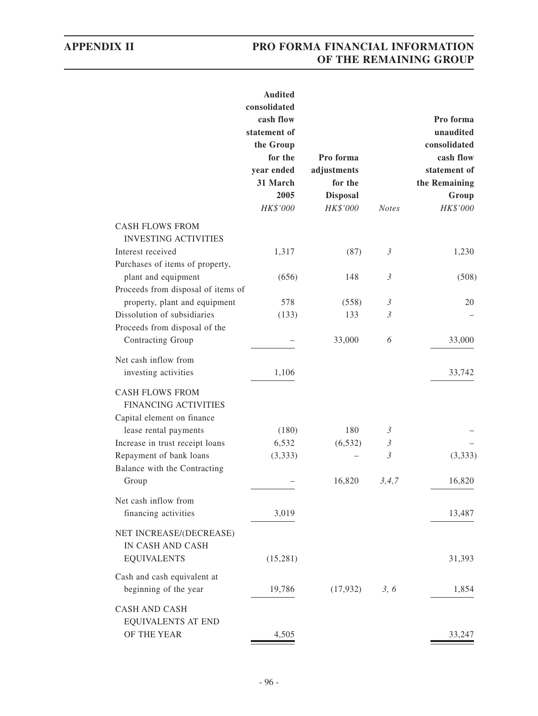|                                                        | <b>Audited</b><br>consolidated |                 |                |               |
|--------------------------------------------------------|--------------------------------|-----------------|----------------|---------------|
|                                                        | cash flow                      |                 |                | Pro forma     |
|                                                        | statement of                   |                 |                | unaudited     |
|                                                        | the Group                      |                 |                | consolidated  |
|                                                        | for the                        | Pro forma       |                | cash flow     |
|                                                        | year ended                     | adjustments     |                | statement of  |
|                                                        | 31 March                       | for the         |                | the Remaining |
|                                                        | 2005                           | <b>Disposal</b> |                | Group         |
|                                                        | HK\$'000                       | HK\$'000        | <b>Notes</b>   | HK\$'000      |
|                                                        |                                |                 |                |               |
| <b>CASH FLOWS FROM</b><br><b>INVESTING ACTIVITIES</b>  |                                |                 |                |               |
| Interest received                                      |                                |                 | $\mathfrak{Z}$ |               |
|                                                        | 1,317                          | (87)            |                | 1,230         |
| Purchases of items of property,<br>plant and equipment | (656)                          | 148             | $\mathfrak{Z}$ |               |
| Proceeds from disposal of items of                     |                                |                 |                | (508)         |
| property, plant and equipment                          | 578                            |                 | 3              | 20            |
| Dissolution of subsidiaries                            |                                | (558)<br>133    | $\mathfrak{Z}$ |               |
|                                                        | (133)                          |                 |                |               |
| Proceeds from disposal of the                          |                                |                 | 6              |               |
| Contracting Group                                      |                                | 33,000          |                | 33,000        |
| Net cash inflow from                                   |                                |                 |                |               |
| investing activities                                   | 1,106                          |                 |                | 33,742        |
| <b>CASH FLOWS FROM</b>                                 |                                |                 |                |               |
| <b>FINANCING ACTIVITIES</b>                            |                                |                 |                |               |
| Capital element on finance                             |                                |                 |                |               |
| lease rental payments                                  | (180)                          | 180             | 3              |               |
| Increase in trust receipt loans                        | 6,532                          | (6, 532)        | 3              |               |
| Repayment of bank loans                                | (3,333)                        |                 | $\mathfrak{Z}$ | (3,333)       |
| Balance with the Contracting                           |                                |                 |                |               |
| Group                                                  |                                | 16,820          | 3, 4, 7        | 16,820        |
|                                                        |                                |                 |                |               |
| Net cash inflow from                                   |                                |                 |                |               |
| financing activities                                   | 3,019                          |                 |                | 13,487        |
| NET INCREASE/(DECREASE)                                |                                |                 |                |               |
| IN CASH AND CASH                                       |                                |                 |                |               |
| <b>EQUIVALENTS</b>                                     | (15,281)                       |                 |                | 31,393        |
|                                                        |                                |                 |                |               |
| Cash and cash equivalent at                            |                                |                 |                |               |
| beginning of the year                                  | 19,786                         | (17, 932)       | 3, 6           | 1,854         |
| <b>CASH AND CASH</b>                                   |                                |                 |                |               |
| <b>EQUIVALENTS AT END</b>                              |                                |                 |                |               |
| OF THE YEAR                                            | 4,505                          |                 |                | 33,247        |
|                                                        |                                |                 |                |               |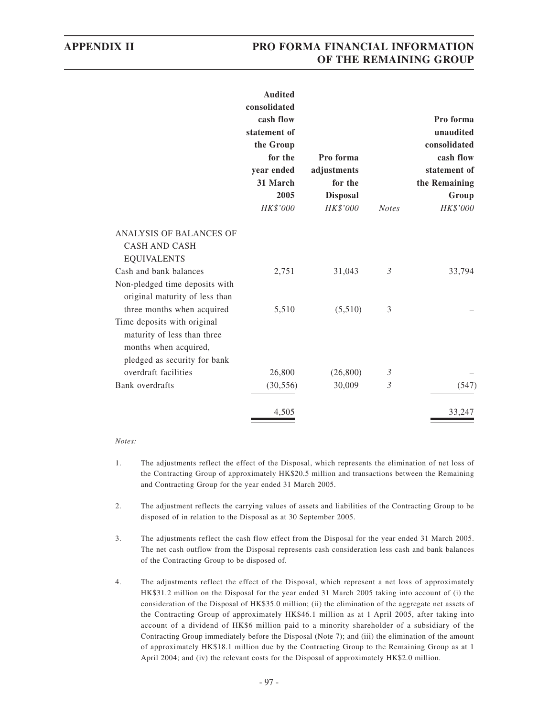|                                | <b>Audited</b>                    |                                                                    |                |                                                                                  |
|--------------------------------|-----------------------------------|--------------------------------------------------------------------|----------------|----------------------------------------------------------------------------------|
|                                | consolidated                      |                                                                    |                |                                                                                  |
|                                | cash flow                         |                                                                    |                | Pro forma                                                                        |
|                                | statement of                      | Pro forma<br>adjustments<br>for the<br><b>Disposal</b><br>HK\$'000 |                | unaudited<br>consolidated<br>cash flow<br>statement of<br>the Remaining<br>Group |
|                                | the Group                         |                                                                    |                |                                                                                  |
|                                | for the<br>year ended<br>31 March |                                                                    |                |                                                                                  |
|                                |                                   |                                                                    |                |                                                                                  |
|                                |                                   |                                                                    |                |                                                                                  |
|                                | 2005                              |                                                                    |                |                                                                                  |
|                                | HK\$'000                          |                                                                    | <b>Notes</b>   | HK\$'000                                                                         |
| ANALYSIS OF BALANCES OF        |                                   |                                                                    |                |                                                                                  |
| <b>CASH AND CASH</b>           |                                   |                                                                    |                |                                                                                  |
| <b>EQUIVALENTS</b>             |                                   |                                                                    |                |                                                                                  |
| Cash and bank balances         | 2,751                             | 31,043                                                             | $\mathfrak{Z}$ | 33,794                                                                           |
| Non-pledged time deposits with |                                   |                                                                    |                |                                                                                  |
| original maturity of less than |                                   |                                                                    |                |                                                                                  |
| three months when acquired     | 5,510                             | (5,510)                                                            | 3              |                                                                                  |
| Time deposits with original    |                                   |                                                                    |                |                                                                                  |
| maturity of less than three    |                                   |                                                                    |                |                                                                                  |
| months when acquired,          |                                   |                                                                    |                |                                                                                  |
| pledged as security for bank   |                                   |                                                                    |                |                                                                                  |
| overdraft facilities           | 26,800                            | (26, 800)                                                          | 3              |                                                                                  |
| <b>Bank</b> overdrafts         | (30, 556)                         | 30,009                                                             | $\mathfrak{Z}$ | (547)                                                                            |
|                                |                                   |                                                                    |                | 33,247                                                                           |
|                                | 4,505                             |                                                                    |                |                                                                                  |

### *Notes:*

- 1. The adjustments reflect the effect of the Disposal, which represents the elimination of net loss of the Contracting Group of approximately HK\$20.5 million and transactions between the Remaining and Contracting Group for the year ended 31 March 2005.
- 2. The adjustment reflects the carrying values of assets and liabilities of the Contracting Group to be disposed of in relation to the Disposal as at 30 September 2005.
- 3. The adjustments reflect the cash flow effect from the Disposal for the year ended 31 March 2005. The net cash outflow from the Disposal represents cash consideration less cash and bank balances of the Contracting Group to be disposed of.
- 4. The adjustments reflect the effect of the Disposal, which represent a net loss of approximately HK\$31.2 million on the Disposal for the year ended 31 March 2005 taking into account of (i) the consideration of the Disposal of HK\$35.0 million; (ii) the elimination of the aggregate net assets of the Contracting Group of approximately HK\$46.1 million as at 1 April 2005, after taking into account of a dividend of HK\$6 million paid to a minority shareholder of a subsidiary of the Contracting Group immediately before the Disposal (Note 7); and (iii) the elimination of the amount of approximately HK\$18.1 million due by the Contracting Group to the Remaining Group as at 1 April 2004; and (iv) the relevant costs for the Disposal of approximately HK\$2.0 million.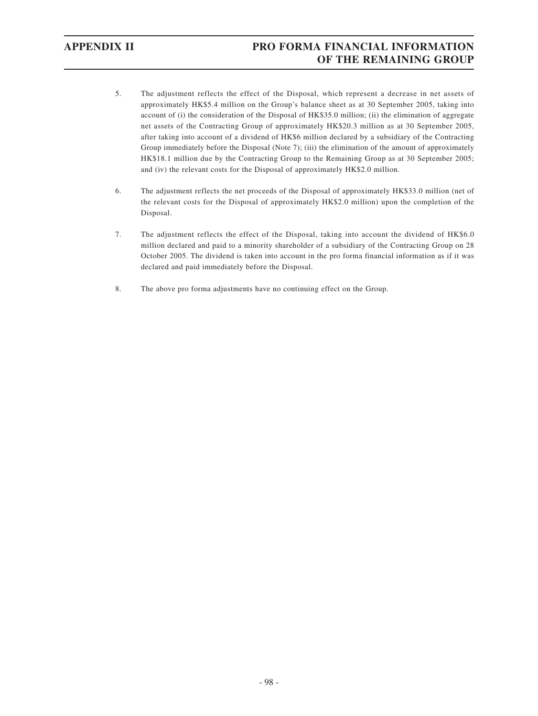- 5. The adjustment reflects the effect of the Disposal, which represent a decrease in net assets of approximately HK\$5.4 million on the Group's balance sheet as at 30 September 2005, taking into account of (i) the consideration of the Disposal of HK\$35.0 million; (ii) the elimination of aggregate net assets of the Contracting Group of approximately HK\$20.3 million as at 30 September 2005, after taking into account of a dividend of HK\$6 million declared by a subsidiary of the Contracting Group immediately before the Disposal (Note 7); (iii) the elimination of the amount of approximately HK\$18.1 million due by the Contracting Group to the Remaining Group as at 30 September 2005; and (iv) the relevant costs for the Disposal of approximately HK\$2.0 million.
- 6. The adjustment reflects the net proceeds of the Disposal of approximately HK\$33.0 million (net of the relevant costs for the Disposal of approximately HK\$2.0 million) upon the completion of the Disposal.
- 7. The adjustment reflects the effect of the Disposal, taking into account the dividend of HK\$6.0 million declared and paid to a minority shareholder of a subsidiary of the Contracting Group on 28 October 2005. The dividend is taken into account in the pro forma financial information as if it was declared and paid immediately before the Disposal.
- 8. The above pro forma adjustments have no continuing effect on the Group.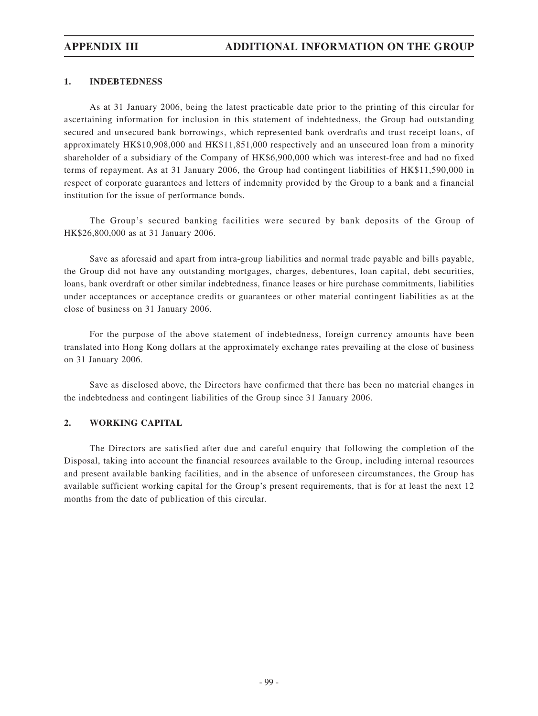# **1. INDEBTEDNESS**

As at 31 January 2006, being the latest practicable date prior to the printing of this circular for ascertaining information for inclusion in this statement of indebtedness, the Group had outstanding secured and unsecured bank borrowings, which represented bank overdrafts and trust receipt loans, of approximately HK\$10,908,000 and HK\$11,851,000 respectively and an unsecured loan from a minority shareholder of a subsidiary of the Company of HK\$6,900,000 which was interest-free and had no fixed terms of repayment. As at 31 January 2006, the Group had contingent liabilities of HK\$11,590,000 in respect of corporate guarantees and letters of indemnity provided by the Group to a bank and a financial institution for the issue of performance bonds.

The Group's secured banking facilities were secured by bank deposits of the Group of HK\$26,800,000 as at 31 January 2006.

Save as aforesaid and apart from intra-group liabilities and normal trade payable and bills payable, the Group did not have any outstanding mortgages, charges, debentures, loan capital, debt securities, loans, bank overdraft or other similar indebtedness, finance leases or hire purchase commitments, liabilities under acceptances or acceptance credits or guarantees or other material contingent liabilities as at the close of business on 31 January 2006.

For the purpose of the above statement of indebtedness, foreign currency amounts have been translated into Hong Kong dollars at the approximately exchange rates prevailing at the close of business on 31 January 2006.

Save as disclosed above, the Directors have confirmed that there has been no material changes in the indebtedness and contingent liabilities of the Group since 31 January 2006.

## **2. WORKING CAPITAL**

The Directors are satisfied after due and careful enquiry that following the completion of the Disposal, taking into account the financial resources available to the Group, including internal resources and present available banking facilities, and in the absence of unforeseen circumstances, the Group has available sufficient working capital for the Group's present requirements, that is for at least the next 12 months from the date of publication of this circular.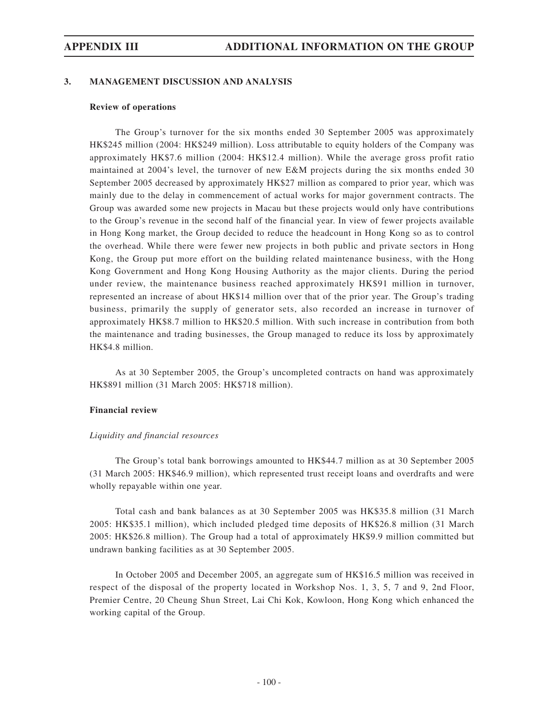### **3. MANAGEMENT DISCUSSION AND ANALYSIS**

### **Review of operations**

The Group's turnover for the six months ended 30 September 2005 was approximately HK\$245 million (2004: HK\$249 million). Loss attributable to equity holders of the Company was approximately HK\$7.6 million (2004: HK\$12.4 million). While the average gross profit ratio maintained at 2004's level, the turnover of new E&M projects during the six months ended 30 September 2005 decreased by approximately HK\$27 million as compared to prior year, which was mainly due to the delay in commencement of actual works for major government contracts. The Group was awarded some new projects in Macau but these projects would only have contributions to the Group's revenue in the second half of the financial year. In view of fewer projects available in Hong Kong market, the Group decided to reduce the headcount in Hong Kong so as to control the overhead. While there were fewer new projects in both public and private sectors in Hong Kong, the Group put more effort on the building related maintenance business, with the Hong Kong Government and Hong Kong Housing Authority as the major clients. During the period under review, the maintenance business reached approximately HK\$91 million in turnover, represented an increase of about HK\$14 million over that of the prior year. The Group's trading business, primarily the supply of generator sets, also recorded an increase in turnover of approximately HK\$8.7 million to HK\$20.5 million. With such increase in contribution from both the maintenance and trading businesses, the Group managed to reduce its loss by approximately HK\$4.8 million.

As at 30 September 2005, the Group's uncompleted contracts on hand was approximately HK\$891 million (31 March 2005: HK\$718 million).

## **Financial review**

### *Liquidity and financial resources*

The Group's total bank borrowings amounted to HK\$44.7 million as at 30 September 2005 (31 March 2005: HK\$46.9 million), which represented trust receipt loans and overdrafts and were wholly repayable within one year.

Total cash and bank balances as at 30 September 2005 was HK\$35.8 million (31 March 2005: HK\$35.1 million), which included pledged time deposits of HK\$26.8 million (31 March 2005: HK\$26.8 million). The Group had a total of approximately HK\$9.9 million committed but undrawn banking facilities as at 30 September 2005.

In October 2005 and December 2005, an aggregate sum of HK\$16.5 million was received in respect of the disposal of the property located in Workshop Nos. 1, 3, 5, 7 and 9, 2nd Floor, Premier Centre, 20 Cheung Shun Street, Lai Chi Kok, Kowloon, Hong Kong which enhanced the working capital of the Group.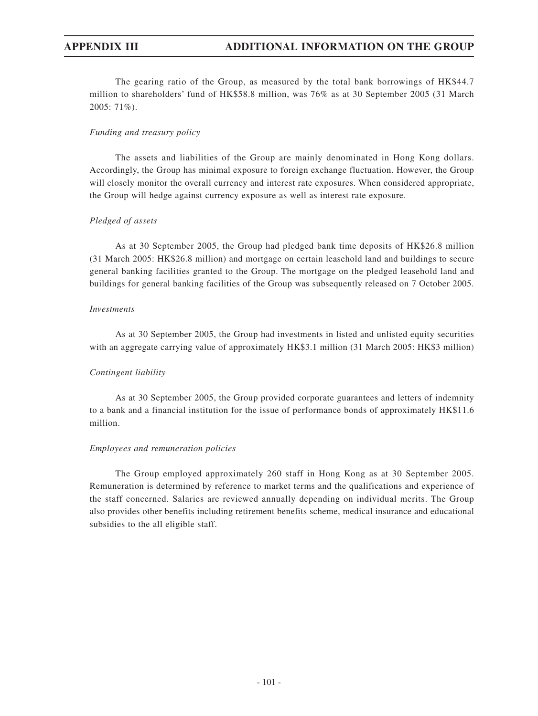# **APPENDIX III ADDITIONAL INFORMATION ON THE GROUP**

The gearing ratio of the Group, as measured by the total bank borrowings of HK\$44.7 million to shareholders' fund of HK\$58.8 million, was 76% as at 30 September 2005 (31 March 2005: 71%).

# *Funding and treasury policy*

The assets and liabilities of the Group are mainly denominated in Hong Kong dollars. Accordingly, the Group has minimal exposure to foreign exchange fluctuation. However, the Group will closely monitor the overall currency and interest rate exposures. When considered appropriate, the Group will hedge against currency exposure as well as interest rate exposure.

# *Pledged of assets*

As at 30 September 2005, the Group had pledged bank time deposits of HK\$26.8 million (31 March 2005: HK\$26.8 million) and mortgage on certain leasehold land and buildings to secure general banking facilities granted to the Group. The mortgage on the pledged leasehold land and buildings for general banking facilities of the Group was subsequently released on 7 October 2005.

## *Investments*

As at 30 September 2005, the Group had investments in listed and unlisted equity securities with an aggregate carrying value of approximately HK\$3.1 million (31 March 2005: HK\$3 million)

## *Contingent liability*

As at 30 September 2005, the Group provided corporate guarantees and letters of indemnity to a bank and a financial institution for the issue of performance bonds of approximately HK\$11.6 million.

## *Employees and remuneration policies*

The Group employed approximately 260 staff in Hong Kong as at 30 September 2005. Remuneration is determined by reference to market terms and the qualifications and experience of the staff concerned. Salaries are reviewed annually depending on individual merits. The Group also provides other benefits including retirement benefits scheme, medical insurance and educational subsidies to the all eligible staff.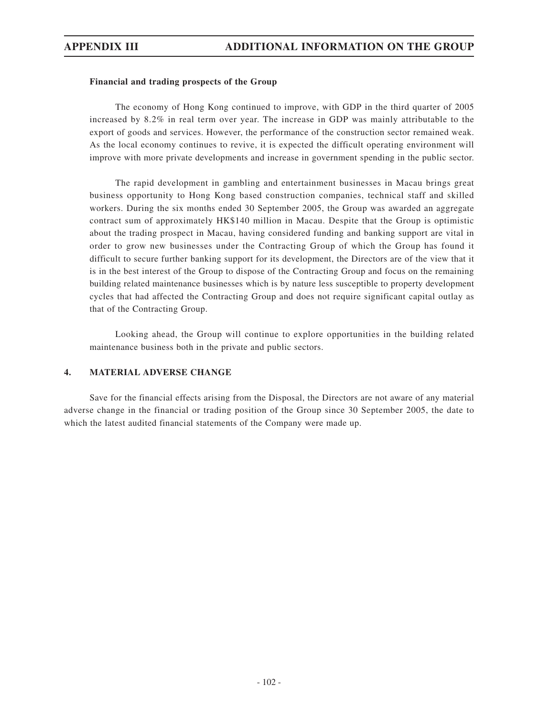# **Financial and trading prospects of the Group**

The economy of Hong Kong continued to improve, with GDP in the third quarter of 2005 increased by 8.2% in real term over year. The increase in GDP was mainly attributable to the export of goods and services. However, the performance of the construction sector remained weak. As the local economy continues to revive, it is expected the difficult operating environment will improve with more private developments and increase in government spending in the public sector.

The rapid development in gambling and entertainment businesses in Macau brings great business opportunity to Hong Kong based construction companies, technical staff and skilled workers. During the six months ended 30 September 2005, the Group was awarded an aggregate contract sum of approximately HK\$140 million in Macau. Despite that the Group is optimistic about the trading prospect in Macau, having considered funding and banking support are vital in order to grow new businesses under the Contracting Group of which the Group has found it difficult to secure further banking support for its development, the Directors are of the view that it is in the best interest of the Group to dispose of the Contracting Group and focus on the remaining building related maintenance businesses which is by nature less susceptible to property development cycles that had affected the Contracting Group and does not require significant capital outlay as that of the Contracting Group.

Looking ahead, the Group will continue to explore opportunities in the building related maintenance business both in the private and public sectors.

## **4. MATERIAL ADVERSE CHANGE**

Save for the financial effects arising from the Disposal, the Directors are not aware of any material adverse change in the financial or trading position of the Group since 30 September 2005, the date to which the latest audited financial statements of the Company were made up.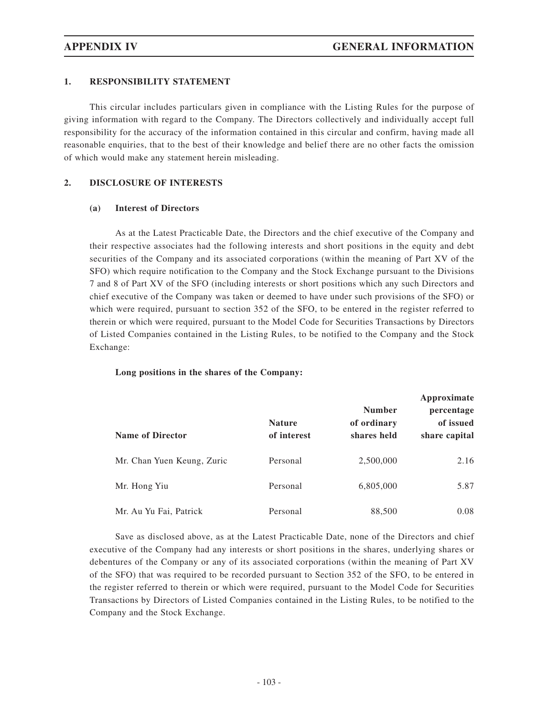### **1. RESPONSIBILITY STATEMENT**

This circular includes particulars given in compliance with the Listing Rules for the purpose of giving information with regard to the Company. The Directors collectively and individually accept full responsibility for the accuracy of the information contained in this circular and confirm, having made all reasonable enquiries, that to the best of their knowledge and belief there are no other facts the omission of which would make any statement herein misleading.

### **2. DISCLOSURE OF INTERESTS**

### **(a) Interest of Directors**

As at the Latest Practicable Date, the Directors and the chief executive of the Company and their respective associates had the following interests and short positions in the equity and debt securities of the Company and its associated corporations (within the meaning of Part XV of the SFO) which require notification to the Company and the Stock Exchange pursuant to the Divisions 7 and 8 of Part XV of the SFO (including interests or short positions which any such Directors and chief executive of the Company was taken or deemed to have under such provisions of the SFO) or which were required, pursuant to section 352 of the SFO, to be entered in the register referred to therein or which were required, pursuant to the Model Code for Securities Transactions by Directors of Listed Companies contained in the Listing Rules, to be notified to the Company and the Stock Exchange:

### **Long positions in the shares of the Company:**

| <b>Name of Director</b>    | <b>Nature</b><br>of interest | <b>Number</b><br>of ordinary<br>shares held | Approximate<br>percentage<br>of issued<br>share capital |
|----------------------------|------------------------------|---------------------------------------------|---------------------------------------------------------|
| Mr. Chan Yuen Keung, Zuric | Personal                     | 2,500,000                                   | 2.16                                                    |
| Mr. Hong Yiu               | Personal                     | 6,805,000                                   | 5.87                                                    |
| Mr. Au Yu Fai, Patrick     | Personal                     | 88,500                                      | 0.08                                                    |

Save as disclosed above, as at the Latest Practicable Date, none of the Directors and chief executive of the Company had any interests or short positions in the shares, underlying shares or debentures of the Company or any of its associated corporations (within the meaning of Part XV of the SFO) that was required to be recorded pursuant to Section 352 of the SFO, to be entered in the register referred to therein or which were required, pursuant to the Model Code for Securities Transactions by Directors of Listed Companies contained in the Listing Rules, to be notified to the Company and the Stock Exchange.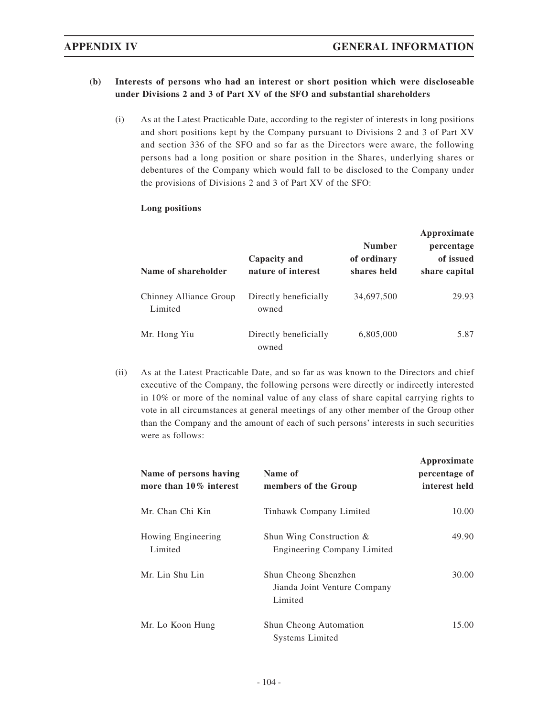# **APPENDIX IV GENERAL INFORMATION**

# **(b) Interests of persons who had an interest or short position which were discloseable under Divisions 2 and 3 of Part XV of the SFO and substantial shareholders**

(i) As at the Latest Practicable Date, according to the register of interests in long positions and short positions kept by the Company pursuant to Divisions 2 and 3 of Part XV and section 336 of the SFO and so far as the Directors were aware, the following persons had a long position or share position in the Shares, underlying shares or debentures of the Company which would fall to be disclosed to the Company under the provisions of Divisions 2 and 3 of Part XV of the SFO:

### **Long positions**

| Name of shareholder               | Capacity and<br>nature of interest | <b>Number</b><br>of ordinary<br>shares held | Approximate<br>percentage<br>of issued<br>share capital |
|-----------------------------------|------------------------------------|---------------------------------------------|---------------------------------------------------------|
| Chinney Alliance Group<br>Limited | Directly beneficially<br>owned     | 34,697,500                                  | 29.93                                                   |
| Mr. Hong Yiu                      | Directly beneficially<br>owned     | 6,805,000                                   | 5.87                                                    |

(ii) As at the Latest Practicable Date, and so far as was known to the Directors and chief executive of the Company, the following persons were directly or indirectly interested in 10% or more of the nominal value of any class of share capital carrying rights to vote in all circumstances at general meetings of any other member of the Group other than the Company and the amount of each of such persons' interests in such securities were as follows:

| Name of persons having<br>more than $10\%$ interest | Name of<br>members of the Group                                 | Approximate<br>percentage of<br>interest held |
|-----------------------------------------------------|-----------------------------------------------------------------|-----------------------------------------------|
| Mr. Chan Chi Kin                                    | Tinhawk Company Limited                                         | 10.00                                         |
| Howing Engineering<br>Limited                       | Shun Wing Construction &<br><b>Engineering Company Limited</b>  | 49.90                                         |
| Mr. Lin Shu Lin                                     | Shun Cheong Shenzhen<br>Jianda Joint Venture Company<br>Limited | 30.00                                         |
| Mr. Lo Koon Hung                                    | Shun Cheong Automation<br>Systems Limited                       | 15.00                                         |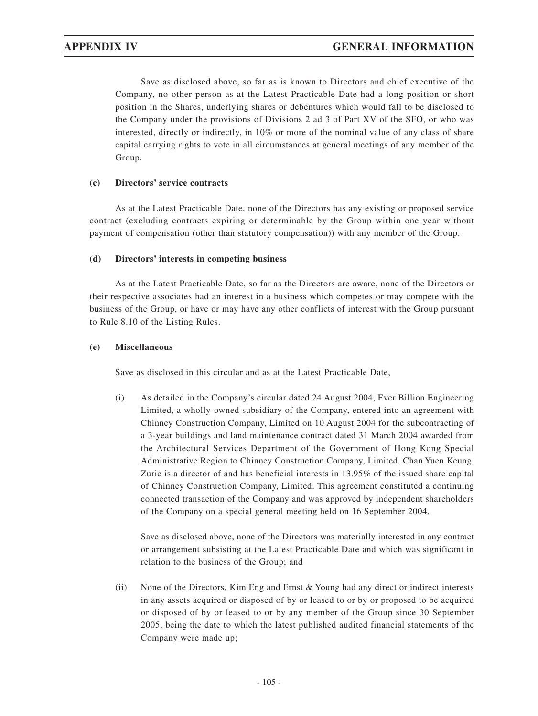Save as disclosed above, so far as is known to Directors and chief executive of the Company, no other person as at the Latest Practicable Date had a long position or short position in the Shares, underlying shares or debentures which would fall to be disclosed to the Company under the provisions of Divisions 2 ad 3 of Part XV of the SFO, or who was interested, directly or indirectly, in 10% or more of the nominal value of any class of share capital carrying rights to vote in all circumstances at general meetings of any member of the Group.

## **(c) Directors' service contracts**

As at the Latest Practicable Date, none of the Directors has any existing or proposed service contract (excluding contracts expiring or determinable by the Group within one year without payment of compensation (other than statutory compensation)) with any member of the Group.

### **(d) Directors' interests in competing business**

As at the Latest Practicable Date, so far as the Directors are aware, none of the Directors or their respective associates had an interest in a business which competes or may compete with the business of the Group, or have or may have any other conflicts of interest with the Group pursuant to Rule 8.10 of the Listing Rules.

### **(e) Miscellaneous**

Save as disclosed in this circular and as at the Latest Practicable Date,

(i) As detailed in the Company's circular dated 24 August 2004, Ever Billion Engineering Limited, a wholly-owned subsidiary of the Company, entered into an agreement with Chinney Construction Company, Limited on 10 August 2004 for the subcontracting of a 3-year buildings and land maintenance contract dated 31 March 2004 awarded from the Architectural Services Department of the Government of Hong Kong Special Administrative Region to Chinney Construction Company, Limited. Chan Yuen Keung, Zuric is a director of and has beneficial interests in 13.95% of the issued share capital of Chinney Construction Company, Limited. This agreement constituted a continuing connected transaction of the Company and was approved by independent shareholders of the Company on a special general meeting held on 16 September 2004.

Save as disclosed above, none of the Directors was materially interested in any contract or arrangement subsisting at the Latest Practicable Date and which was significant in relation to the business of the Group; and

(ii) None of the Directors, Kim Eng and Ernst & Young had any direct or indirect interests in any assets acquired or disposed of by or leased to or by or proposed to be acquired or disposed of by or leased to or by any member of the Group since 30 September 2005, being the date to which the latest published audited financial statements of the Company were made up;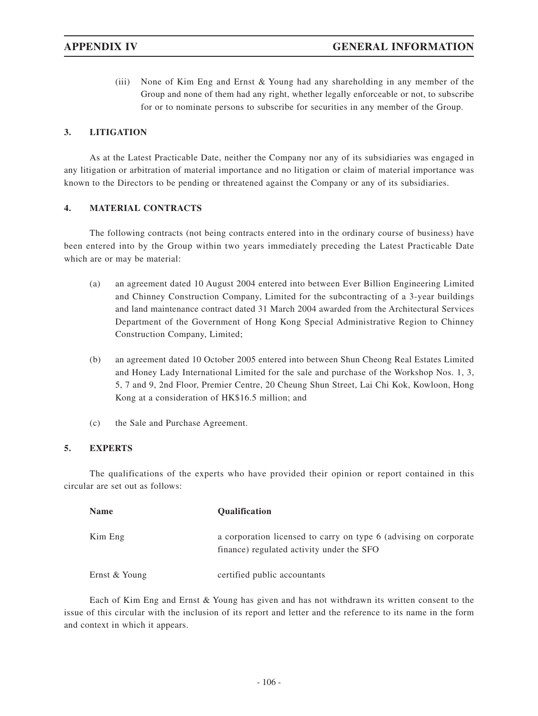(iii) None of Kim Eng and Ernst & Young had any shareholding in any member of the Group and none of them had any right, whether legally enforceable or not, to subscribe for or to nominate persons to subscribe for securities in any member of the Group.

# **3. LITIGATION**

As at the Latest Practicable Date, neither the Company nor any of its subsidiaries was engaged in any litigation or arbitration of material importance and no litigation or claim of material importance was known to the Directors to be pending or threatened against the Company or any of its subsidiaries.

## **4. MATERIAL CONTRACTS**

The following contracts (not being contracts entered into in the ordinary course of business) have been entered into by the Group within two years immediately preceding the Latest Practicable Date which are or may be material:

- (a) an agreement dated 10 August 2004 entered into between Ever Billion Engineering Limited and Chinney Construction Company, Limited for the subcontracting of a 3-year buildings and land maintenance contract dated 31 March 2004 awarded from the Architectural Services Department of the Government of Hong Kong Special Administrative Region to Chinney Construction Company, Limited;
- (b) an agreement dated 10 October 2005 entered into between Shun Cheong Real Estates Limited and Honey Lady International Limited for the sale and purchase of the Workshop Nos. 1, 3, 5, 7 and 9, 2nd Floor, Premier Centre, 20 Cheung Shun Street, Lai Chi Kok, Kowloon, Hong Kong at a consideration of HK\$16.5 million; and
- (c) the Sale and Purchase Agreement.

## **5. EXPERTS**

The qualifications of the experts who have provided their opinion or report contained in this circular are set out as follows:

| <b>Name</b>   | <b>Qualification</b>                                                                                          |
|---------------|---------------------------------------------------------------------------------------------------------------|
| Kim Eng       | a corporation licensed to carry on type 6 (advising on corporate<br>finance) regulated activity under the SFO |
| Ernst & Young | certified public accountants                                                                                  |

Each of Kim Eng and Ernst & Young has given and has not withdrawn its written consent to the issue of this circular with the inclusion of its report and letter and the reference to its name in the form and context in which it appears.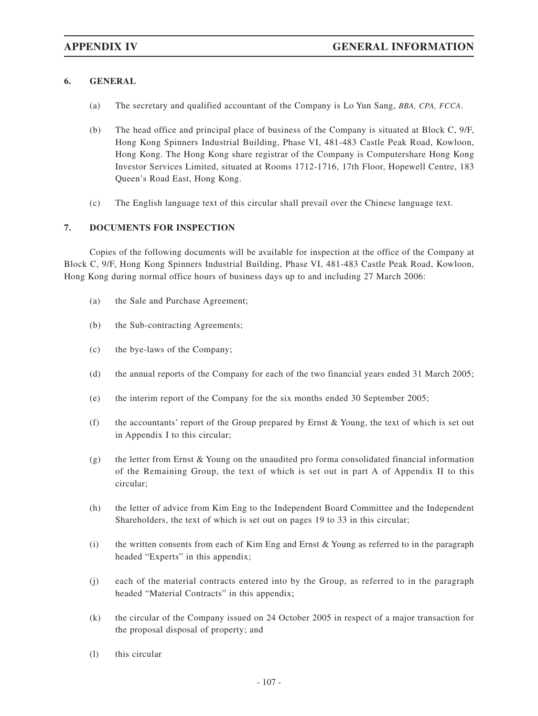# **6. GENERAL**

- (a) The secretary and qualified accountant of the Company is Lo Yun Sang, *BBA, CPA, FCCA*.
- (b) The head office and principal place of business of the Company is situated at Block C, 9/F, Hong Kong Spinners Industrial Building, Phase VI, 481-483 Castle Peak Road, Kowloon, Hong Kong. The Hong Kong share registrar of the Company is Computershare Hong Kong Investor Services Limited, situated at Rooms 1712-1716, 17th Floor, Hopewell Centre, 183 Queen's Road East, Hong Kong.
- (c) The English language text of this circular shall prevail over the Chinese language text.

### **7. DOCUMENTS FOR INSPECTION**

Copies of the following documents will be available for inspection at the office of the Company at Block C, 9/F, Hong Kong Spinners Industrial Building, Phase VI, 481-483 Castle Peak Road, Kowloon, Hong Kong during normal office hours of business days up to and including 27 March 2006:

- (a) the Sale and Purchase Agreement;
- (b) the Sub-contracting Agreements;
- (c) the bye-laws of the Company;
- (d) the annual reports of the Company for each of the two financial years ended 31 March 2005;
- (e) the interim report of the Company for the six months ended 30 September 2005;
- (f) the accountants' report of the Group prepared by Ernst & Young, the text of which is set out in Appendix I to this circular;
- (g) the letter from Ernst & Young on the unaudited pro forma consolidated financial information of the Remaining Group, the text of which is set out in part A of Appendix II to this circular;
- (h) the letter of advice from Kim Eng to the Independent Board Committee and the Independent Shareholders, the text of which is set out on pages 19 to 33 in this circular;
- (i) the written consents from each of Kim Eng and Ernst  $&$  Young as referred to in the paragraph headed "Experts" in this appendix;
- (j) each of the material contracts entered into by the Group, as referred to in the paragraph headed "Material Contracts" in this appendix;
- (k) the circular of the Company issued on 24 October 2005 in respect of a major transaction for the proposal disposal of property; and
- (l) this circular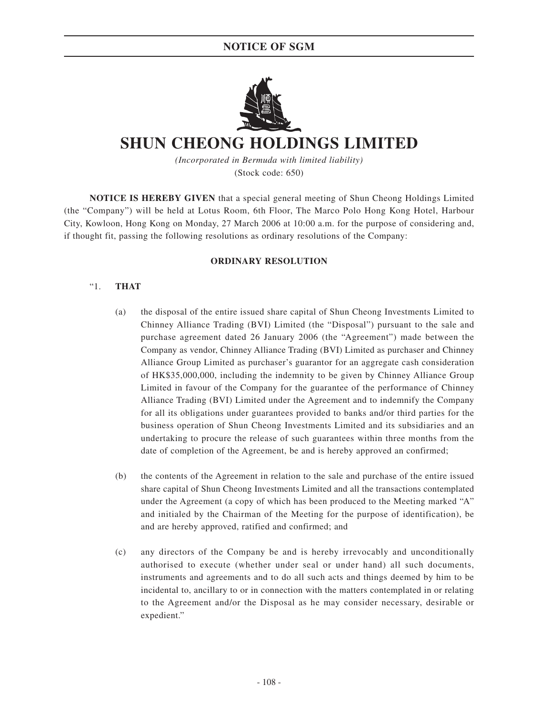# **NOTICE OF SGM**



# **SHUN CHEONG HOLDINGS LIMITED**

*(Incorporated in Bermuda with limited liability)* (Stock code: 650)

**NOTICE IS HEREBY GIVEN** that a special general meeting of Shun Cheong Holdings Limited (the "Company") will be held at Lotus Room, 6th Floor, The Marco Polo Hong Kong Hotel, Harbour City, Kowloon, Hong Kong on Monday, 27 March 2006 at 10:00 a.m. for the purpose of considering and, if thought fit, passing the following resolutions as ordinary resolutions of the Company:

## **ORDINARY RESOLUTION**

# "1. **THAT**

- (a) the disposal of the entire issued share capital of Shun Cheong Investments Limited to Chinney Alliance Trading (BVI) Limited (the "Disposal") pursuant to the sale and purchase agreement dated 26 January 2006 (the "Agreement") made between the Company as vendor, Chinney Alliance Trading (BVI) Limited as purchaser and Chinney Alliance Group Limited as purchaser's guarantor for an aggregate cash consideration of HK\$35,000,000, including the indemnity to be given by Chinney Alliance Group Limited in favour of the Company for the guarantee of the performance of Chinney Alliance Trading (BVI) Limited under the Agreement and to indemnify the Company for all its obligations under guarantees provided to banks and/or third parties for the business operation of Shun Cheong Investments Limited and its subsidiaries and an undertaking to procure the release of such guarantees within three months from the date of completion of the Agreement, be and is hereby approved an confirmed;
- (b) the contents of the Agreement in relation to the sale and purchase of the entire issued share capital of Shun Cheong Investments Limited and all the transactions contemplated under the Agreement (a copy of which has been produced to the Meeting marked "A" and initialed by the Chairman of the Meeting for the purpose of identification), be and are hereby approved, ratified and confirmed; and
- (c) any directors of the Company be and is hereby irrevocably and unconditionally authorised to execute (whether under seal or under hand) all such documents, instruments and agreements and to do all such acts and things deemed by him to be incidental to, ancillary to or in connection with the matters contemplated in or relating to the Agreement and/or the Disposal as he may consider necessary, desirable or expedient."